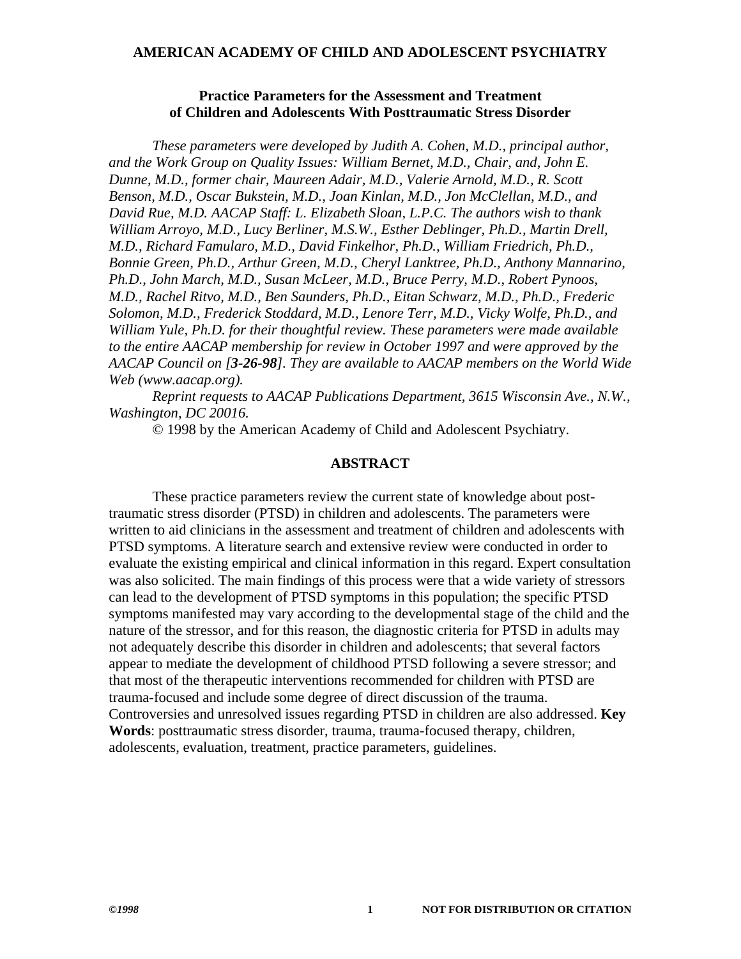# **Practice Parameters for the Assessment and Treatment of Children and Adolescents With Posttraumatic Stress Disorder**

*These parameters were developed by Judith A. Cohen, M.D., principal author, and the Work Group on Quality Issues: William Bernet, M.D., Chair, and, John E. Dunne, M.D., former chair, Maureen Adair, M.D., Valerie Arnold, M.D., R. Scott Benson, M.D., Oscar Bukstein, M.D., Joan Kinlan, M.D., Jon McClellan, M.D., and David Rue, M.D. AACAP Staff: L. Elizabeth Sloan, L.P.C. The authors wish to thank William Arroyo, M.D., Lucy Berliner, M.S.W., Esther Deblinger, Ph.D., Martin Drell, M.D., Richard Famularo, M.D., David Finkelhor, Ph.D., William Friedrich, Ph.D., Bonnie Green, Ph.D., Arthur Green, M.D., Cheryl Lanktree, Ph.D., Anthony Mannarino, Ph.D., John March, M.D., Susan McLeer, M.D., Bruce Perry, M.D., Robert Pynoos, M.D., Rachel Ritvo, M.D., Ben Saunders, Ph.D., Eitan Schwarz, M.D., Ph.D., Frederic Solomon, M.D., Frederick Stoddard, M.D., Lenore Terr, M.D., Vicky Wolfe, Ph.D., and William Yule, Ph.D. for their thoughtful review. These parameters were made available to the entire AACAP membership for review in October 1997 and were approved by the AACAP Council on [3-26-98]. They are available to AACAP members on the World Wide Web (www.aacap.org).* 

*Reprint requests to AACAP Publications Department, 3615 Wisconsin Ave., N.W., Washington, DC 20016.*

© 1998 by the American Academy of Child and Adolescent Psychiatry.

#### **ABSTRACT**

These practice parameters review the current state of knowledge about posttraumatic stress disorder (PTSD) in children and adolescents. The parameters were written to aid clinicians in the assessment and treatment of children and adolescents with PTSD symptoms. A literature search and extensive review were conducted in order to evaluate the existing empirical and clinical information in this regard. Expert consultation was also solicited. The main findings of this process were that a wide variety of stressors can lead to the development of PTSD symptoms in this population; the specific PTSD symptoms manifested may vary according to the developmental stage of the child and the nature of the stressor, and for this reason, the diagnostic criteria for PTSD in adults may not adequately describe this disorder in children and adolescents; that several factors appear to mediate the development of childhood PTSD following a severe stressor; and that most of the therapeutic interventions recommended for children with PTSD are trauma-focused and include some degree of direct discussion of the trauma. Controversies and unresolved issues regarding PTSD in children are also addressed. **Key Words**: posttraumatic stress disorder, trauma, trauma-focused therapy, children, adolescents, evaluation, treatment, practice parameters, guidelines.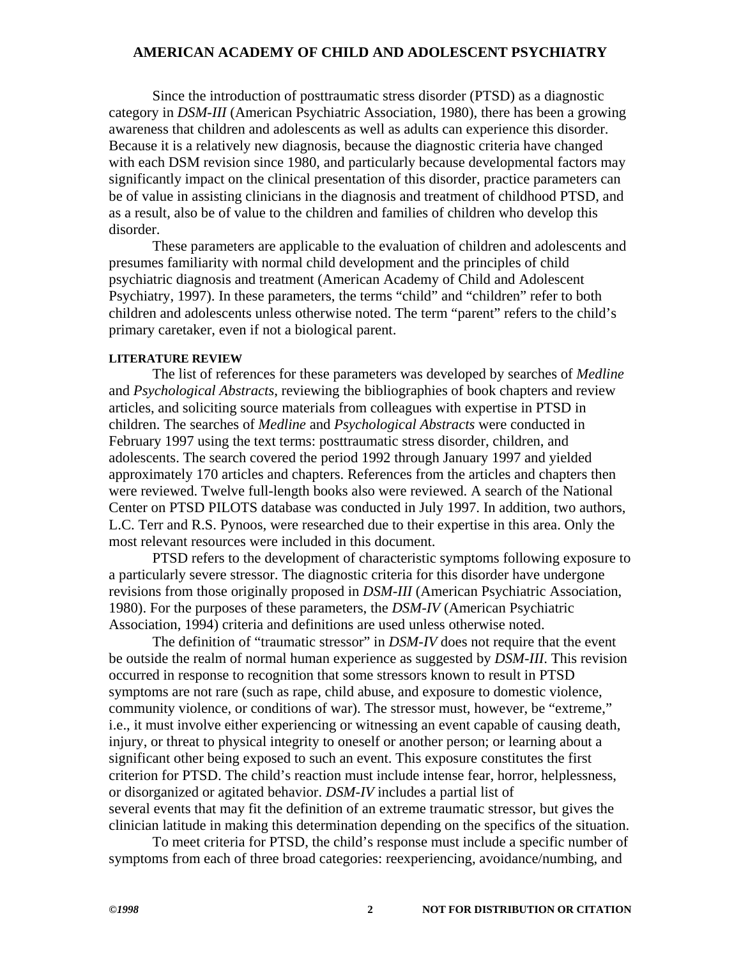Since the introduction of posttraumatic stress disorder (PTSD) as a diagnostic category in *DSM-III* (American Psychiatric Association, 1980), there has been a growing awareness that children and adolescents as well as adults can experience this disorder. Because it is a relatively new diagnosis, because the diagnostic criteria have changed with each DSM revision since 1980, and particularly because developmental factors may significantly impact on the clinical presentation of this disorder, practice parameters can be of value in assisting clinicians in the diagnosis and treatment of childhood PTSD, and as a result, also be of value to the children and families of children who develop this disorder.

These parameters are applicable to the evaluation of children and adolescents and presumes familiarity with normal child development and the principles of child psychiatric diagnosis and treatment (American Academy of Child and Adolescent Psychiatry, 1997). In these parameters, the terms "child" and "children" refer to both children and adolescents unless otherwise noted. The term "parent" refers to the child's primary caretaker, even if not a biological parent.

#### **LITERATURE REVIEW**

The list of references for these parameters was developed by searches of *Medline* and *Psychological Abstracts*, reviewing the bibliographies of book chapters and review articles, and soliciting source materials from colleagues with expertise in PTSD in children. The searches of *Medline* and *Psychological Abstracts* were conducted in February 1997 using the text terms: posttraumatic stress disorder, children, and adolescents. The search covered the period 1992 through January 1997 and yielded approximately 170 articles and chapters. References from the articles and chapters then were reviewed. Twelve full-length books also were reviewed. A search of the National Center on PTSD PILOTS database was conducted in July 1997. In addition, two authors, L.C. Terr and R.S. Pynoos, were researched due to their expertise in this area. Only the most relevant resources were included in this document.

PTSD refers to the development of characteristic symptoms following exposure to a particularly severe stressor. The diagnostic criteria for this disorder have undergone revisions from those originally proposed in *DSM-III* (American Psychiatric Association, 1980). For the purposes of these parameters, the *DSM-IV* (American Psychiatric Association, 1994) criteria and definitions are used unless otherwise noted.

The definition of "traumatic stressor" in *DSM-IV* does not require that the event be outside the realm of normal human experience as suggested by *DSM-III*. This revision occurred in response to recognition that some stressors known to result in PTSD symptoms are not rare (such as rape, child abuse, and exposure to domestic violence, community violence, or conditions of war). The stressor must, however, be "extreme," i.e., it must involve either experiencing or witnessing an event capable of causing death, injury, or threat to physical integrity to oneself or another person; or learning about a significant other being exposed to such an event. This exposure constitutes the first criterion for PTSD. The child's reaction must include intense fear, horror, helplessness, or disorganized or agitated behavior. *DSM-IV* includes a partial list of several events that may fit the definition of an extreme traumatic stressor, but gives the clinician latitude in making this determination depending on the specifics of the situation.

To meet criteria for PTSD, the child's response must include a specific number of symptoms from each of three broad categories: reexperiencing, avoidance/numbing, and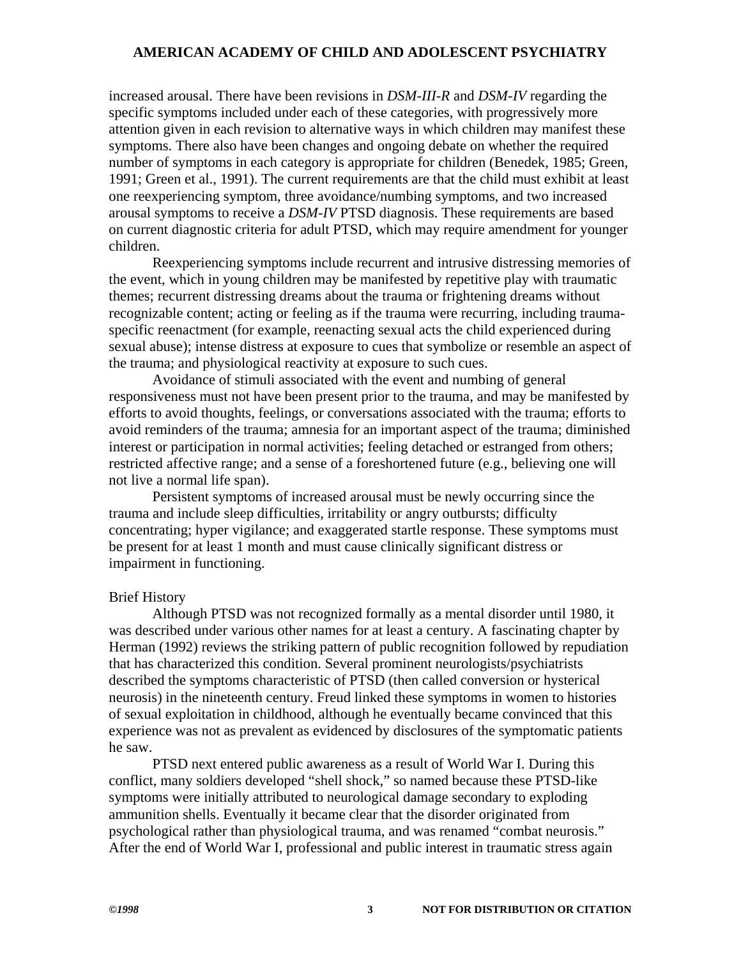increased arousal. There have been revisions in *DSM-III-R* and *DSM-IV* regarding the specific symptoms included under each of these categories, with progressively more attention given in each revision to alternative ways in which children may manifest these symptoms. There also have been changes and ongoing debate on whether the required number of symptoms in each category is appropriate for children (Benedek, 1985; Green, 1991; Green et al., 1991). The current requirements are that the child must exhibit at least one reexperiencing symptom, three avoidance/numbing symptoms, and two increased arousal symptoms to receive a *DSM-IV* PTSD diagnosis. These requirements are based on current diagnostic criteria for adult PTSD, which may require amendment for younger children.

Reexperiencing symptoms include recurrent and intrusive distressing memories of the event, which in young children may be manifested by repetitive play with traumatic themes; recurrent distressing dreams about the trauma or frightening dreams without recognizable content; acting or feeling as if the trauma were recurring, including traumaspecific reenactment (for example, reenacting sexual acts the child experienced during sexual abuse); intense distress at exposure to cues that symbolize or resemble an aspect of the trauma; and physiological reactivity at exposure to such cues.

Avoidance of stimuli associated with the event and numbing of general responsiveness must not have been present prior to the trauma, and may be manifested by efforts to avoid thoughts, feelings, or conversations associated with the trauma; efforts to avoid reminders of the trauma; amnesia for an important aspect of the trauma; diminished interest or participation in normal activities; feeling detached or estranged from others; restricted affective range; and a sense of a foreshortened future (e.g., believing one will not live a normal life span).

Persistent symptoms of increased arousal must be newly occurring since the trauma and include sleep difficulties, irritability or angry outbursts; difficulty concentrating; hyper vigilance; and exaggerated startle response. These symptoms must be present for at least 1 month and must cause clinically significant distress or impairment in functioning.

#### Brief History

Although PTSD was not recognized formally as a mental disorder until 1980, it was described under various other names for at least a century. A fascinating chapter by Herman (1992) reviews the striking pattern of public recognition followed by repudiation that has characterized this condition. Several prominent neurologists/psychiatrists described the symptoms characteristic of PTSD (then called conversion or hysterical neurosis) in the nineteenth century. Freud linked these symptoms in women to histories of sexual exploitation in childhood, although he eventually became convinced that this experience was not as prevalent as evidenced by disclosures of the symptomatic patients he saw.

PTSD next entered public awareness as a result of World War I. During this conflict, many soldiers developed "shell shock," so named because these PTSD-like symptoms were initially attributed to neurological damage secondary to exploding ammunition shells. Eventually it became clear that the disorder originated from psychological rather than physiological trauma, and was renamed "combat neurosis." After the end of World War I, professional and public interest in traumatic stress again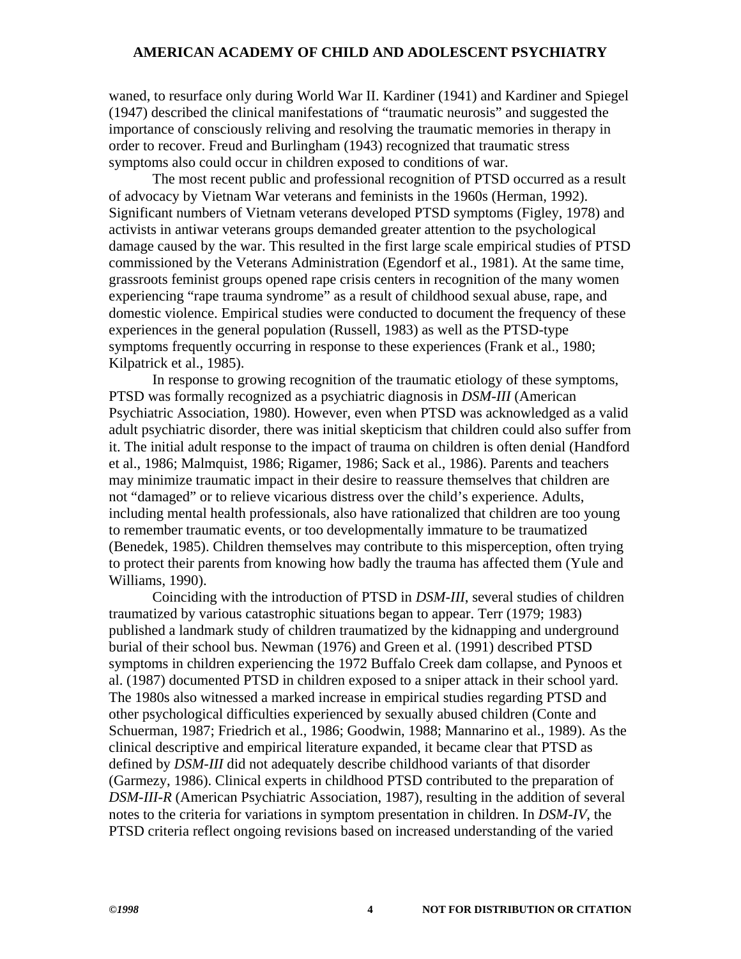waned, to resurface only during World War II. Kardiner (1941) and Kardiner and Spiegel (1947) described the clinical manifestations of "traumatic neurosis" and suggested the importance of consciously reliving and resolving the traumatic memories in therapy in order to recover. Freud and Burlingham (1943) recognized that traumatic stress symptoms also could occur in children exposed to conditions of war.

The most recent public and professional recognition of PTSD occurred as a result of advocacy by Vietnam War veterans and feminists in the 1960s (Herman, 1992). Significant numbers of Vietnam veterans developed PTSD symptoms (Figley, 1978) and activists in antiwar veterans groups demanded greater attention to the psychological damage caused by the war. This resulted in the first large scale empirical studies of PTSD commissioned by the Veterans Administration (Egendorf et al., 1981). At the same time, grassroots feminist groups opened rape crisis centers in recognition of the many women experiencing "rape trauma syndrome" as a result of childhood sexual abuse, rape, and domestic violence. Empirical studies were conducted to document the frequency of these experiences in the general population (Russell, 1983) as well as the PTSD-type symptoms frequently occurring in response to these experiences (Frank et al., 1980; Kilpatrick et al., 1985).

In response to growing recognition of the traumatic etiology of these symptoms, PTSD was formally recognized as a psychiatric diagnosis in *DSM-III* (American Psychiatric Association, 1980). However, even when PTSD was acknowledged as a valid adult psychiatric disorder, there was initial skepticism that children could also suffer from it. The initial adult response to the impact of trauma on children is often denial (Handford et al., 1986; Malmquist, 1986; Rigamer, 1986; Sack et al., 1986). Parents and teachers may minimize traumatic impact in their desire to reassure themselves that children are not "damaged" or to relieve vicarious distress over the child's experience. Adults, including mental health professionals, also have rationalized that children are too young to remember traumatic events, or too developmentally immature to be traumatized (Benedek, 1985). Children themselves may contribute to this misperception, often trying to protect their parents from knowing how badly the trauma has affected them (Yule and Williams, 1990).

Coinciding with the introduction of PTSD in *DSM-III*, several studies of children traumatized by various catastrophic situations began to appear. Terr (1979; 1983) published a landmark study of children traumatized by the kidnapping and underground burial of their school bus. Newman (1976) and Green et al. (1991) described PTSD symptoms in children experiencing the 1972 Buffalo Creek dam collapse, and Pynoos et al. (1987) documented PTSD in children exposed to a sniper attack in their school yard. The 1980s also witnessed a marked increase in empirical studies regarding PTSD and other psychological difficulties experienced by sexually abused children (Conte and Schuerman, 1987; Friedrich et al., 1986; Goodwin, 1988; Mannarino et al., 1989). As the clinical descriptive and empirical literature expanded, it became clear that PTSD as defined by *DSM-III* did not adequately describe childhood variants of that disorder (Garmezy, 1986). Clinical experts in childhood PTSD contributed to the preparation of *DSM-III-R* (American Psychiatric Association, 1987), resulting in the addition of several notes to the criteria for variations in symptom presentation in children. In *DSM-IV*, the PTSD criteria reflect ongoing revisions based on increased understanding of the varied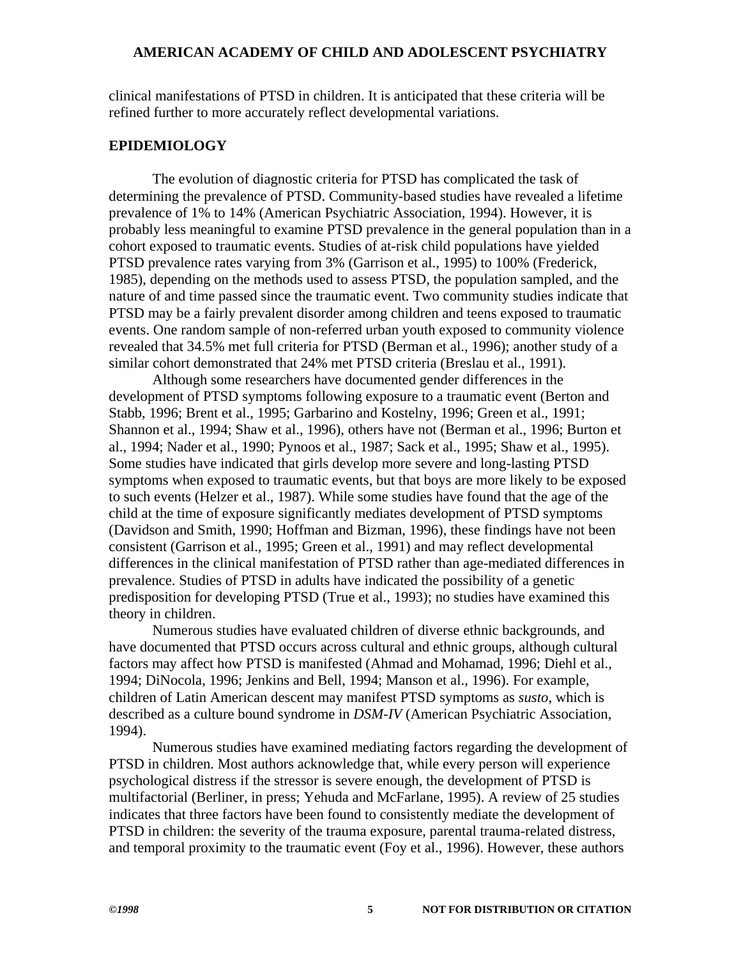clinical manifestations of PTSD in children. It is anticipated that these criteria will be refined further to more accurately reflect developmental variations.

#### **EPIDEMIOLOGY**

The evolution of diagnostic criteria for PTSD has complicated the task of determining the prevalence of PTSD. Community-based studies have revealed a lifetime prevalence of 1% to 14% (American Psychiatric Association, 1994). However, it is probably less meaningful to examine PTSD prevalence in the general population than in a cohort exposed to traumatic events. Studies of at-risk child populations have yielded PTSD prevalence rates varying from 3% (Garrison et al., 1995) to 100% (Frederick, 1985), depending on the methods used to assess PTSD, the population sampled, and the nature of and time passed since the traumatic event. Two community studies indicate that PTSD may be a fairly prevalent disorder among children and teens exposed to traumatic events. One random sample of non-referred urban youth exposed to community violence revealed that 34.5% met full criteria for PTSD (Berman et al., 1996); another study of a similar cohort demonstrated that 24% met PTSD criteria (Breslau et al., 1991).

Although some researchers have documented gender differences in the development of PTSD symptoms following exposure to a traumatic event (Berton and Stabb, 1996; Brent et al., 1995; Garbarino and Kostelny, 1996; Green et al., 1991; Shannon et al., 1994; Shaw et al., 1996), others have not (Berman et al., 1996; Burton et al., 1994; Nader et al., 1990; Pynoos et al., 1987; Sack et al., 1995; Shaw et al., 1995). Some studies have indicated that girls develop more severe and long-lasting PTSD symptoms when exposed to traumatic events, but that boys are more likely to be exposed to such events (Helzer et al., 1987). While some studies have found that the age of the child at the time of exposure significantly mediates development of PTSD symptoms (Davidson and Smith, 1990; Hoffman and Bizman, 1996), these findings have not been consistent (Garrison et al., 1995; Green et al., 1991) and may reflect developmental differences in the clinical manifestation of PTSD rather than age-mediated differences in prevalence. Studies of PTSD in adults have indicated the possibility of a genetic predisposition for developing PTSD (True et al., 1993); no studies have examined this theory in children.

Numerous studies have evaluated children of diverse ethnic backgrounds, and have documented that PTSD occurs across cultural and ethnic groups, although cultural factors may affect how PTSD is manifested (Ahmad and Mohamad, 1996; Diehl et al., 1994; DiNocola, 1996; Jenkins and Bell, 1994; Manson et al., 1996). For example, children of Latin American descent may manifest PTSD symptoms as *susto*, which is described as a culture bound syndrome in *DSM-IV* (American Psychiatric Association, 1994).

Numerous studies have examined mediating factors regarding the development of PTSD in children. Most authors acknowledge that, while every person will experience psychological distress if the stressor is severe enough, the development of PTSD is multifactorial (Berliner, in press; Yehuda and McFarlane, 1995). A review of 25 studies indicates that three factors have been found to consistently mediate the development of PTSD in children: the severity of the trauma exposure, parental trauma-related distress, and temporal proximity to the traumatic event (Foy et al., 1996). However, these authors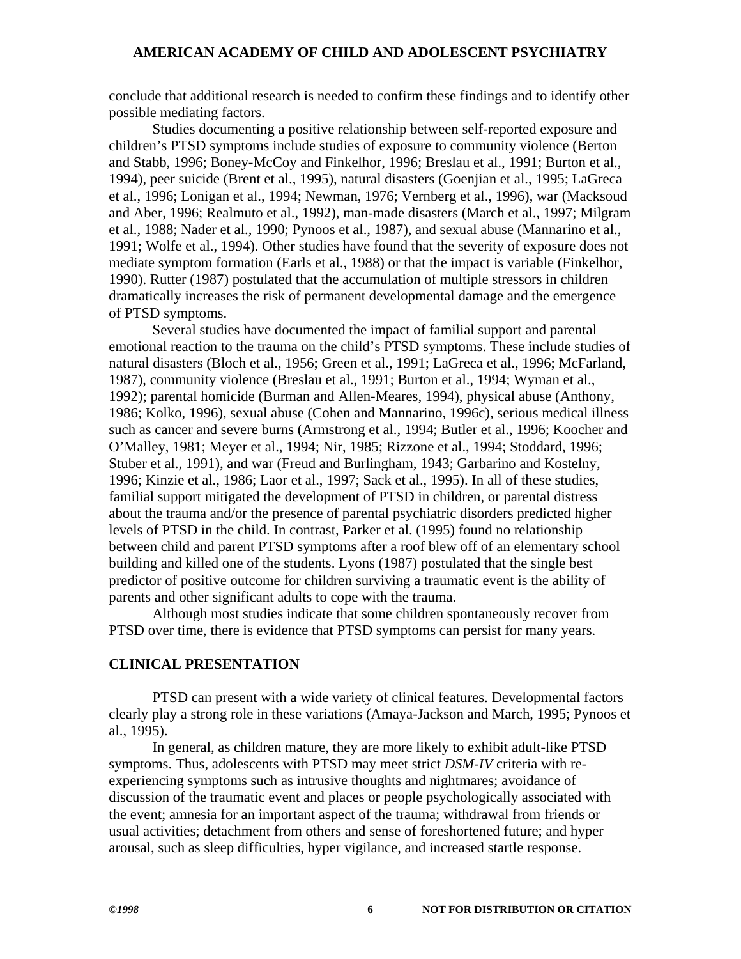conclude that additional research is needed to confirm these findings and to identify other possible mediating factors.

Studies documenting a positive relationship between self-reported exposure and children's PTSD symptoms include studies of exposure to community violence (Berton and Stabb, 1996; Boney-McCoy and Finkelhor, 1996; Breslau et al., 1991; Burton et al., 1994), peer suicide (Brent et al., 1995), natural disasters (Goenjian et al., 1995; LaGreca et al., 1996; Lonigan et al., 1994; Newman, 1976; Vernberg et al., 1996), war (Macksoud and Aber, 1996; Realmuto et al., 1992), man-made disasters (March et al., 1997; Milgram et al., 1988; Nader et al., 1990; Pynoos et al., 1987), and sexual abuse (Mannarino et al., 1991; Wolfe et al., 1994). Other studies have found that the severity of exposure does not mediate symptom formation (Earls et al., 1988) or that the impact is variable (Finkelhor, 1990). Rutter (1987) postulated that the accumulation of multiple stressors in children dramatically increases the risk of permanent developmental damage and the emergence of PTSD symptoms.

Several studies have documented the impact of familial support and parental emotional reaction to the trauma on the child's PTSD symptoms. These include studies of natural disasters (Bloch et al., 1956; Green et al., 1991; LaGreca et al., 1996; McFarland, 1987), community violence (Breslau et al., 1991; Burton et al., 1994; Wyman et al., 1992); parental homicide (Burman and Allen-Meares, 1994), physical abuse (Anthony, 1986; Kolko, 1996), sexual abuse (Cohen and Mannarino, 1996c), serious medical illness such as cancer and severe burns (Armstrong et al., 1994; Butler et al., 1996; Koocher and O'Malley, 1981; Meyer et al., 1994; Nir, 1985; Rizzone et al., 1994; Stoddard, 1996; Stuber et al., 1991), and war (Freud and Burlingham, 1943; Garbarino and Kostelny, 1996; Kinzie et al., 1986; Laor et al., 1997; Sack et al., 1995). In all of these studies, familial support mitigated the development of PTSD in children, or parental distress about the trauma and/or the presence of parental psychiatric disorders predicted higher levels of PTSD in the child. In contrast, Parker et al. (1995) found no relationship between child and parent PTSD symptoms after a roof blew off of an elementary school building and killed one of the students. Lyons (1987) postulated that the single best predictor of positive outcome for children surviving a traumatic event is the ability of parents and other significant adults to cope with the trauma.

Although most studies indicate that some children spontaneously recover from PTSD over time, there is evidence that PTSD symptoms can persist for many years.

#### **CLINICAL PRESENTATION**

PTSD can present with a wide variety of clinical features. Developmental factors clearly play a strong role in these variations (Amaya-Jackson and March, 1995; Pynoos et al., 1995).

In general, as children mature, they are more likely to exhibit adult-like PTSD symptoms. Thus, adolescents with PTSD may meet strict *DSM-IV* criteria with reexperiencing symptoms such as intrusive thoughts and nightmares; avoidance of discussion of the traumatic event and places or people psychologically associated with the event; amnesia for an important aspect of the trauma; withdrawal from friends or usual activities; detachment from others and sense of foreshortened future; and hyper arousal, such as sleep difficulties, hyper vigilance, and increased startle response.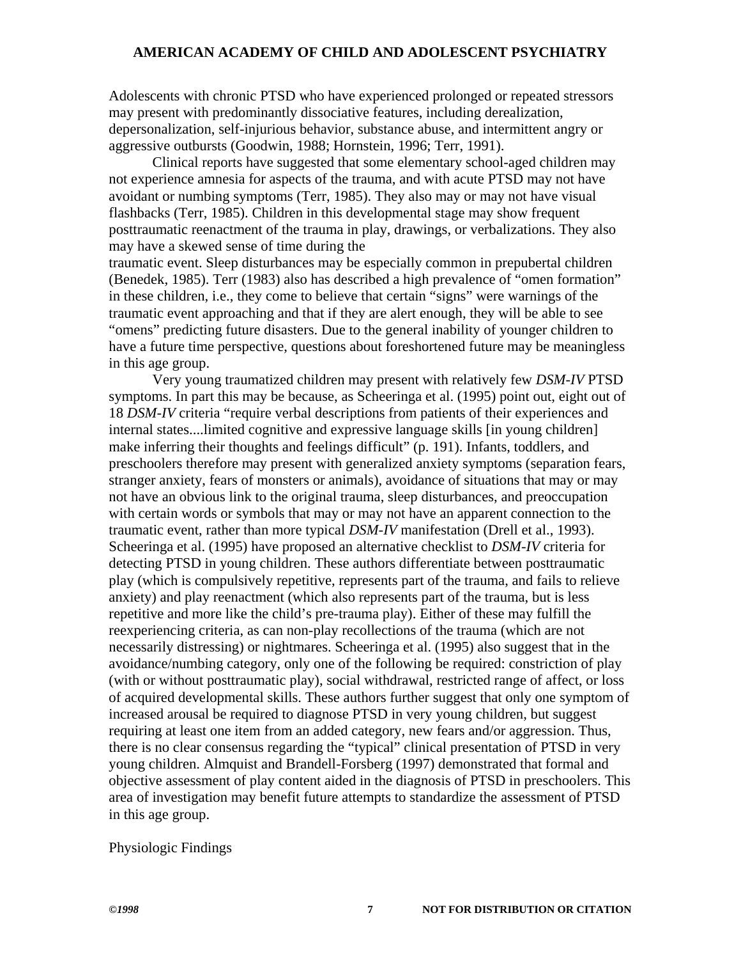Adolescents with chronic PTSD who have experienced prolonged or repeated stressors may present with predominantly dissociative features, including derealization, depersonalization, self-injurious behavior, substance abuse, and intermittent angry or aggressive outbursts (Goodwin, 1988; Hornstein, 1996; Terr, 1991).

Clinical reports have suggested that some elementary school-aged children may not experience amnesia for aspects of the trauma, and with acute PTSD may not have avoidant or numbing symptoms (Terr, 1985). They also may or may not have visual flashbacks (Terr, 1985). Children in this developmental stage may show frequent posttraumatic reenactment of the trauma in play, drawings, or verbalizations. They also may have a skewed sense of time during the

traumatic event. Sleep disturbances may be especially common in prepubertal children (Benedek, 1985). Terr (1983) also has described a high prevalence of "omen formation" in these children, i.e., they come to believe that certain "signs" were warnings of the traumatic event approaching and that if they are alert enough, they will be able to see "omens" predicting future disasters. Due to the general inability of younger children to have a future time perspective, questions about foreshortened future may be meaningless in this age group.

Very young traumatized children may present with relatively few *DSM-IV* PTSD symptoms. In part this may be because, as Scheeringa et al. (1995) point out, eight out of 18 *DSM-IV* criteria "require verbal descriptions from patients of their experiences and internal states....limited cognitive and expressive language skills [in young children] make inferring their thoughts and feelings difficult" (p. 191). Infants, toddlers, and preschoolers therefore may present with generalized anxiety symptoms (separation fears, stranger anxiety, fears of monsters or animals), avoidance of situations that may or may not have an obvious link to the original trauma, sleep disturbances, and preoccupation with certain words or symbols that may or may not have an apparent connection to the traumatic event, rather than more typical *DSM-IV* manifestation (Drell et al., 1993). Scheeringa et al. (1995) have proposed an alternative checklist to *DSM-IV* criteria for detecting PTSD in young children. These authors differentiate between posttraumatic play (which is compulsively repetitive, represents part of the trauma, and fails to relieve anxiety) and play reenactment (which also represents part of the trauma, but is less repetitive and more like the child's pre-trauma play). Either of these may fulfill the reexperiencing criteria, as can non-play recollections of the trauma (which are not necessarily distressing) or nightmares. Scheeringa et al. (1995) also suggest that in the avoidance/numbing category, only one of the following be required: constriction of play (with or without posttraumatic play), social withdrawal, restricted range of affect, or loss of acquired developmental skills. These authors further suggest that only one symptom of increased arousal be required to diagnose PTSD in very young children, but suggest requiring at least one item from an added category, new fears and/or aggression. Thus, there is no clear consensus regarding the "typical" clinical presentation of PTSD in very young children. Almquist and Brandell-Forsberg (1997) demonstrated that formal and objective assessment of play content aided in the diagnosis of PTSD in preschoolers. This area of investigation may benefit future attempts to standardize the assessment of PTSD in this age group.

#### Physiologic Findings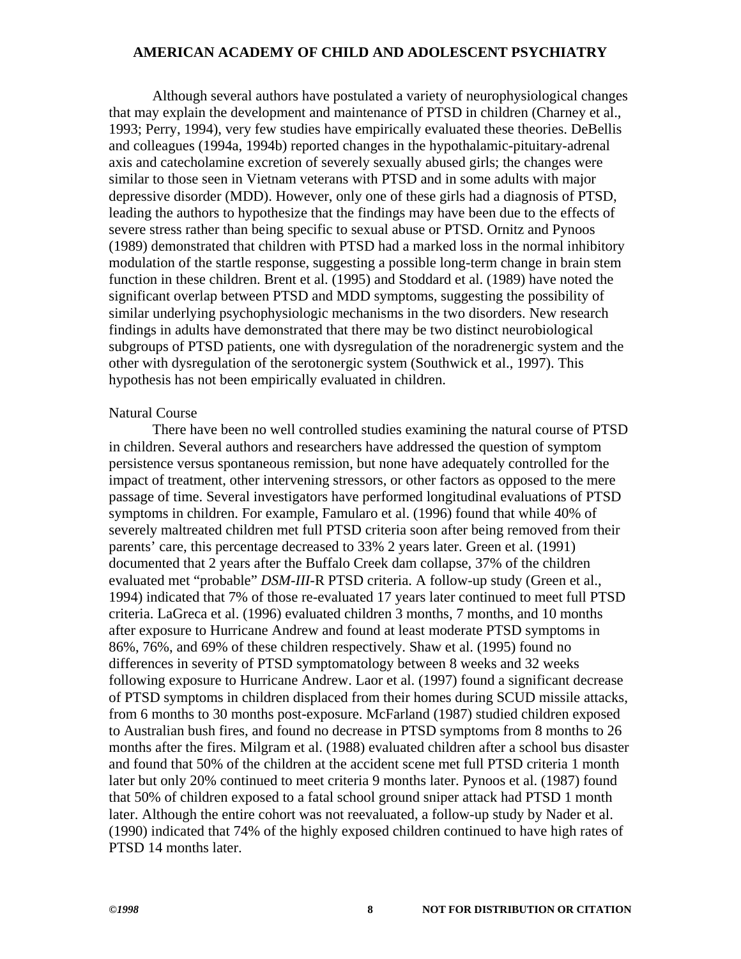Although several authors have postulated a variety of neurophysiological changes that may explain the development and maintenance of PTSD in children (Charney et al., 1993; Perry, 1994), very few studies have empirically evaluated these theories. DeBellis and colleagues (1994a, 1994b) reported changes in the hypothalamic-pituitary-adrenal axis and catecholamine excretion of severely sexually abused girls; the changes were similar to those seen in Vietnam veterans with PTSD and in some adults with major depressive disorder (MDD). However, only one of these girls had a diagnosis of PTSD, leading the authors to hypothesize that the findings may have been due to the effects of severe stress rather than being specific to sexual abuse or PTSD. Ornitz and Pynoos (1989) demonstrated that children with PTSD had a marked loss in the normal inhibitory modulation of the startle response, suggesting a possible long-term change in brain stem function in these children. Brent et al. (1995) and Stoddard et al. (1989) have noted the significant overlap between PTSD and MDD symptoms, suggesting the possibility of similar underlying psychophysiologic mechanisms in the two disorders. New research findings in adults have demonstrated that there may be two distinct neurobiological subgroups of PTSD patients, one with dysregulation of the noradrenergic system and the other with dysregulation of the serotonergic system (Southwick et al., 1997). This hypothesis has not been empirically evaluated in children.

#### Natural Course

There have been no well controlled studies examining the natural course of PTSD in children. Several authors and researchers have addressed the question of symptom persistence versus spontaneous remission, but none have adequately controlled for the impact of treatment, other intervening stressors, or other factors as opposed to the mere passage of time. Several investigators have performed longitudinal evaluations of PTSD symptoms in children. For example, Famularo et al. (1996) found that while 40% of severely maltreated children met full PTSD criteria soon after being removed from their parents' care, this percentage decreased to 33% 2 years later. Green et al. (1991) documented that 2 years after the Buffalo Creek dam collapse, 37% of the children evaluated met "probable" *DSM-III*-R PTSD criteria. A follow-up study (Green et al., 1994) indicated that 7% of those re-evaluated 17 years later continued to meet full PTSD criteria. LaGreca et al. (1996) evaluated children 3 months, 7 months, and 10 months after exposure to Hurricane Andrew and found at least moderate PTSD symptoms in 86%, 76%, and 69% of these children respectively. Shaw et al. (1995) found no differences in severity of PTSD symptomatology between 8 weeks and 32 weeks following exposure to Hurricane Andrew. Laor et al. (1997) found a significant decrease of PTSD symptoms in children displaced from their homes during SCUD missile attacks, from 6 months to 30 months post-exposure. McFarland (1987) studied children exposed to Australian bush fires, and found no decrease in PTSD symptoms from 8 months to 26 months after the fires. Milgram et al. (1988) evaluated children after a school bus disaster and found that 50% of the children at the accident scene met full PTSD criteria 1 month later but only 20% continued to meet criteria 9 months later. Pynoos et al. (1987) found that 50% of children exposed to a fatal school ground sniper attack had PTSD 1 month later. Although the entire cohort was not reevaluated, a follow-up study by Nader et al. (1990) indicated that 74% of the highly exposed children continued to have high rates of PTSD 14 months later.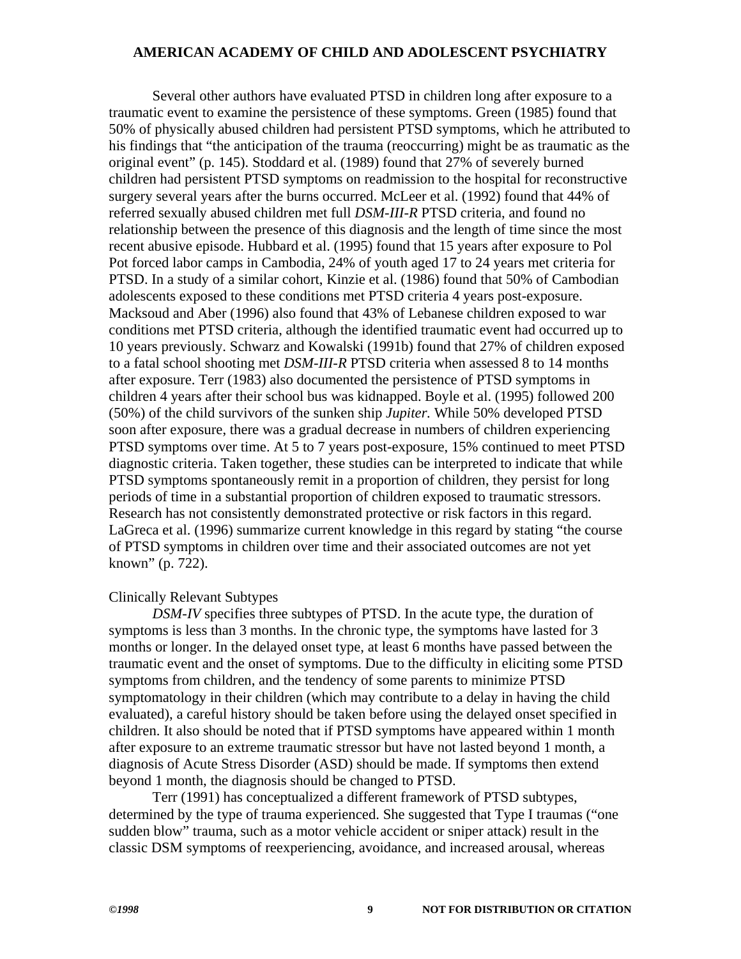Several other authors have evaluated PTSD in children long after exposure to a traumatic event to examine the persistence of these symptoms. Green (1985) found that 50% of physically abused children had persistent PTSD symptoms, which he attributed to his findings that "the anticipation of the trauma (reoccurring) might be as traumatic as the original event" (p. 145). Stoddard et al. (1989) found that 27% of severely burned children had persistent PTSD symptoms on readmission to the hospital for reconstructive surgery several years after the burns occurred. McLeer et al. (1992) found that 44% of referred sexually abused children met full *DSM-III-R* PTSD criteria, and found no relationship between the presence of this diagnosis and the length of time since the most recent abusive episode. Hubbard et al. (1995) found that 15 years after exposure to Pol Pot forced labor camps in Cambodia, 24% of youth aged 17 to 24 years met criteria for PTSD. In a study of a similar cohort, Kinzie et al. (1986) found that 50% of Cambodian adolescents exposed to these conditions met PTSD criteria 4 years post-exposure. Macksoud and Aber (1996) also found that 43% of Lebanese children exposed to war conditions met PTSD criteria, although the identified traumatic event had occurred up to 10 years previously. Schwarz and Kowalski (1991b) found that 27% of children exposed to a fatal school shooting met *DSM-III-R* PTSD criteria when assessed 8 to 14 months after exposure. Terr (1983) also documented the persistence of PTSD symptoms in children 4 years after their school bus was kidnapped. Boyle et al. (1995) followed 200 (50%) of the child survivors of the sunken ship *Jupiter.* While 50% developed PTSD soon after exposure, there was a gradual decrease in numbers of children experiencing PTSD symptoms over time. At 5 to 7 years post-exposure, 15% continued to meet PTSD diagnostic criteria. Taken together, these studies can be interpreted to indicate that while PTSD symptoms spontaneously remit in a proportion of children, they persist for long periods of time in a substantial proportion of children exposed to traumatic stressors. Research has not consistently demonstrated protective or risk factors in this regard. LaGreca et al. (1996) summarize current knowledge in this regard by stating "the course of PTSD symptoms in children over time and their associated outcomes are not yet known" (p. 722).

#### Clinically Relevant Subtypes

 *DSM-IV* specifies three subtypes of PTSD. In the acute type, the duration of symptoms is less than 3 months. In the chronic type, the symptoms have lasted for 3 months or longer. In the delayed onset type, at least 6 months have passed between the traumatic event and the onset of symptoms. Due to the difficulty in eliciting some PTSD symptoms from children, and the tendency of some parents to minimize PTSD symptomatology in their children (which may contribute to a delay in having the child evaluated), a careful history should be taken before using the delayed onset specified in children. It also should be noted that if PTSD symptoms have appeared within 1 month after exposure to an extreme traumatic stressor but have not lasted beyond 1 month, a diagnosis of Acute Stress Disorder (ASD) should be made. If symptoms then extend beyond 1 month, the diagnosis should be changed to PTSD.

Terr (1991) has conceptualized a different framework of PTSD subtypes, determined by the type of trauma experienced. She suggested that Type I traumas ("one sudden blow" trauma, such as a motor vehicle accident or sniper attack) result in the classic DSM symptoms of reexperiencing, avoidance, and increased arousal, whereas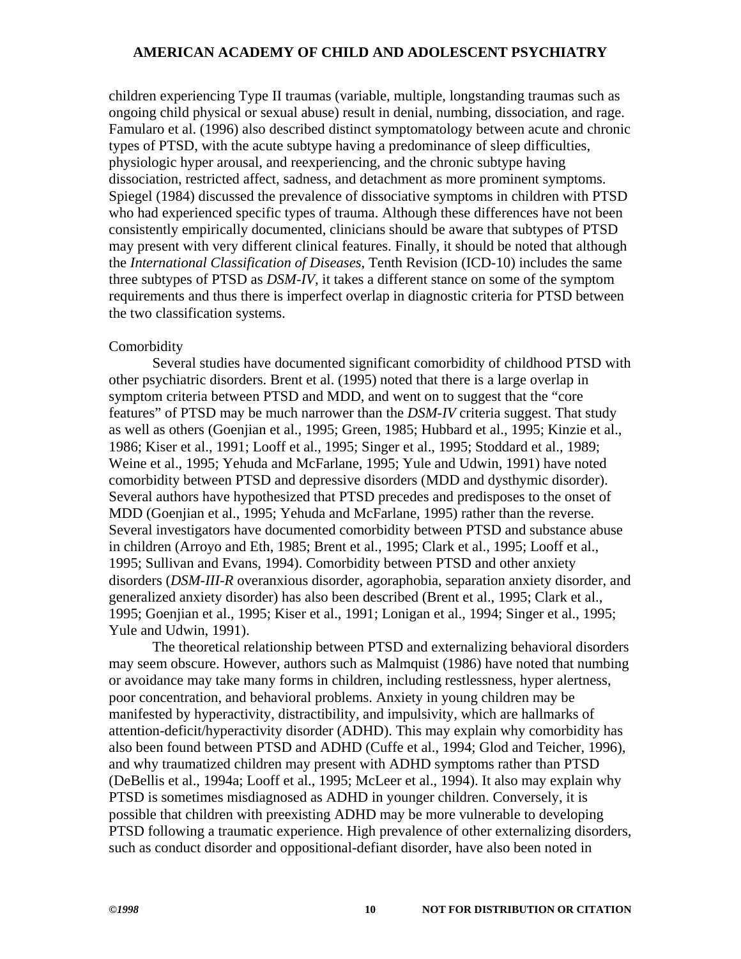children experiencing Type II traumas (variable, multiple, longstanding traumas such as ongoing child physical or sexual abuse) result in denial, numbing, dissociation, and rage. Famularo et al. (1996) also described distinct symptomatology between acute and chronic types of PTSD, with the acute subtype having a predominance of sleep difficulties, physiologic hyper arousal, and reexperiencing, and the chronic subtype having dissociation, restricted affect, sadness, and detachment as more prominent symptoms. Spiegel (1984) discussed the prevalence of dissociative symptoms in children with PTSD who had experienced specific types of trauma. Although these differences have not been consistently empirically documented, clinicians should be aware that subtypes of PTSD may present with very different clinical features. Finally, it should be noted that although the *International Classification of Diseases*, Tenth Revision (ICD-10) includes the same three subtypes of PTSD as *DSM-IV*, it takes a different stance on some of the symptom requirements and thus there is imperfect overlap in diagnostic criteria for PTSD between the two classification systems.

#### Comorbidity

Several studies have documented significant comorbidity of childhood PTSD with other psychiatric disorders. Brent et al. (1995) noted that there is a large overlap in symptom criteria between PTSD and MDD, and went on to suggest that the "core features" of PTSD may be much narrower than the *DSM-IV* criteria suggest. That study as well as others (Goenjian et al., 1995; Green, 1985; Hubbard et al., 1995; Kinzie et al., 1986; Kiser et al., 1991; Looff et al., 1995; Singer et al., 1995; Stoddard et al., 1989; Weine et al., 1995; Yehuda and McFarlane, 1995; Yule and Udwin, 1991) have noted comorbidity between PTSD and depressive disorders (MDD and dysthymic disorder). Several authors have hypothesized that PTSD precedes and predisposes to the onset of MDD (Goenjian et al., 1995; Yehuda and McFarlane, 1995) rather than the reverse. Several investigators have documented comorbidity between PTSD and substance abuse in children (Arroyo and Eth, 1985; Brent et al., 1995; Clark et al., 1995; Looff et al., 1995; Sullivan and Evans, 1994). Comorbidity between PTSD and other anxiety disorders (*DSM-III-R* overanxious disorder, agoraphobia, separation anxiety disorder, and generalized anxiety disorder) has also been described (Brent et al., 1995; Clark et al., 1995; Goenjian et al., 1995; Kiser et al., 1991; Lonigan et al., 1994; Singer et al., 1995; Yule and Udwin, 1991).

The theoretical relationship between PTSD and externalizing behavioral disorders may seem obscure. However, authors such as Malmquist (1986) have noted that numbing or avoidance may take many forms in children, including restlessness, hyper alertness, poor concentration, and behavioral problems. Anxiety in young children may be manifested by hyperactivity, distractibility, and impulsivity, which are hallmarks of attention-deficit/hyperactivity disorder (ADHD). This may explain why comorbidity has also been found between PTSD and ADHD (Cuffe et al., 1994; Glod and Teicher, 1996), and why traumatized children may present with ADHD symptoms rather than PTSD (DeBellis et al., 1994a; Looff et al., 1995; McLeer et al., 1994). It also may explain why PTSD is sometimes misdiagnosed as ADHD in younger children. Conversely, it is possible that children with preexisting ADHD may be more vulnerable to developing PTSD following a traumatic experience. High prevalence of other externalizing disorders, such as conduct disorder and oppositional-defiant disorder, have also been noted in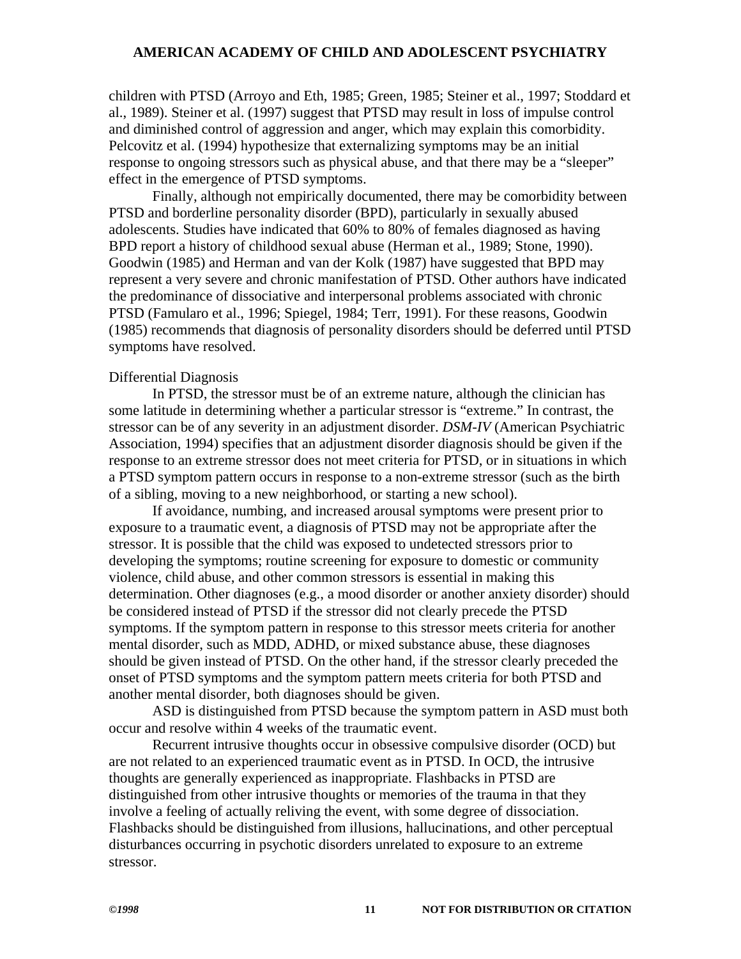children with PTSD (Arroyo and Eth, 1985; Green, 1985; Steiner et al., 1997; Stoddard et al., 1989). Steiner et al. (1997) suggest that PTSD may result in loss of impulse control and diminished control of aggression and anger, which may explain this comorbidity. Pelcovitz et al. (1994) hypothesize that externalizing symptoms may be an initial response to ongoing stressors such as physical abuse, and that there may be a "sleeper" effect in the emergence of PTSD symptoms.

Finally, although not empirically documented, there may be comorbidity between PTSD and borderline personality disorder (BPD), particularly in sexually abused adolescents. Studies have indicated that 60% to 80% of females diagnosed as having BPD report a history of childhood sexual abuse (Herman et al., 1989; Stone, 1990). Goodwin (1985) and Herman and van der Kolk (1987) have suggested that BPD may represent a very severe and chronic manifestation of PTSD. Other authors have indicated the predominance of dissociative and interpersonal problems associated with chronic PTSD (Famularo et al., 1996; Spiegel, 1984; Terr, 1991). For these reasons, Goodwin (1985) recommends that diagnosis of personality disorders should be deferred until PTSD symptoms have resolved.

#### Differential Diagnosis

In PTSD, the stressor must be of an extreme nature, although the clinician has some latitude in determining whether a particular stressor is "extreme." In contrast, the stressor can be of any severity in an adjustment disorder. *DSM-IV* (American Psychiatric Association, 1994) specifies that an adjustment disorder diagnosis should be given if the response to an extreme stressor does not meet criteria for PTSD, or in situations in which a PTSD symptom pattern occurs in response to a non-extreme stressor (such as the birth of a sibling, moving to a new neighborhood, or starting a new school).

If avoidance, numbing, and increased arousal symptoms were present prior to exposure to a traumatic event, a diagnosis of PTSD may not be appropriate after the stressor. It is possible that the child was exposed to undetected stressors prior to developing the symptoms; routine screening for exposure to domestic or community violence, child abuse, and other common stressors is essential in making this determination. Other diagnoses (e.g., a mood disorder or another anxiety disorder) should be considered instead of PTSD if the stressor did not clearly precede the PTSD symptoms. If the symptom pattern in response to this stressor meets criteria for another mental disorder, such as MDD, ADHD, or mixed substance abuse, these diagnoses should be given instead of PTSD. On the other hand, if the stressor clearly preceded the onset of PTSD symptoms and the symptom pattern meets criteria for both PTSD and another mental disorder, both diagnoses should be given.

ASD is distinguished from PTSD because the symptom pattern in ASD must both occur and resolve within 4 weeks of the traumatic event.

Recurrent intrusive thoughts occur in obsessive compulsive disorder (OCD) but are not related to an experienced traumatic event as in PTSD. In OCD, the intrusive thoughts are generally experienced as inappropriate. Flashbacks in PTSD are distinguished from other intrusive thoughts or memories of the trauma in that they involve a feeling of actually reliving the event, with some degree of dissociation. Flashbacks should be distinguished from illusions, hallucinations, and other perceptual disturbances occurring in psychotic disorders unrelated to exposure to an extreme stressor.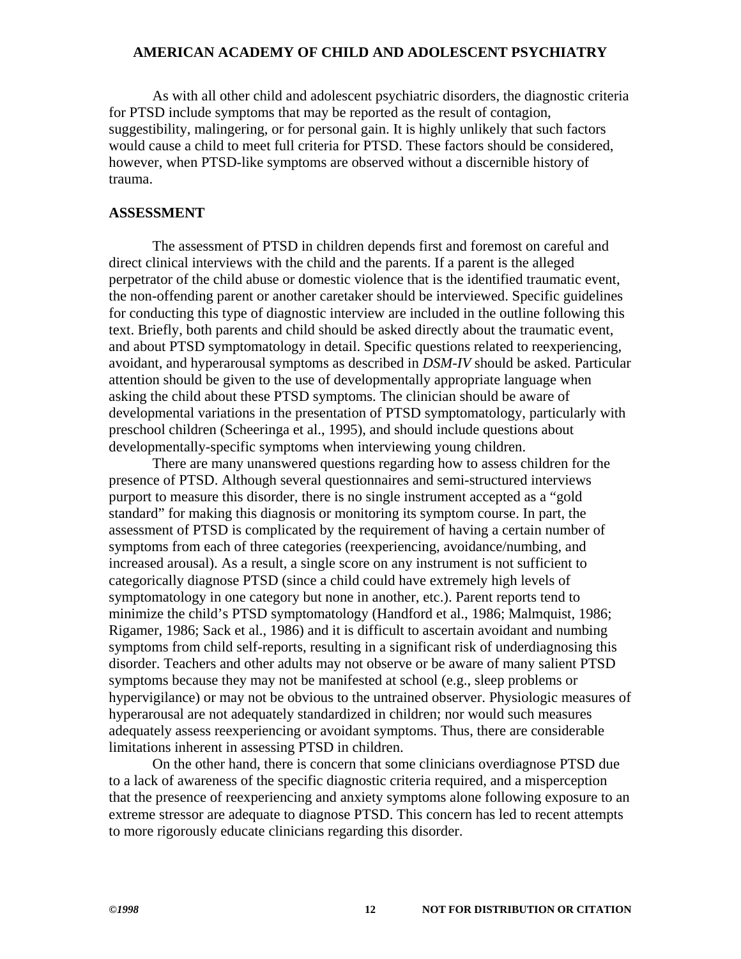As with all other child and adolescent psychiatric disorders, the diagnostic criteria for PTSD include symptoms that may be reported as the result of contagion, suggestibility, malingering, or for personal gain. It is highly unlikely that such factors would cause a child to meet full criteria for PTSD. These factors should be considered, however, when PTSD-like symptoms are observed without a discernible history of trauma.

#### **ASSESSMENT**

The assessment of PTSD in children depends first and foremost on careful and direct clinical interviews with the child and the parents. If a parent is the alleged perpetrator of the child abuse or domestic violence that is the identified traumatic event, the non-offending parent or another caretaker should be interviewed. Specific guidelines for conducting this type of diagnostic interview are included in the outline following this text. Briefly, both parents and child should be asked directly about the traumatic event, and about PTSD symptomatology in detail. Specific questions related to reexperiencing, avoidant, and hyperarousal symptoms as described in *DSM-IV* should be asked. Particular attention should be given to the use of developmentally appropriate language when asking the child about these PTSD symptoms. The clinician should be aware of developmental variations in the presentation of PTSD symptomatology, particularly with preschool children (Scheeringa et al., 1995), and should include questions about developmentally-specific symptoms when interviewing young children.

There are many unanswered questions regarding how to assess children for the presence of PTSD. Although several questionnaires and semi-structured interviews purport to measure this disorder, there is no single instrument accepted as a "gold standard" for making this diagnosis or monitoring its symptom course. In part, the assessment of PTSD is complicated by the requirement of having a certain number of symptoms from each of three categories (reexperiencing, avoidance/numbing, and increased arousal). As a result, a single score on any instrument is not sufficient to categorically diagnose PTSD (since a child could have extremely high levels of symptomatology in one category but none in another, etc.). Parent reports tend to minimize the child's PTSD symptomatology (Handford et al., 1986; Malmquist, 1986; Rigamer, 1986; Sack et al., 1986) and it is difficult to ascertain avoidant and numbing symptoms from child self-reports, resulting in a significant risk of underdiagnosing this disorder. Teachers and other adults may not observe or be aware of many salient PTSD symptoms because they may not be manifested at school (e.g., sleep problems or hypervigilance) or may not be obvious to the untrained observer. Physiologic measures of hyperarousal are not adequately standardized in children; nor would such measures adequately assess reexperiencing or avoidant symptoms. Thus, there are considerable limitations inherent in assessing PTSD in children.

On the other hand, there is concern that some clinicians overdiagnose PTSD due to a lack of awareness of the specific diagnostic criteria required, and a misperception that the presence of reexperiencing and anxiety symptoms alone following exposure to an extreme stressor are adequate to diagnose PTSD. This concern has led to recent attempts to more rigorously educate clinicians regarding this disorder.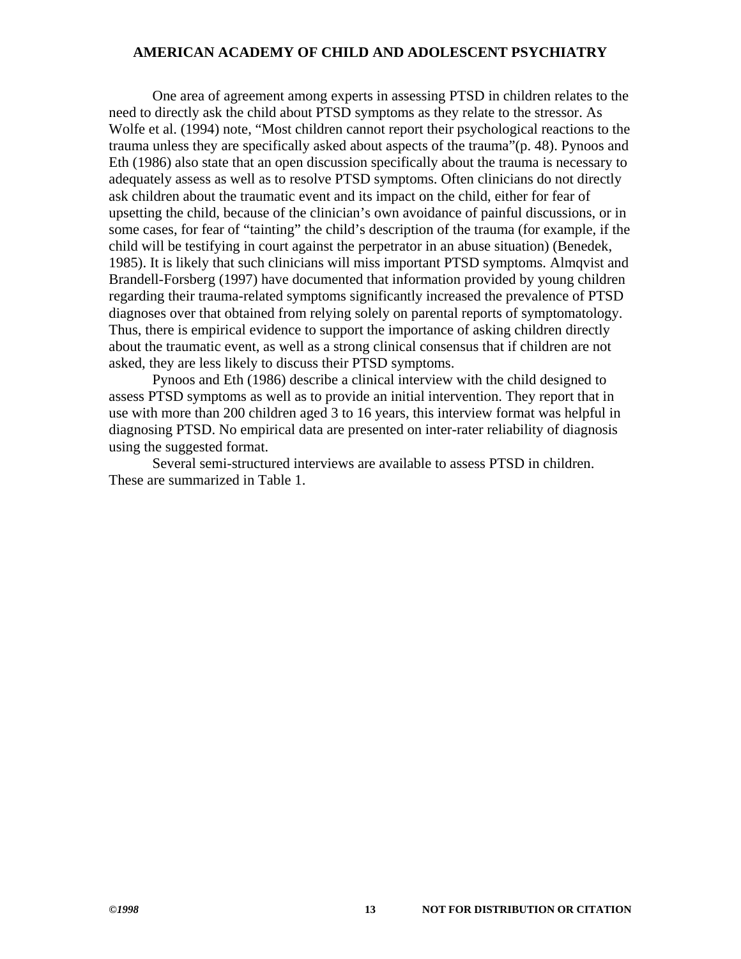One area of agreement among experts in assessing PTSD in children relates to the need to directly ask the child about PTSD symptoms as they relate to the stressor. As Wolfe et al. (1994) note, "Most children cannot report their psychological reactions to the trauma unless they are specifically asked about aspects of the trauma"(p. 48). Pynoos and Eth (1986) also state that an open discussion specifically about the trauma is necessary to adequately assess as well as to resolve PTSD symptoms. Often clinicians do not directly ask children about the traumatic event and its impact on the child, either for fear of upsetting the child, because of the clinician's own avoidance of painful discussions, or in some cases, for fear of "tainting" the child's description of the trauma (for example, if the child will be testifying in court against the perpetrator in an abuse situation) (Benedek, 1985). It is likely that such clinicians will miss important PTSD symptoms. Almqvist and Brandell-Forsberg (1997) have documented that information provided by young children regarding their trauma-related symptoms significantly increased the prevalence of PTSD diagnoses over that obtained from relying solely on parental reports of symptomatology. Thus, there is empirical evidence to support the importance of asking children directly about the traumatic event, as well as a strong clinical consensus that if children are not asked, they are less likely to discuss their PTSD symptoms.

Pynoos and Eth (1986) describe a clinical interview with the child designed to assess PTSD symptoms as well as to provide an initial intervention. They report that in use with more than 200 children aged 3 to 16 years, this interview format was helpful in diagnosing PTSD. No empirical data are presented on inter-rater reliability of diagnosis using the suggested format.

Several semi-structured interviews are available to assess PTSD in children. These are summarized in Table 1.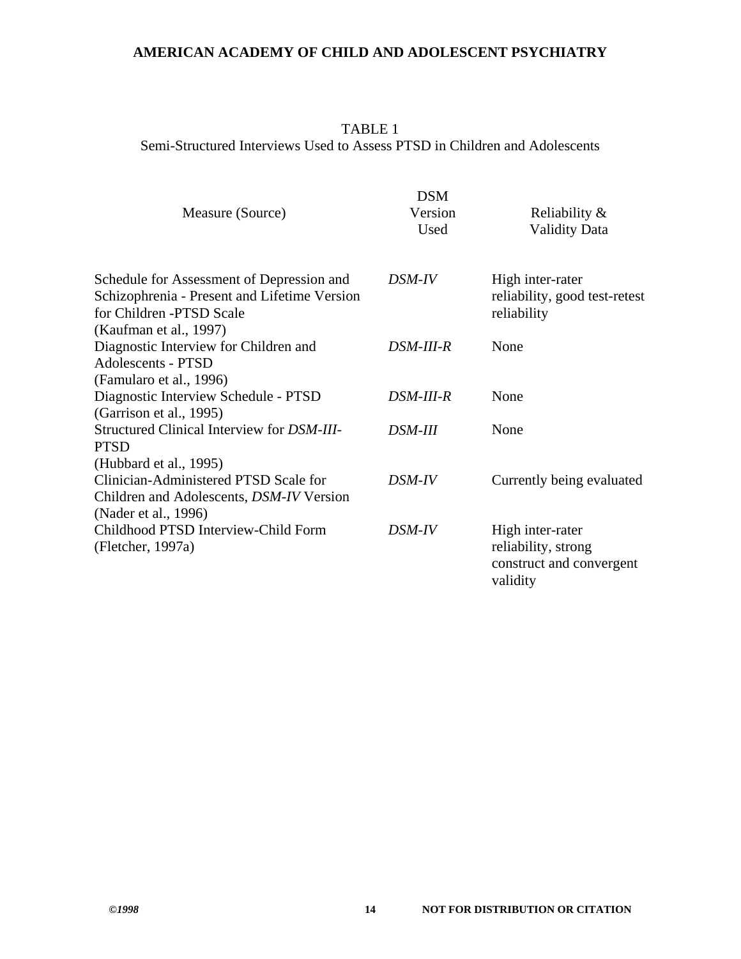# TABLE 1

Semi-Structured Interviews Used to Assess PTSD in Children and Adolescents

| Measure (Source)                                                                                                      | <b>DSM</b><br>Version<br>Used | Reliability &<br><b>Validity Data</b>                                           |
|-----------------------------------------------------------------------------------------------------------------------|-------------------------------|---------------------------------------------------------------------------------|
| Schedule for Assessment of Depression and<br>Schizophrenia - Present and Lifetime Version<br>for Children -PTSD Scale | DSM-IV                        | High inter-rater<br>reliability, good test-retest<br>reliability                |
| (Kaufman et al., 1997)<br>Diagnostic Interview for Children and                                                       | $DSM-III-R$                   | None                                                                            |
| <b>Adolescents - PTSD</b><br>(Famularo et al., 1996)                                                                  |                               |                                                                                 |
| Diagnostic Interview Schedule - PTSD<br>(Garrison et al., 1995)                                                       | DSM-III-R                     | None                                                                            |
| Structured Clinical Interview for <i>DSM-III</i> -<br><b>PTSD</b>                                                     | DSM-III                       | None                                                                            |
| (Hubbard et al., 1995)                                                                                                |                               |                                                                                 |
| Clinician-Administered PTSD Scale for<br>Children and Adolescents, DSM-IV Version<br>(Nader et al., 1996)             | DSM-IV                        | Currently being evaluated                                                       |
| Childhood PTSD Interview-Child Form<br>(Fletcher, 1997a)                                                              | DSM-IV                        | High inter-rater<br>reliability, strong<br>construct and convergent<br>validity |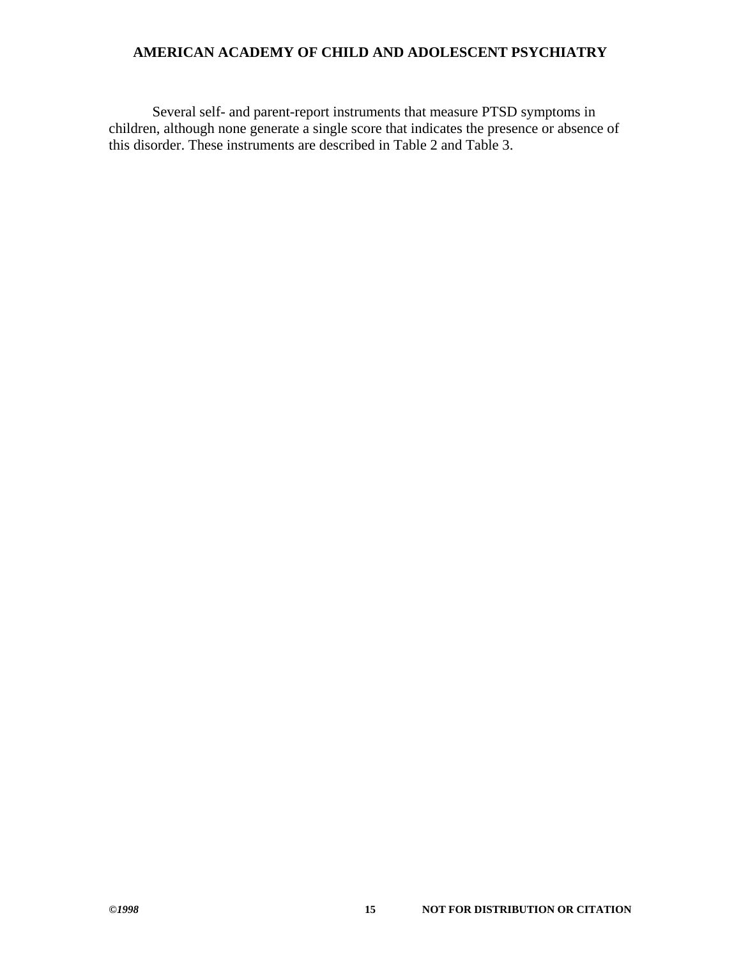Several self- and parent-report instruments that measure PTSD symptoms in children, although none generate a single score that indicates the presence or absence of this disorder. These instruments are described in Table 2 and Table 3.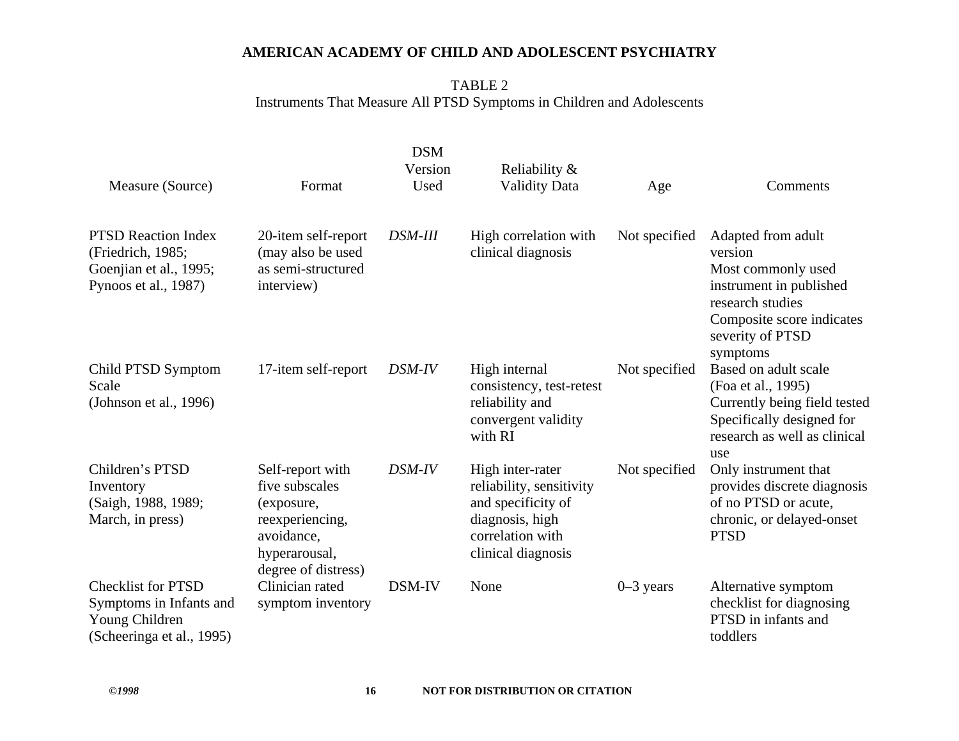# TABLE 2 Instruments That Measure All PTSD Symptoms in Children and Adolescents

| Measure (Source)                                                                                    | Format                                                                                                                    | <b>DSM</b><br>Version<br>Used | Reliability &<br><b>Validity Data</b>                                                                                           | Age           | Comments                                                                                                                                                        |
|-----------------------------------------------------------------------------------------------------|---------------------------------------------------------------------------------------------------------------------------|-------------------------------|---------------------------------------------------------------------------------------------------------------------------------|---------------|-----------------------------------------------------------------------------------------------------------------------------------------------------------------|
| <b>PTSD Reaction Index</b><br>(Friedrich, 1985;<br>Goenjian et al., 1995;<br>Pynoos et al., 1987)   | 20-item self-report<br>(may also be used<br>as semi-structured<br>interview)                                              | DSM-III                       | High correlation with<br>clinical diagnosis                                                                                     | Not specified | Adapted from adult<br>version<br>Most commonly used<br>instrument in published<br>research studies<br>Composite score indicates<br>severity of PTSD<br>symptoms |
| Child PTSD Symptom<br>Scale<br>(Johnson et al., 1996)                                               | 17-item self-report                                                                                                       | DSM-IV                        | High internal<br>consistency, test-retest<br>reliability and<br>convergent validity<br>with RI                                  | Not specified | Based on adult scale<br>(Foa et al., 1995)<br>Currently being field tested<br>Specifically designed for<br>research as well as clinical<br>use                  |
| Children's PTSD<br>Inventory<br>(Saigh, 1988, 1989;<br>March, in press)                             | Self-report with<br>five subscales<br>(exposure,<br>reexperiencing,<br>avoidance,<br>hyperarousal,<br>degree of distress) | $DSM-IV$                      | High inter-rater<br>reliability, sensitivity<br>and specificity of<br>diagnosis, high<br>correlation with<br>clinical diagnosis | Not specified | Only instrument that<br>provides discrete diagnosis<br>of no PTSD or acute,<br>chronic, or delayed-onset<br><b>PTSD</b>                                         |
| <b>Checklist for PTSD</b><br>Symptoms in Infants and<br>Young Children<br>(Scheeringa et al., 1995) | Clinician rated<br>symptom inventory                                                                                      | DSM-IV                        | None                                                                                                                            | $0-3$ years   | Alternative symptom<br>checklist for diagnosing<br>PTSD in infants and<br>toddlers                                                                              |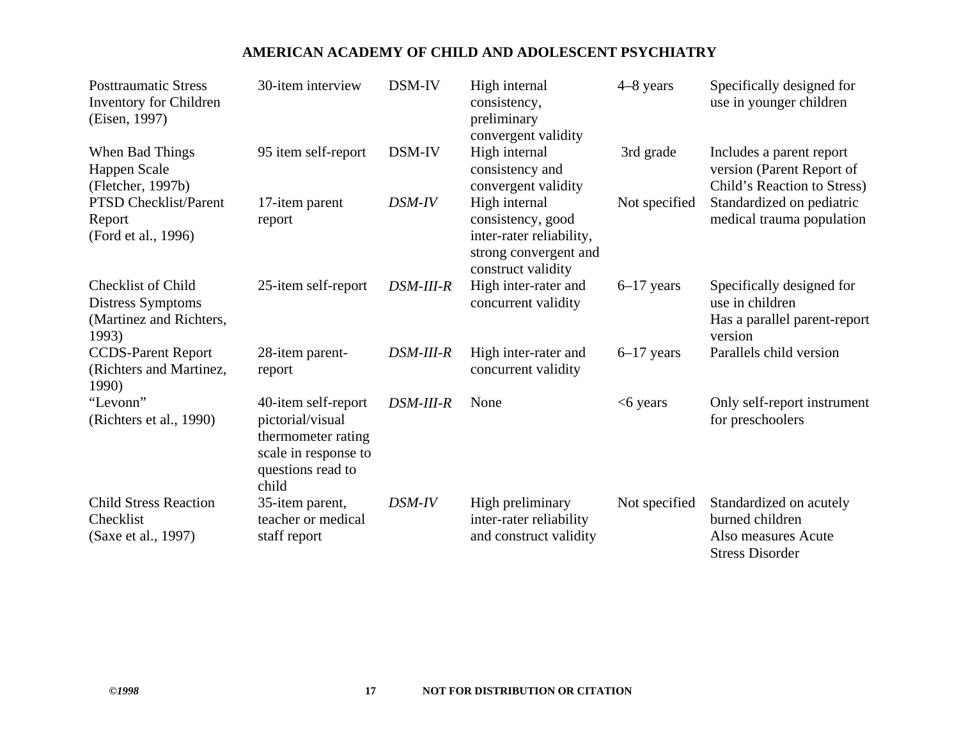| <b>Posttraumatic Stress</b><br><b>Inventory for Children</b><br>(Eisen, 1997)      | 30-item interview                                                                                                   | DSM-IV      | High internal<br>consistency,<br>preliminary<br>convergent validity                                           | 4–8 years     | Specifically designed for<br>use in younger children                                        |
|------------------------------------------------------------------------------------|---------------------------------------------------------------------------------------------------------------------|-------------|---------------------------------------------------------------------------------------------------------------|---------------|---------------------------------------------------------------------------------------------|
| When Bad Things<br>Happen Scale<br>(Fletcher, 1997b)                               | 95 item self-report                                                                                                 | DSM-IV      | High internal<br>consistency and<br>convergent validity                                                       | 3rd grade     | Includes a parent report<br>version (Parent Report of<br>Child's Reaction to Stress)        |
| PTSD Checklist/Parent<br>Report<br>(Ford et al., 1996)                             | 17-item parent<br>report                                                                                            | DSM-IV      | High internal<br>consistency, good<br>inter-rater reliability,<br>strong convergent and<br>construct validity | Not specified | Standardized on pediatric<br>medical trauma population                                      |
| <b>Checklist of Child</b><br>Distress Symptoms<br>(Martinez and Richters,<br>1993) | 25-item self-report                                                                                                 | $DSM-III-R$ | High inter-rater and<br>concurrent validity                                                                   | $6-17$ years  | Specifically designed for<br>use in children<br>Has a parallel parent-report<br>version     |
| <b>CCDS-Parent Report</b><br>(Richters and Martinez,<br>1990)                      | 28-item parent-<br>report                                                                                           | $DSM-III-R$ | High inter-rater and<br>concurrent validity                                                                   | $6-17$ years  | Parallels child version                                                                     |
| "Levonn"<br>(Richters et al., 1990)                                                | 40-item self-report<br>pictorial/visual<br>thermometer rating<br>scale in response to<br>questions read to<br>child | $DSM-III-R$ | None                                                                                                          | $<6$ years    | Only self-report instrument<br>for preschoolers                                             |
| <b>Child Stress Reaction</b><br>Checklist<br>(Saxe et al., 1997)                   | 35-item parent,<br>teacher or medical<br>staff report                                                               | DSM-IV      | High preliminary<br>inter-rater reliability<br>and construct validity                                         | Not specified | Standardized on acutely<br>burned children<br>Also measures Acute<br><b>Stress Disorder</b> |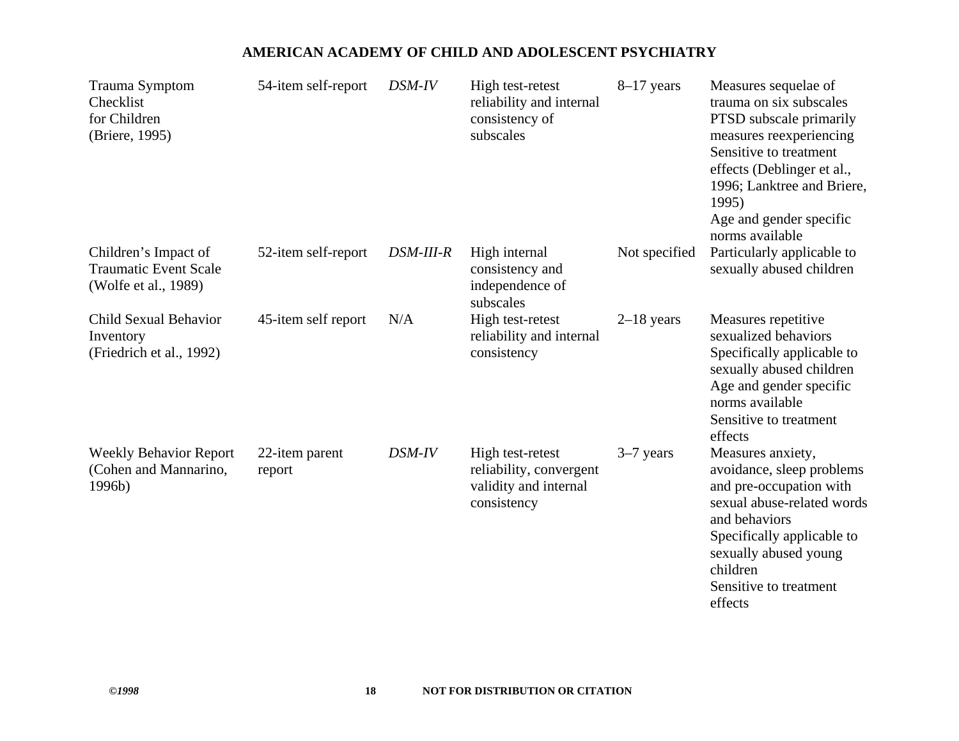#### Trauma Symptom Checklist for Children(Briere, 1995) 54-item self-report *DSM-IV* High test-retest reliability and internal consistency of subscales 8–17 years Measures sequelae of trauma on six subscales PTSD subscale primarily measures reexperiencing Sensitive to treatment effects (Deblinger et al., 1996; Lanktree and Briere, 1995) Age and gender specific norms available Children's Impact of Traumatic Event Scale (Wolfe et al., 1989) 52-item self-report *DSM-III-R* High internal consistency and independence of subscales Not specified Particularly applicable to sexually abused children Child Sexual Behavior Inventory (Friedrich et al., 1992) 45-item self report N/A High test-retest reliability and internal consistency 2–18 years Measures repetitive sexualized behaviors Specifically applicable to sexually abused children Age and gender specific norms available Sensitive to treatment effects Weekly Behavior Report (Cohen and Mannarino, 1996b) 22-item parent report *DSM-IV* High test-retest reliability, convergent validity and internal consistency 3–7 years Measures anxiety, avoidance, sleep problems and pre-occupation with sexual abuse-related words and behaviors Specifically applicable to sexually abused young children Sensitive to treatment effects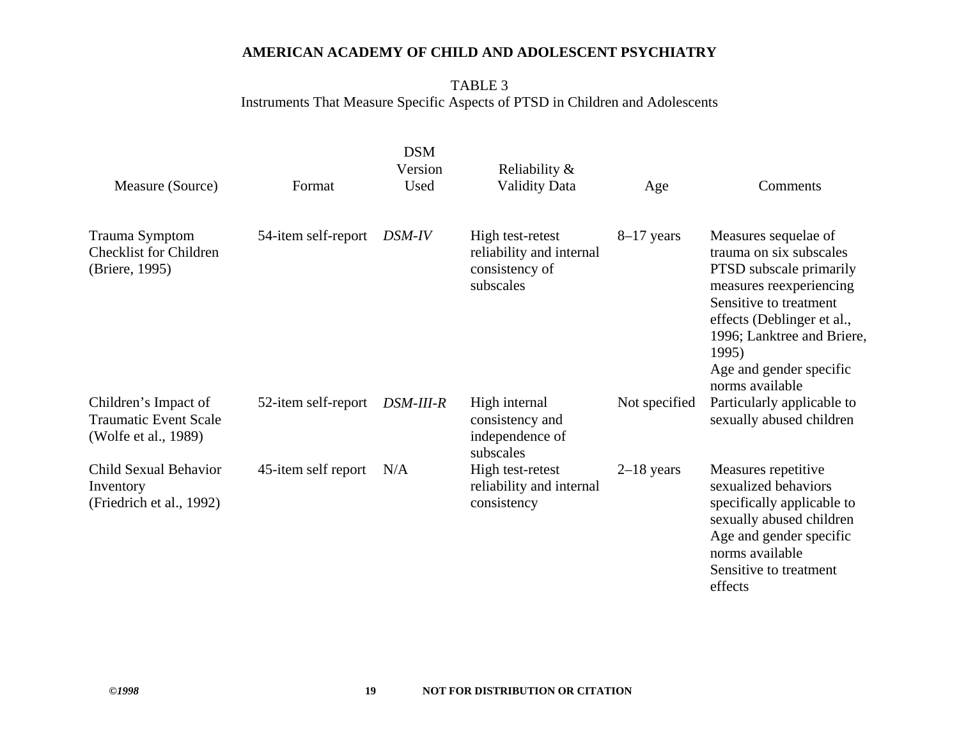# TABLE 3 Instruments That Measure Specific Aspects of PTSD in Children and Adolescents

| Measure (Source)                                                             | Format              | <b>DSM</b><br>Version<br>Used | Reliability &<br><b>Validity Data</b>                                       | Age           | Comments                                                                                                                                                                                                                                           |
|------------------------------------------------------------------------------|---------------------|-------------------------------|-----------------------------------------------------------------------------|---------------|----------------------------------------------------------------------------------------------------------------------------------------------------------------------------------------------------------------------------------------------------|
| Trauma Symptom<br><b>Checklist for Children</b><br>(Briere, 1995)            | 54-item self-report | DSM-IV                        | High test-retest<br>reliability and internal<br>consistency of<br>subscales | $8-17$ years  | Measures sequelae of<br>trauma on six subscales<br>PTSD subscale primarily<br>measures reexperiencing<br>Sensitive to treatment<br>effects (Deblinger et al.,<br>1996; Lanktree and Briere,<br>1995)<br>Age and gender specific<br>norms available |
| Children's Impact of<br><b>Traumatic Event Scale</b><br>(Wolfe et al., 1989) | 52-item self-report | DSM-III-R                     | High internal<br>consistency and<br>independence of<br>subscales            | Not specified | Particularly applicable to<br>sexually abused children                                                                                                                                                                                             |
| <b>Child Sexual Behavior</b><br>Inventory<br>(Friedrich et al., 1992)        | 45-item self report | N/A                           | High test-retest<br>reliability and internal<br>consistency                 | $2-18$ years  | Measures repetitive<br>sexualized behaviors<br>specifically applicable to<br>sexually abused children<br>Age and gender specific<br>norms available<br>Sensitive to treatment<br>effects                                                           |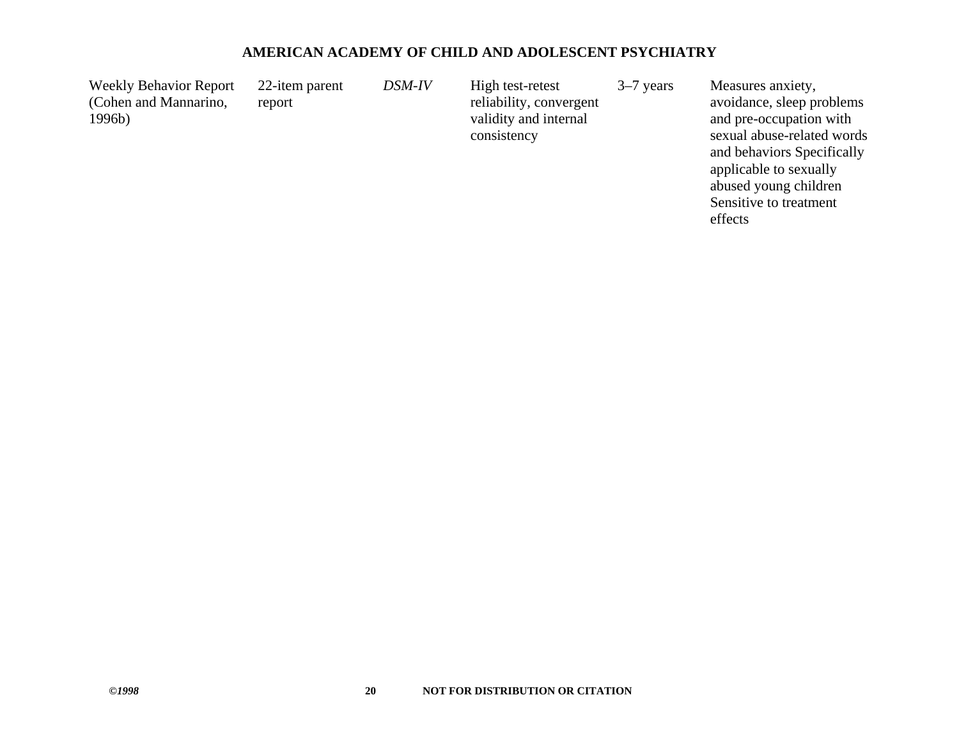Weekly Behavior Report (Cohen and Mannarino, 1996b)

22-item parent report

*DSM-IV*

 High test-retest reliability, convergent validity and internal consistency

3–7 years Measures anxiety, avoidance, sleep problems and pre-occupation with sexual abuse-related words and behaviors Specifically applicable to sexually abused young children Sensitive to treatment effects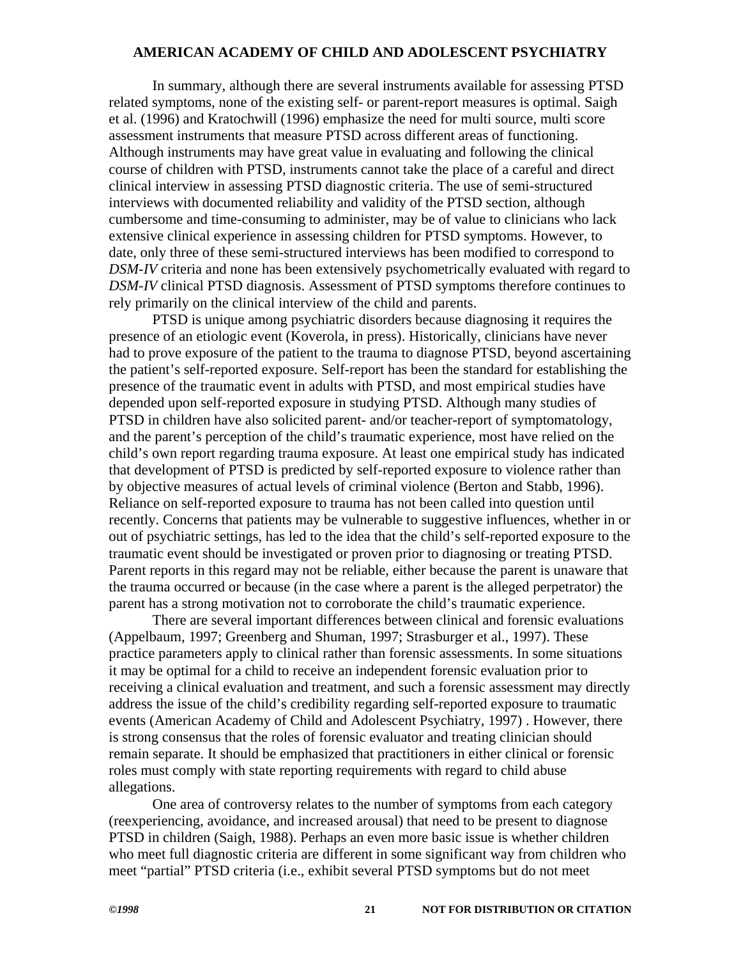In summary, although there are several instruments available for assessing PTSD related symptoms, none of the existing self- or parent-report measures is optimal. Saigh et al. (1996) and Kratochwill (1996) emphasize the need for multi source, multi score assessment instruments that measure PTSD across different areas of functioning. Although instruments may have great value in evaluating and following the clinical course of children with PTSD, instruments cannot take the place of a careful and direct clinical interview in assessing PTSD diagnostic criteria. The use of semi-structured interviews with documented reliability and validity of the PTSD section, although cumbersome and time-consuming to administer, may be of value to clinicians who lack extensive clinical experience in assessing children for PTSD symptoms. However, to date, only three of these semi-structured interviews has been modified to correspond to *DSM-IV* criteria and none has been extensively psychometrically evaluated with regard to *DSM-IV* clinical PTSD diagnosis. Assessment of PTSD symptoms therefore continues to rely primarily on the clinical interview of the child and parents.

PTSD is unique among psychiatric disorders because diagnosing it requires the presence of an etiologic event (Koverola, in press). Historically, clinicians have never had to prove exposure of the patient to the trauma to diagnose PTSD, beyond ascertaining the patient's self-reported exposure. Self-report has been the standard for establishing the presence of the traumatic event in adults with PTSD, and most empirical studies have depended upon self-reported exposure in studying PTSD. Although many studies of PTSD in children have also solicited parent- and/or teacher-report of symptomatology, and the parent's perception of the child's traumatic experience, most have relied on the child's own report regarding trauma exposure. At least one empirical study has indicated that development of PTSD is predicted by self-reported exposure to violence rather than by objective measures of actual levels of criminal violence (Berton and Stabb, 1996). Reliance on self-reported exposure to trauma has not been called into question until recently. Concerns that patients may be vulnerable to suggestive influences, whether in or out of psychiatric settings, has led to the idea that the child's self-reported exposure to the traumatic event should be investigated or proven prior to diagnosing or treating PTSD. Parent reports in this regard may not be reliable, either because the parent is unaware that the trauma occurred or because (in the case where a parent is the alleged perpetrator) the parent has a strong motivation not to corroborate the child's traumatic experience.

There are several important differences between clinical and forensic evaluations (Appelbaum, 1997; Greenberg and Shuman, 1997; Strasburger et al., 1997). These practice parameters apply to clinical rather than forensic assessments. In some situations it may be optimal for a child to receive an independent forensic evaluation prior to receiving a clinical evaluation and treatment, and such a forensic assessment may directly address the issue of the child's credibility regarding self-reported exposure to traumatic events (American Academy of Child and Adolescent Psychiatry, 1997) . However, there is strong consensus that the roles of forensic evaluator and treating clinician should remain separate. It should be emphasized that practitioners in either clinical or forensic roles must comply with state reporting requirements with regard to child abuse allegations.

One area of controversy relates to the number of symptoms from each category (reexperiencing, avoidance, and increased arousal) that need to be present to diagnose PTSD in children (Saigh, 1988). Perhaps an even more basic issue is whether children who meet full diagnostic criteria are different in some significant way from children who meet "partial" PTSD criteria (i.e., exhibit several PTSD symptoms but do not meet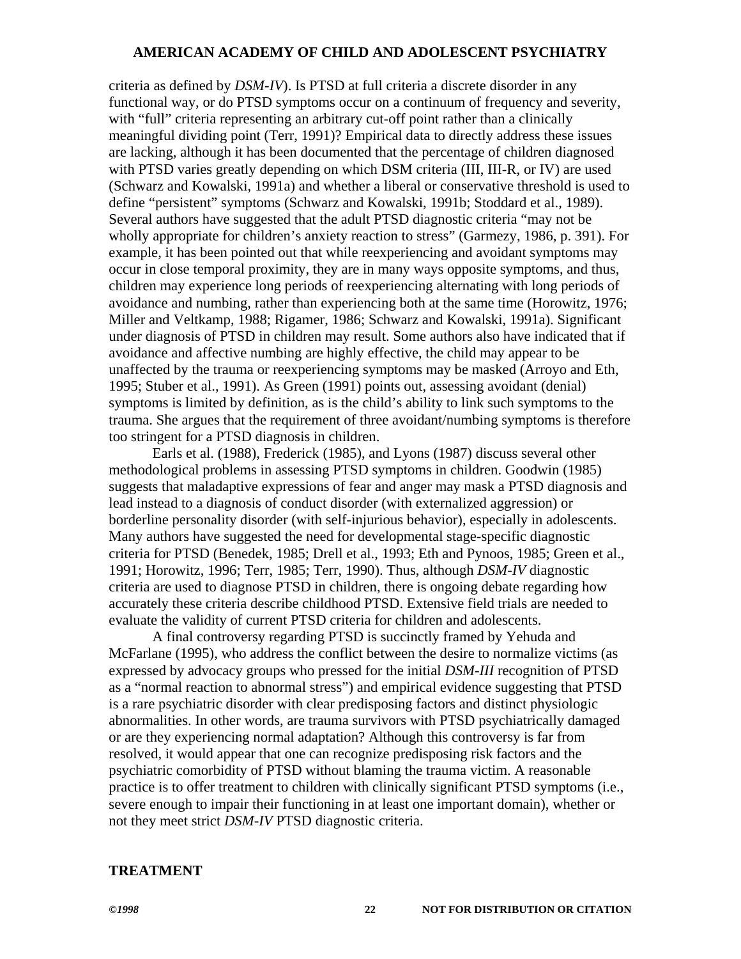criteria as defined by *DSM-IV*). Is PTSD at full criteria a discrete disorder in any functional way, or do PTSD symptoms occur on a continuum of frequency and severity, with "full" criteria representing an arbitrary cut-off point rather than a clinically meaningful dividing point (Terr, 1991)? Empirical data to directly address these issues are lacking, although it has been documented that the percentage of children diagnosed with PTSD varies greatly depending on which DSM criteria (III, III-R, or IV) are used (Schwarz and Kowalski, 1991a) and whether a liberal or conservative threshold is used to define "persistent" symptoms (Schwarz and Kowalski, 1991b; Stoddard et al., 1989). Several authors have suggested that the adult PTSD diagnostic criteria "may not be wholly appropriate for children's anxiety reaction to stress" (Garmezy, 1986, p. 391). For example, it has been pointed out that while reexperiencing and avoidant symptoms may occur in close temporal proximity, they are in many ways opposite symptoms, and thus, children may experience long periods of reexperiencing alternating with long periods of avoidance and numbing, rather than experiencing both at the same time (Horowitz, 1976; Miller and Veltkamp, 1988; Rigamer, 1986; Schwarz and Kowalski, 1991a). Significant under diagnosis of PTSD in children may result. Some authors also have indicated that if avoidance and affective numbing are highly effective, the child may appear to be unaffected by the trauma or reexperiencing symptoms may be masked (Arroyo and Eth, 1995; Stuber et al., 1991). As Green (1991) points out, assessing avoidant (denial) symptoms is limited by definition, as is the child's ability to link such symptoms to the trauma. She argues that the requirement of three avoidant/numbing symptoms is therefore too stringent for a PTSD diagnosis in children.

Earls et al. (1988), Frederick (1985), and Lyons (1987) discuss several other methodological problems in assessing PTSD symptoms in children. Goodwin (1985) suggests that maladaptive expressions of fear and anger may mask a PTSD diagnosis and lead instead to a diagnosis of conduct disorder (with externalized aggression) or borderline personality disorder (with self-injurious behavior), especially in adolescents. Many authors have suggested the need for developmental stage-specific diagnostic criteria for PTSD (Benedek, 1985; Drell et al., 1993; Eth and Pynoos, 1985; Green et al., 1991; Horowitz, 1996; Terr, 1985; Terr, 1990). Thus, although *DSM-IV* diagnostic criteria are used to diagnose PTSD in children, there is ongoing debate regarding how accurately these criteria describe childhood PTSD. Extensive field trials are needed to evaluate the validity of current PTSD criteria for children and adolescents.

A final controversy regarding PTSD is succinctly framed by Yehuda and McFarlane (1995), who address the conflict between the desire to normalize victims (as expressed by advocacy groups who pressed for the initial *DSM-III* recognition of PTSD as a "normal reaction to abnormal stress") and empirical evidence suggesting that PTSD is a rare psychiatric disorder with clear predisposing factors and distinct physiologic abnormalities. In other words, are trauma survivors with PTSD psychiatrically damaged or are they experiencing normal adaptation? Although this controversy is far from resolved, it would appear that one can recognize predisposing risk factors and the psychiatric comorbidity of PTSD without blaming the trauma victim. A reasonable practice is to offer treatment to children with clinically significant PTSD symptoms (i.e., severe enough to impair their functioning in at least one important domain), whether or not they meet strict *DSM-IV* PTSD diagnostic criteria.

#### **TREATMENT**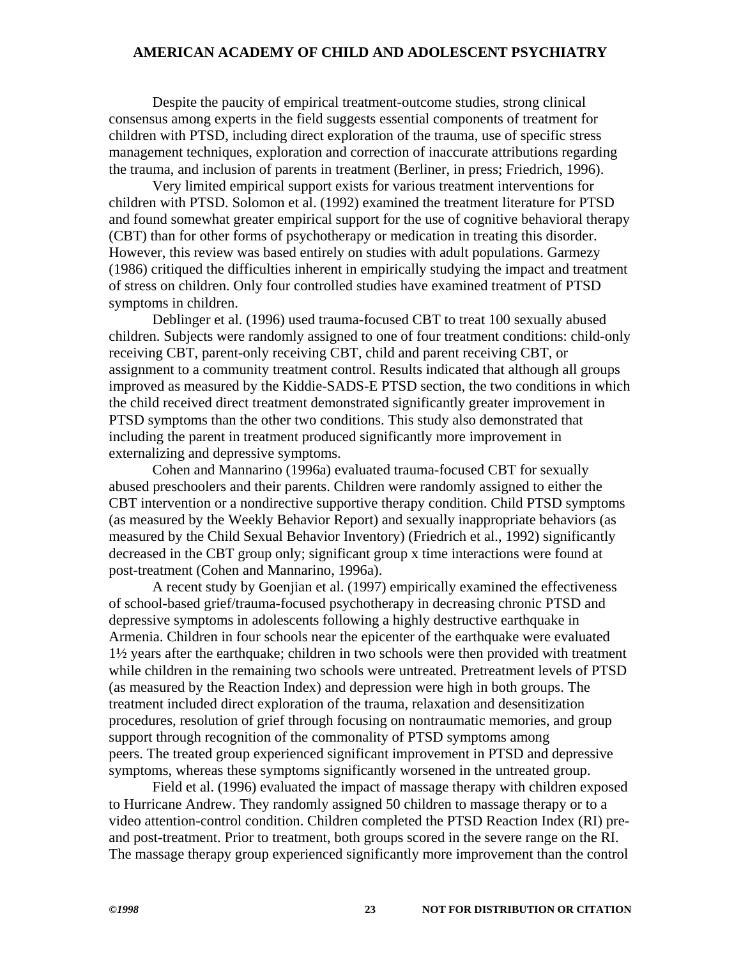Despite the paucity of empirical treatment-outcome studies, strong clinical consensus among experts in the field suggests essential components of treatment for children with PTSD, including direct exploration of the trauma, use of specific stress management techniques, exploration and correction of inaccurate attributions regarding the trauma, and inclusion of parents in treatment (Berliner, in press; Friedrich, 1996).

Very limited empirical support exists for various treatment interventions for children with PTSD. Solomon et al. (1992) examined the treatment literature for PTSD and found somewhat greater empirical support for the use of cognitive behavioral therapy (CBT) than for other forms of psychotherapy or medication in treating this disorder. However, this review was based entirely on studies with adult populations. Garmezy (1986) critiqued the difficulties inherent in empirically studying the impact and treatment of stress on children. Only four controlled studies have examined treatment of PTSD symptoms in children.

Deblinger et al. (1996) used trauma-focused CBT to treat 100 sexually abused children. Subjects were randomly assigned to one of four treatment conditions: child-only receiving CBT, parent-only receiving CBT, child and parent receiving CBT, or assignment to a community treatment control. Results indicated that although all groups improved as measured by the Kiddie-SADS-E PTSD section, the two conditions in which the child received direct treatment demonstrated significantly greater improvement in PTSD symptoms than the other two conditions. This study also demonstrated that including the parent in treatment produced significantly more improvement in externalizing and depressive symptoms.

Cohen and Mannarino (1996a) evaluated trauma-focused CBT for sexually abused preschoolers and their parents. Children were randomly assigned to either the CBT intervention or a nondirective supportive therapy condition. Child PTSD symptoms (as measured by the Weekly Behavior Report) and sexually inappropriate behaviors (as measured by the Child Sexual Behavior Inventory) (Friedrich et al., 1992) significantly decreased in the CBT group only; significant group x time interactions were found at post-treatment (Cohen and Mannarino, 1996a).

A recent study by Goenjian et al. (1997) empirically examined the effectiveness of school-based grief/trauma-focused psychotherapy in decreasing chronic PTSD and depressive symptoms in adolescents following a highly destructive earthquake in Armenia. Children in four schools near the epicenter of the earthquake were evaluated 1½ years after the earthquake; children in two schools were then provided with treatment while children in the remaining two schools were untreated. Pretreatment levels of PTSD (as measured by the Reaction Index) and depression were high in both groups. The treatment included direct exploration of the trauma, relaxation and desensitization procedures, resolution of grief through focusing on nontraumatic memories, and group support through recognition of the commonality of PTSD symptoms among peers. The treated group experienced significant improvement in PTSD and depressive symptoms, whereas these symptoms significantly worsened in the untreated group.

Field et al. (1996) evaluated the impact of massage therapy with children exposed to Hurricane Andrew. They randomly assigned 50 children to massage therapy or to a video attention-control condition. Children completed the PTSD Reaction Index (RI) preand post-treatment. Prior to treatment, both groups scored in the severe range on the RI. The massage therapy group experienced significantly more improvement than the control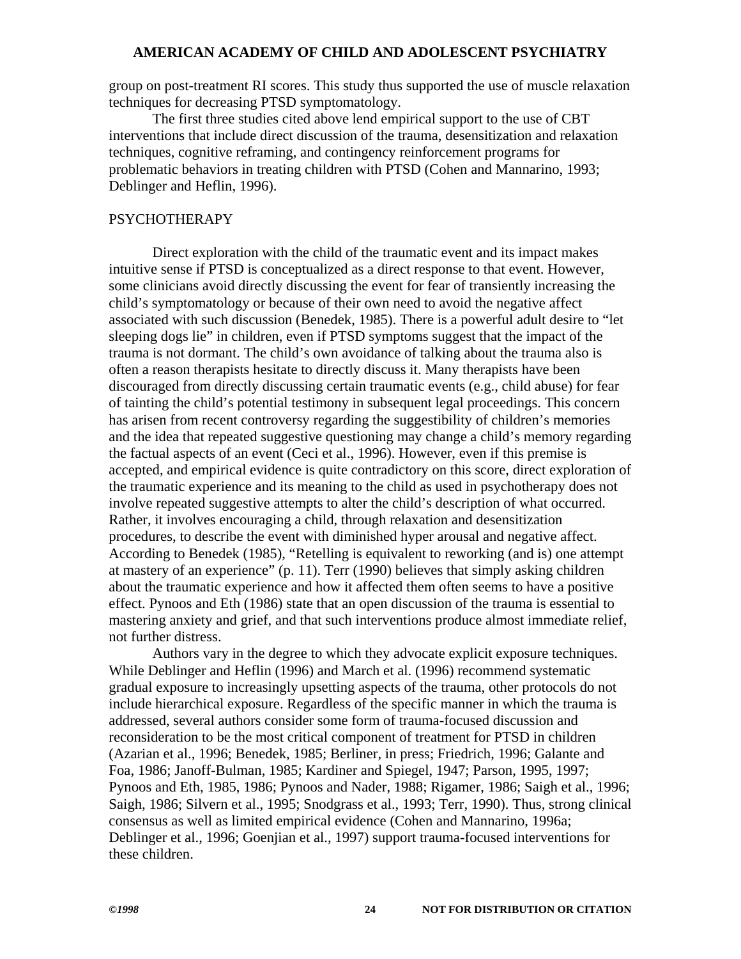group on post-treatment RI scores. This study thus supported the use of muscle relaxation techniques for decreasing PTSD symptomatology.

The first three studies cited above lend empirical support to the use of CBT interventions that include direct discussion of the trauma, desensitization and relaxation techniques, cognitive reframing, and contingency reinforcement programs for problematic behaviors in treating children with PTSD (Cohen and Mannarino, 1993; Deblinger and Heflin, 1996).

# PSYCHOTHERAPY

Direct exploration with the child of the traumatic event and its impact makes intuitive sense if PTSD is conceptualized as a direct response to that event. However, some clinicians avoid directly discussing the event for fear of transiently increasing the child's symptomatology or because of their own need to avoid the negative affect associated with such discussion (Benedek, 1985). There is a powerful adult desire to "let sleeping dogs lie" in children, even if PTSD symptoms suggest that the impact of the trauma is not dormant. The child's own avoidance of talking about the trauma also is often a reason therapists hesitate to directly discuss it. Many therapists have been discouraged from directly discussing certain traumatic events (e.g., child abuse) for fear of tainting the child's potential testimony in subsequent legal proceedings. This concern has arisen from recent controversy regarding the suggestibility of children's memories and the idea that repeated suggestive questioning may change a child's memory regarding the factual aspects of an event (Ceci et al., 1996). However, even if this premise is accepted, and empirical evidence is quite contradictory on this score, direct exploration of the traumatic experience and its meaning to the child as used in psychotherapy does not involve repeated suggestive attempts to alter the child's description of what occurred. Rather, it involves encouraging a child, through relaxation and desensitization procedures, to describe the event with diminished hyper arousal and negative affect. According to Benedek (1985), "Retelling is equivalent to reworking (and is) one attempt at mastery of an experience" (p. 11). Terr (1990) believes that simply asking children about the traumatic experience and how it affected them often seems to have a positive effect. Pynoos and Eth (1986) state that an open discussion of the trauma is essential to mastering anxiety and grief, and that such interventions produce almost immediate relief, not further distress.

Authors vary in the degree to which they advocate explicit exposure techniques. While Deblinger and Heflin (1996) and March et al. (1996) recommend systematic gradual exposure to increasingly upsetting aspects of the trauma, other protocols do not include hierarchical exposure. Regardless of the specific manner in which the trauma is addressed, several authors consider some form of trauma-focused discussion and reconsideration to be the most critical component of treatment for PTSD in children (Azarian et al., 1996; Benedek, 1985; Berliner, in press; Friedrich, 1996; Galante and Foa, 1986; Janoff-Bulman, 1985; Kardiner and Spiegel, 1947; Parson, 1995, 1997; Pynoos and Eth, 1985, 1986; Pynoos and Nader, 1988; Rigamer, 1986; Saigh et al., 1996; Saigh, 1986; Silvern et al., 1995; Snodgrass et al., 1993; Terr, 1990). Thus, strong clinical consensus as well as limited empirical evidence (Cohen and Mannarino, 1996a; Deblinger et al., 1996; Goenjian et al., 1997) support trauma-focused interventions for these children.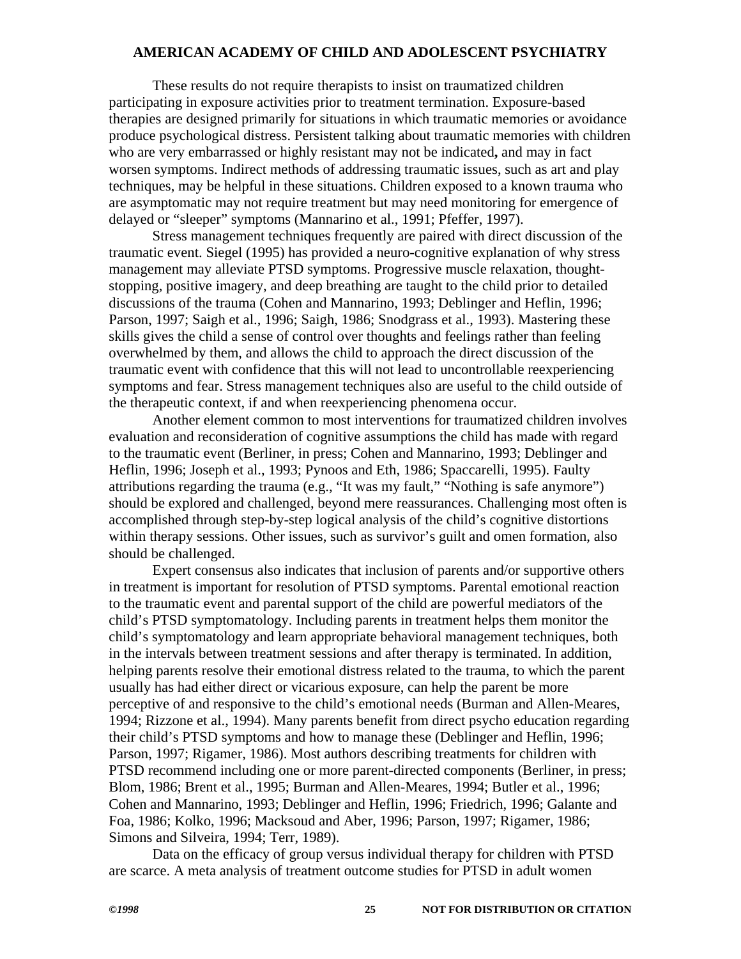These results do not require therapists to insist on traumatized children participating in exposure activities prior to treatment termination. Exposure-based therapies are designed primarily for situations in which traumatic memories or avoidance produce psychological distress. Persistent talking about traumatic memories with children who are very embarrassed or highly resistant may not be indicated**,** and may in fact worsen symptoms. Indirect methods of addressing traumatic issues, such as art and play techniques, may be helpful in these situations. Children exposed to a known trauma who are asymptomatic may not require treatment but may need monitoring for emergence of delayed or "sleeper" symptoms (Mannarino et al., 1991; Pfeffer, 1997).

Stress management techniques frequently are paired with direct discussion of the traumatic event. Siegel (1995) has provided a neuro-cognitive explanation of why stress management may alleviate PTSD symptoms. Progressive muscle relaxation, thoughtstopping, positive imagery, and deep breathing are taught to the child prior to detailed discussions of the trauma (Cohen and Mannarino, 1993; Deblinger and Heflin, 1996; Parson, 1997; Saigh et al., 1996; Saigh, 1986; Snodgrass et al., 1993). Mastering these skills gives the child a sense of control over thoughts and feelings rather than feeling overwhelmed by them, and allows the child to approach the direct discussion of the traumatic event with confidence that this will not lead to uncontrollable reexperiencing symptoms and fear. Stress management techniques also are useful to the child outside of the therapeutic context, if and when reexperiencing phenomena occur.

Another element common to most interventions for traumatized children involves evaluation and reconsideration of cognitive assumptions the child has made with regard to the traumatic event (Berliner, in press; Cohen and Mannarino, 1993; Deblinger and Heflin, 1996; Joseph et al., 1993; Pynoos and Eth, 1986; Spaccarelli, 1995). Faulty attributions regarding the trauma (e.g., "It was my fault," "Nothing is safe anymore") should be explored and challenged, beyond mere reassurances. Challenging most often is accomplished through step-by-step logical analysis of the child's cognitive distortions within therapy sessions. Other issues, such as survivor's guilt and omen formation, also should be challenged.

Expert consensus also indicates that inclusion of parents and/or supportive others in treatment is important for resolution of PTSD symptoms. Parental emotional reaction to the traumatic event and parental support of the child are powerful mediators of the child's PTSD symptomatology. Including parents in treatment helps them monitor the child's symptomatology and learn appropriate behavioral management techniques, both in the intervals between treatment sessions and after therapy is terminated. In addition, helping parents resolve their emotional distress related to the trauma, to which the parent usually has had either direct or vicarious exposure, can help the parent be more perceptive of and responsive to the child's emotional needs (Burman and Allen-Meares, 1994; Rizzone et al., 1994). Many parents benefit from direct psycho education regarding their child's PTSD symptoms and how to manage these (Deblinger and Heflin, 1996; Parson, 1997; Rigamer, 1986). Most authors describing treatments for children with PTSD recommend including one or more parent-directed components (Berliner, in press; Blom, 1986; Brent et al., 1995; Burman and Allen-Meares, 1994; Butler et al., 1996; Cohen and Mannarino, 1993; Deblinger and Heflin, 1996; Friedrich, 1996; Galante and Foa, 1986; Kolko, 1996; Macksoud and Aber, 1996; Parson, 1997; Rigamer, 1986; Simons and Silveira, 1994; Terr, 1989).

Data on the efficacy of group versus individual therapy for children with PTSD are scarce. A meta analysis of treatment outcome studies for PTSD in adult women

*©1998* **25 NOT FOR DISTRIBUTION OR CITATION**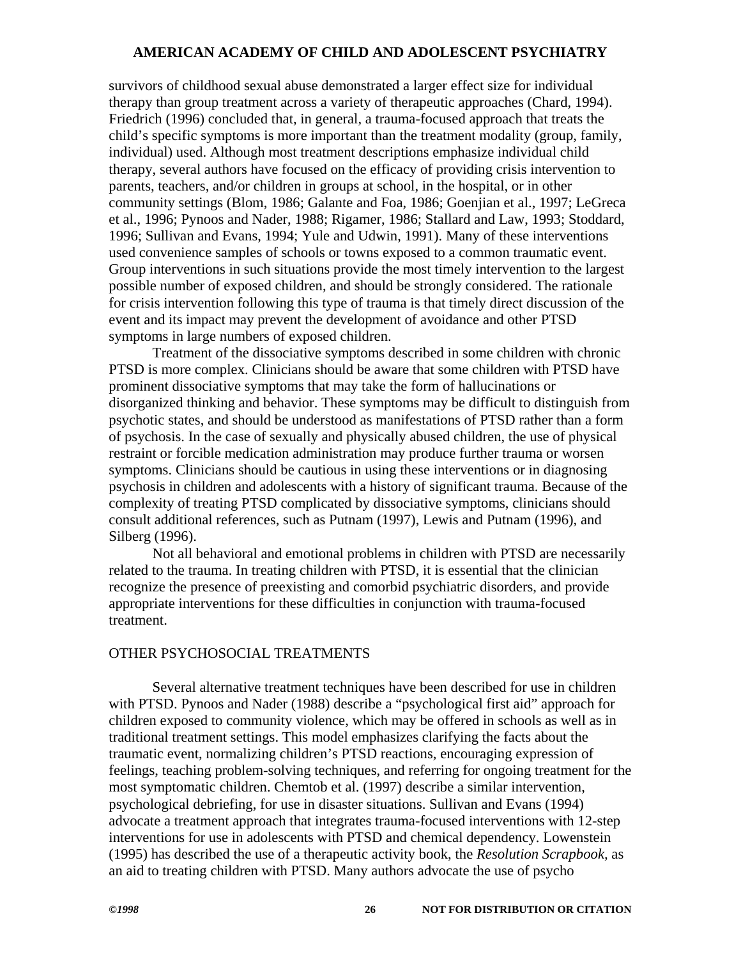survivors of childhood sexual abuse demonstrated a larger effect size for individual therapy than group treatment across a variety of therapeutic approaches (Chard, 1994). Friedrich (1996) concluded that, in general, a trauma-focused approach that treats the child's specific symptoms is more important than the treatment modality (group, family, individual) used. Although most treatment descriptions emphasize individual child therapy, several authors have focused on the efficacy of providing crisis intervention to parents, teachers, and/or children in groups at school, in the hospital, or in other community settings (Blom, 1986; Galante and Foa, 1986; Goenjian et al., 1997; LeGreca et al., 1996; Pynoos and Nader, 1988; Rigamer, 1986; Stallard and Law, 1993; Stoddard, 1996; Sullivan and Evans, 1994; Yule and Udwin, 1991). Many of these interventions used convenience samples of schools or towns exposed to a common traumatic event. Group interventions in such situations provide the most timely intervention to the largest possible number of exposed children, and should be strongly considered. The rationale for crisis intervention following this type of trauma is that timely direct discussion of the event and its impact may prevent the development of avoidance and other PTSD symptoms in large numbers of exposed children.

Treatment of the dissociative symptoms described in some children with chronic PTSD is more complex. Clinicians should be aware that some children with PTSD have prominent dissociative symptoms that may take the form of hallucinations or disorganized thinking and behavior. These symptoms may be difficult to distinguish from psychotic states, and should be understood as manifestations of PTSD rather than a form of psychosis. In the case of sexually and physically abused children, the use of physical restraint or forcible medication administration may produce further trauma or worsen symptoms. Clinicians should be cautious in using these interventions or in diagnosing psychosis in children and adolescents with a history of significant trauma. Because of the complexity of treating PTSD complicated by dissociative symptoms, clinicians should consult additional references, such as Putnam (1997), Lewis and Putnam (1996), and Silberg (1996).

Not all behavioral and emotional problems in children with PTSD are necessarily related to the trauma. In treating children with PTSD, it is essential that the clinician recognize the presence of preexisting and comorbid psychiatric disorders, and provide appropriate interventions for these difficulties in conjunction with trauma-focused treatment.

# OTHER PSYCHOSOCIAL TREATMENTS

Several alternative treatment techniques have been described for use in children with PTSD. Pynoos and Nader (1988) describe a "psychological first aid" approach for children exposed to community violence, which may be offered in schools as well as in traditional treatment settings. This model emphasizes clarifying the facts about the traumatic event, normalizing children's PTSD reactions, encouraging expression of feelings, teaching problem-solving techniques, and referring for ongoing treatment for the most symptomatic children. Chemtob et al. (1997) describe a similar intervention, psychological debriefing, for use in disaster situations. Sullivan and Evans (1994) advocate a treatment approach that integrates trauma-focused interventions with 12-step interventions for use in adolescents with PTSD and chemical dependency. Lowenstein (1995) has described the use of a therapeutic activity book, the *Resolution Scrapbook,* as an aid to treating children with PTSD. Many authors advocate the use of psycho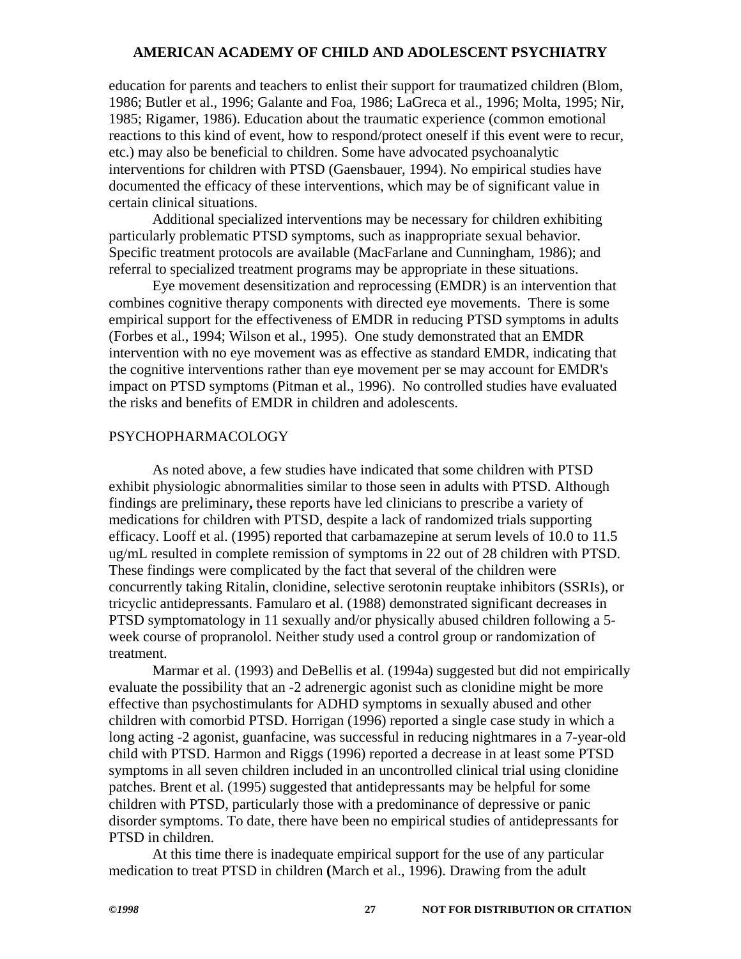education for parents and teachers to enlist their support for traumatized children (Blom, 1986; Butler et al., 1996; Galante and Foa, 1986; LaGreca et al., 1996; Molta, 1995; Nir, 1985; Rigamer, 1986). Education about the traumatic experience (common emotional reactions to this kind of event, how to respond/protect oneself if this event were to recur, etc.) may also be beneficial to children. Some have advocated psychoanalytic interventions for children with PTSD (Gaensbauer, 1994). No empirical studies have documented the efficacy of these interventions, which may be of significant value in certain clinical situations.

Additional specialized interventions may be necessary for children exhibiting particularly problematic PTSD symptoms, such as inappropriate sexual behavior. Specific treatment protocols are available (MacFarlane and Cunningham, 1986); and referral to specialized treatment programs may be appropriate in these situations.

Eye movement desensitization and reprocessing (EMDR) is an intervention that combines cognitive therapy components with directed eye movements. There is some empirical support for the effectiveness of EMDR in reducing PTSD symptoms in adults (Forbes et al., 1994; Wilson et al., 1995). One study demonstrated that an EMDR intervention with no eye movement was as effective as standard EMDR, indicating that the cognitive interventions rather than eye movement per se may account for EMDR's impact on PTSD symptoms (Pitman et al., 1996). No controlled studies have evaluated the risks and benefits of EMDR in children and adolescents.

#### PSYCHOPHARMACOLOGY

As noted above, a few studies have indicated that some children with PTSD exhibit physiologic abnormalities similar to those seen in adults with PTSD. Although findings are preliminary**,** these reports have led clinicians to prescribe a variety of medications for children with PTSD, despite a lack of randomized trials supporting efficacy. Looff et al. (1995) reported that carbamazepine at serum levels of 10.0 to 11.5 ug/mL resulted in complete remission of symptoms in 22 out of 28 children with PTSD. These findings were complicated by the fact that several of the children were concurrently taking Ritalin, clonidine, selective serotonin reuptake inhibitors (SSRIs), or tricyclic antidepressants. Famularo et al. (1988) demonstrated significant decreases in PTSD symptomatology in 11 sexually and/or physically abused children following a 5 week course of propranolol. Neither study used a control group or randomization of treatment.

Marmar et al. (1993) and DeBellis et al. (1994a) suggested but did not empirically evaluate the possibility that an -2 adrenergic agonist such as clonidine might be more effective than psychostimulants for ADHD symptoms in sexually abused and other children with comorbid PTSD. Horrigan (1996) reported a single case study in which a long acting -2 agonist, guanfacine, was successful in reducing nightmares in a 7-year-old child with PTSD. Harmon and Riggs (1996) reported a decrease in at least some PTSD symptoms in all seven children included in an uncontrolled clinical trial using clonidine patches. Brent et al. (1995) suggested that antidepressants may be helpful for some children with PTSD, particularly those with a predominance of depressive or panic disorder symptoms. To date, there have been no empirical studies of antidepressants for PTSD in children.

At this time there is inadequate empirical support for the use of any particular medication to treat PTSD in children **(**March et al., 1996). Drawing from the adult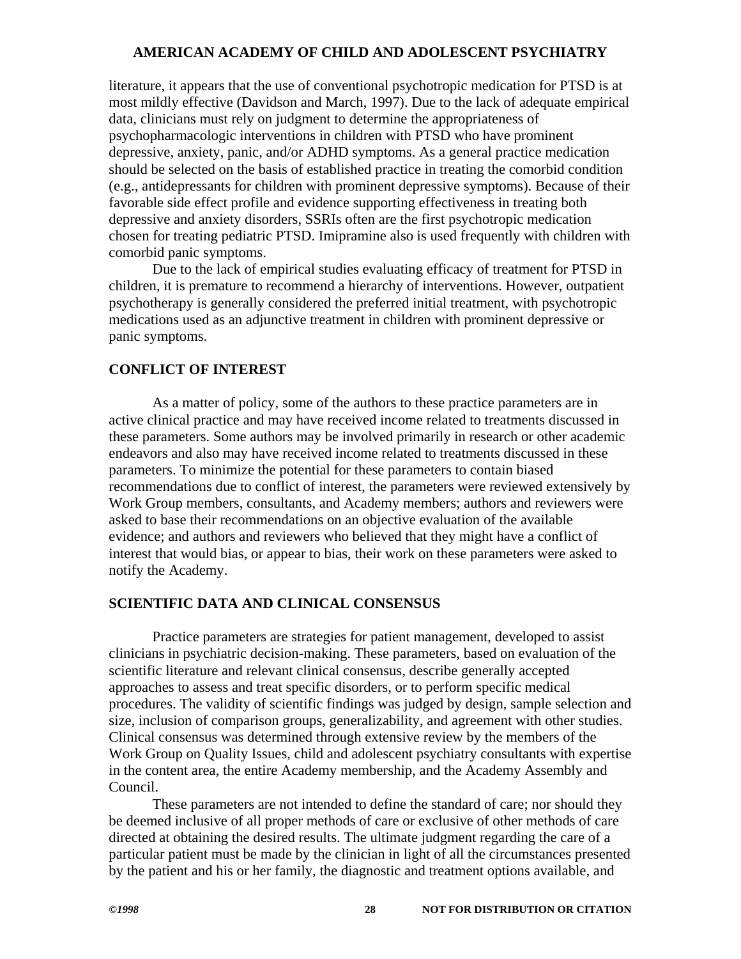literature, it appears that the use of conventional psychotropic medication for PTSD is at most mildly effective (Davidson and March, 1997). Due to the lack of adequate empirical data, clinicians must rely on judgment to determine the appropriateness of psychopharmacologic interventions in children with PTSD who have prominent depressive, anxiety, panic, and/or ADHD symptoms. As a general practice medication should be selected on the basis of established practice in treating the comorbid condition (e.g., antidepressants for children with prominent depressive symptoms). Because of their favorable side effect profile and evidence supporting effectiveness in treating both depressive and anxiety disorders, SSRIs often are the first psychotropic medication chosen for treating pediatric PTSD. Imipramine also is used frequently with children with comorbid panic symptoms.

Due to the lack of empirical studies evaluating efficacy of treatment for PTSD in children, it is premature to recommend a hierarchy of interventions. However, outpatient psychotherapy is generally considered the preferred initial treatment, with psychotropic medications used as an adjunctive treatment in children with prominent depressive or panic symptoms.

# **CONFLICT OF INTEREST**

As a matter of policy, some of the authors to these practice parameters are in active clinical practice and may have received income related to treatments discussed in these parameters. Some authors may be involved primarily in research or other academic endeavors and also may have received income related to treatments discussed in these parameters. To minimize the potential for these parameters to contain biased recommendations due to conflict of interest, the parameters were reviewed extensively by Work Group members, consultants, and Academy members; authors and reviewers were asked to base their recommendations on an objective evaluation of the available evidence; and authors and reviewers who believed that they might have a conflict of interest that would bias, or appear to bias, their work on these parameters were asked to notify the Academy.

#### **SCIENTIFIC DATA AND CLINICAL CONSENSUS**

Practice parameters are strategies for patient management, developed to assist clinicians in psychiatric decision-making. These parameters, based on evaluation of the scientific literature and relevant clinical consensus, describe generally accepted approaches to assess and treat specific disorders, or to perform specific medical procedures. The validity of scientific findings was judged by design, sample selection and size, inclusion of comparison groups, generalizability, and agreement with other studies. Clinical consensus was determined through extensive review by the members of the Work Group on Quality Issues, child and adolescent psychiatry consultants with expertise in the content area, the entire Academy membership, and the Academy Assembly and Council.

These parameters are not intended to define the standard of care; nor should they be deemed inclusive of all proper methods of care or exclusive of other methods of care directed at obtaining the desired results. The ultimate judgment regarding the care of a particular patient must be made by the clinician in light of all the circumstances presented by the patient and his or her family, the diagnostic and treatment options available, and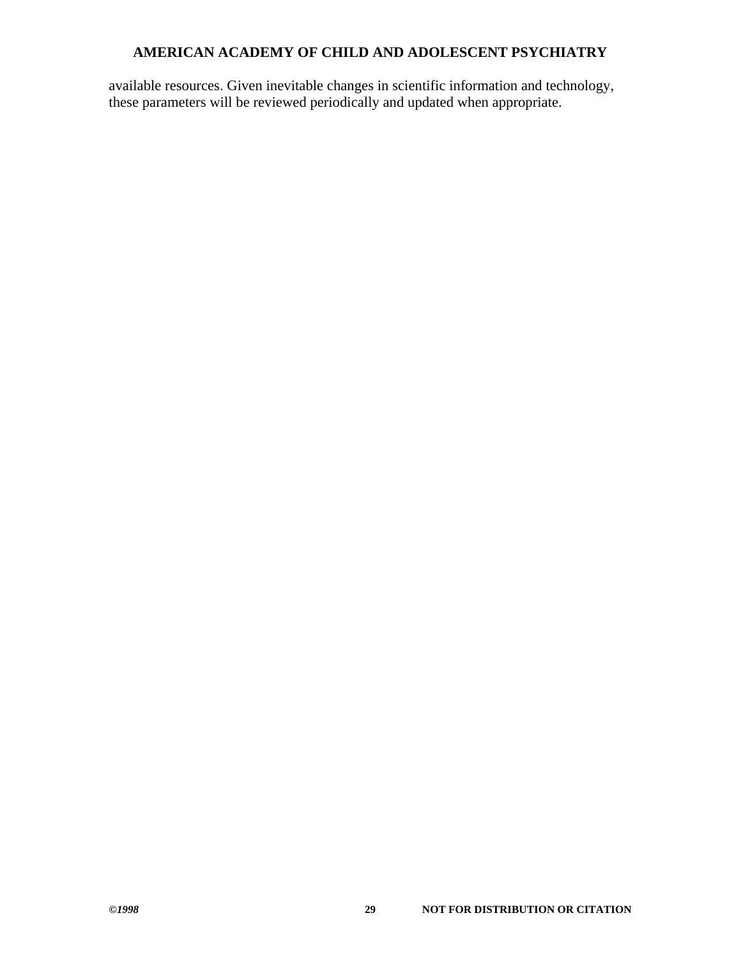available resources. Given inevitable changes in scientific information and technology, these parameters will be reviewed periodically and updated when appropriate.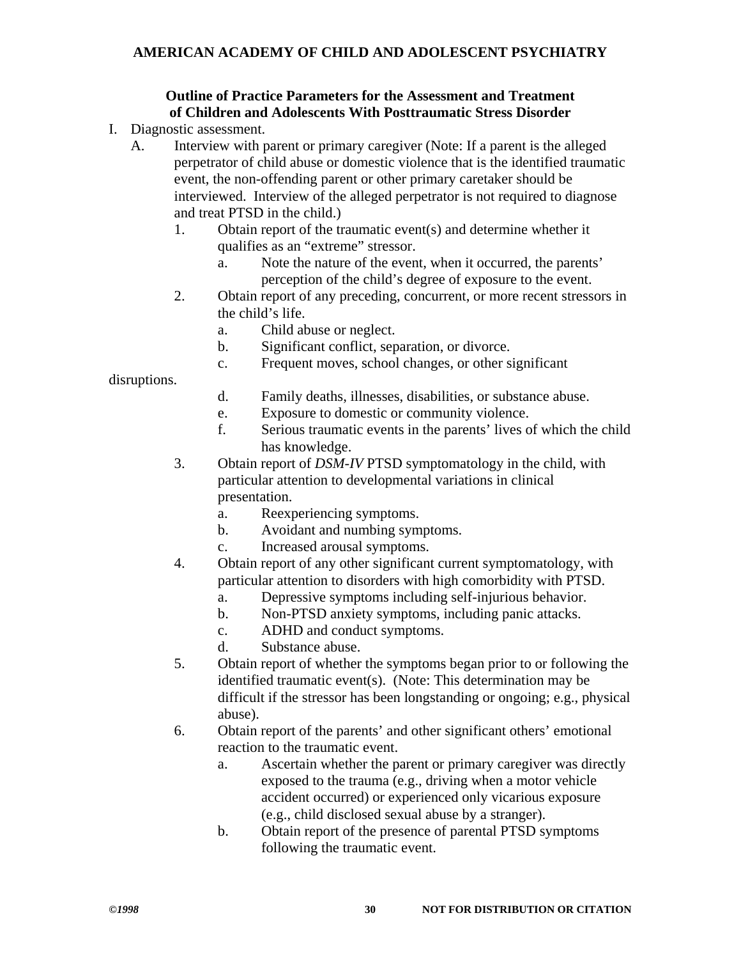# **Outline of Practice Parameters for the Assessment and Treatment of Children and Adolescents With Posttraumatic Stress Disorder**

- I. Diagnostic assessment.
	- A. Interview with parent or primary caregiver (Note: If a parent is the alleged perpetrator of child abuse or domestic violence that is the identified traumatic event, the non-offending parent or other primary caretaker should be interviewed. Interview of the alleged perpetrator is not required to diagnose and treat PTSD in the child.)
		- 1. Obtain report of the traumatic event(s) and determine whether it qualifies as an "extreme" stressor.
			- a. Note the nature of the event, when it occurred, the parents' perception of the child's degree of exposure to the event.
		- 2. Obtain report of any preceding, concurrent, or more recent stressors in the child's life.
			- a. Child abuse or neglect.
			- b. Significant conflict, separation, or divorce.
			- c. Frequent moves, school changes, or other significant

disruptions.

- d. Family deaths, illnesses, disabilities, or substance abuse.
- e. Exposure to domestic or community violence.
- f. Serious traumatic events in the parents' lives of which the child has knowledge.
- 3. Obtain report of *DSM-IV* PTSD symptomatology in the child, with particular attention to developmental variations in clinical presentation.
	- a. Reexperiencing symptoms.
	- b. Avoidant and numbing symptoms.
	- c. Increased arousal symptoms.
- 4. Obtain report of any other significant current symptomatology, with particular attention to disorders with high comorbidity with PTSD.
	- a. Depressive symptoms including self-injurious behavior.
	- b. Non-PTSD anxiety symptoms, including panic attacks.
	- c. ADHD and conduct symptoms.
	- d. Substance abuse.
- 5. Obtain report of whether the symptoms began prior to or following the identified traumatic event(s). (Note: This determination may be difficult if the stressor has been longstanding or ongoing; e.g., physical abuse).
- 6. Obtain report of the parents' and other significant others' emotional reaction to the traumatic event.
	- a. Ascertain whether the parent or primary caregiver was directly exposed to the trauma (e.g., driving when a motor vehicle accident occurred) or experienced only vicarious exposure (e.g., child disclosed sexual abuse by a stranger).
	- **b.** Obtain report of the presence of parental PTSD symptoms following the traumatic event.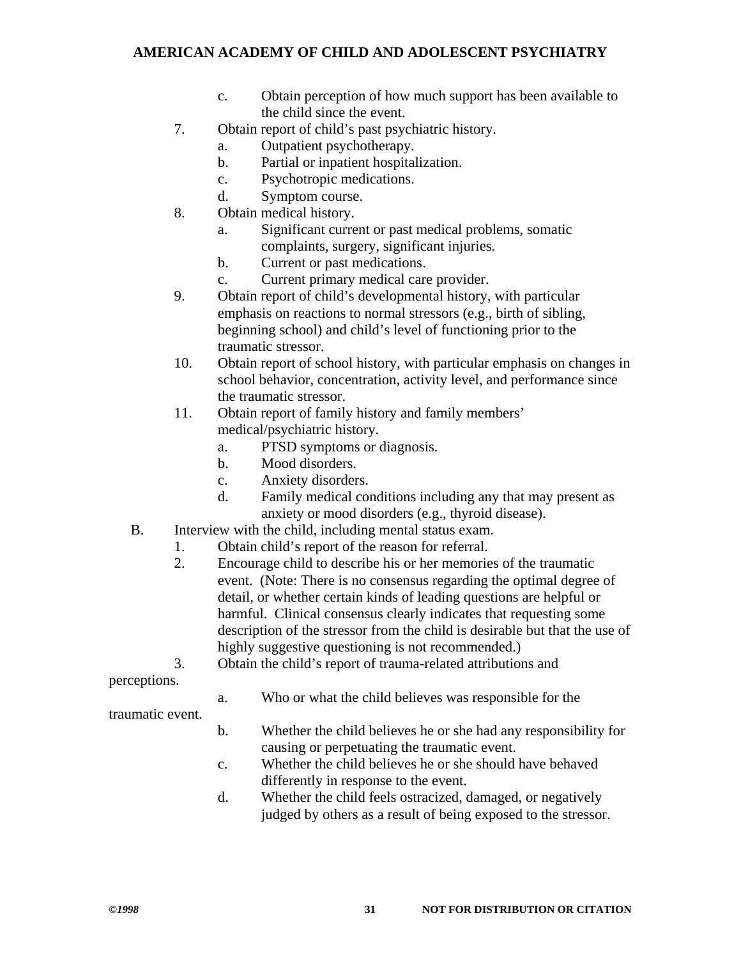- c. Obtain perception of how much support has been available to the child since the event.
- 7. Obtain report of child's past psychiatric history.
	- a. Outpatient psychotherapy.
	- b. Partial or inpatient hospitalization.
	- c. Psychotropic medications.
	- d. Symptom course.
- 8. Obtain medical history.
	- a. Significant current or past medical problems, somatic complaints, surgery, significant injuries.
	- **b.** Current or past medications.
	- c. Current primary medical care provider.
- 9. Obtain report of child's developmental history, with particular emphasis on reactions to normal stressors (e.g., birth of sibling, beginning school) and child's level of functioning prior to the traumatic stressor.
- 10. Obtain report of school history, with particular emphasis on changes in school behavior, concentration, activity level, and performance since the traumatic stressor.
- 11. Obtain report of family history and family members' medical/psychiatric history.
	- a. PTSD symptoms or diagnosis.
	- b. Mood disorders.
	- c. Anxiety disorders.
	- d. Family medical conditions including any that may present as anxiety or mood disorders (e.g., thyroid disease).
- B. Interview with the child, including mental status exam.
	- 1. Obtain child's report of the reason for referral.
	- 2. Encourage child to describe his or her memories of the traumatic event. (Note: There is no consensus regarding the optimal degree of detail, or whether certain kinds of leading questions are helpful or harmful. Clinical consensus clearly indicates that requesting some description of the stressor from the child is desirable but that the use of highly suggestive questioning is not recommended.)
	- 3. Obtain the child's report of trauma-related attributions and

perceptions.

a. Who or what the child believes was responsible for the

traumatic event.

- b. Whether the child believes he or she had any responsibility for causing or perpetuating the traumatic event.
- c. Whether the child believes he or she should have behaved differently in response to the event.
- d. Whether the child feels ostracized, damaged, or negatively judged by others as a result of being exposed to the stressor.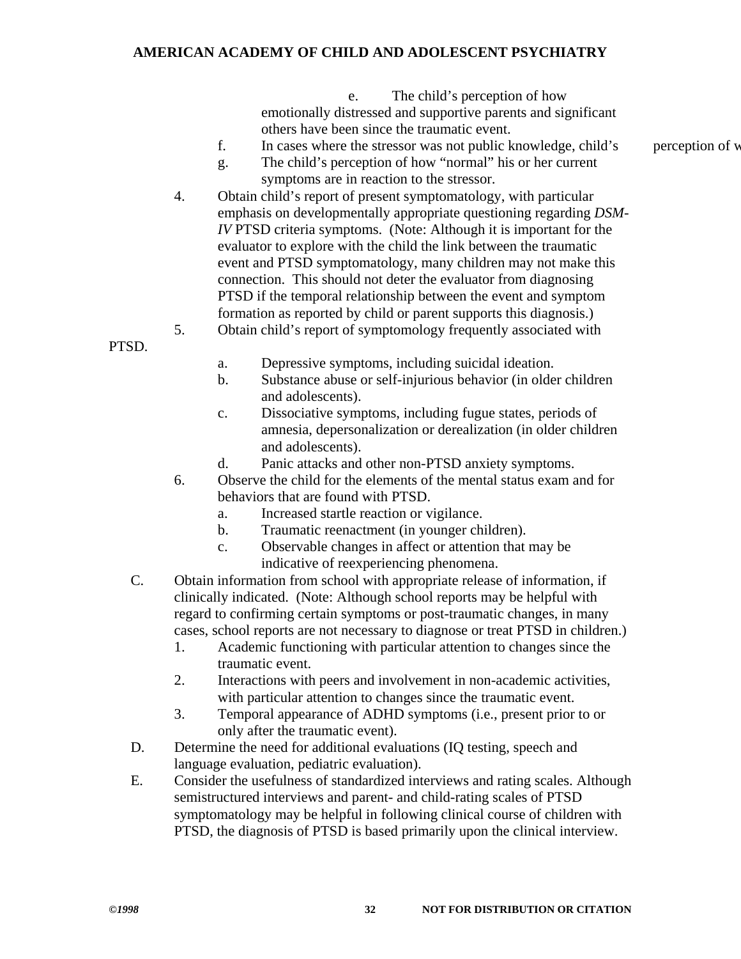e. The child's perception of how emotionally distressed and supportive parents and significant others have been since the traumatic event.

- f. In cases where the stressor was not public knowledge, child's perception of w
- g. The child's perception of how "normal" his or her current symptoms are in reaction to the stressor.
- 4. Obtain child's report of present symptomatology, with particular emphasis on developmentally appropriate questioning regarding *DSM-IV* PTSD criteria symptoms. (Note: Although it is important for the evaluator to explore with the child the link between the traumatic event and PTSD symptomatology, many children may not make this connection. This should not deter the evaluator from diagnosing PTSD if the temporal relationship between the event and symptom formation as reported by child or parent supports this diagnosis.)
- 5. Obtain child's report of symptomology frequently associated with

PTSD.

- a. Depressive symptoms, including suicidal ideation.
- b. Substance abuse or self-injurious behavior (in older children and adolescents).
- c. Dissociative symptoms, including fugue states, periods of amnesia, depersonalization or derealization (in older children and adolescents).
- d. Panic attacks and other non-PTSD anxiety symptoms.
- 6. Observe the child for the elements of the mental status exam and for behaviors that are found with PTSD.
	- a. Increased startle reaction or vigilance.
	- b. Traumatic reenactment (in younger children).
	- c. Observable changes in affect or attention that may be indicative of reexperiencing phenomena.
- C. Obtain information from school with appropriate release of information, if clinically indicated. (Note: Although school reports may be helpful with regard to confirming certain symptoms or post-traumatic changes, in many cases, school reports are not necessary to diagnose or treat PTSD in children.)
	- 1. Academic functioning with particular attention to changes since the traumatic event.
	- 2. Interactions with peers and involvement in non-academic activities, with particular attention to changes since the traumatic event.
	- 3. Temporal appearance of ADHD symptoms (i.e., present prior to or only after the traumatic event).
- D. Determine the need for additional evaluations (IQ testing, speech and language evaluation, pediatric evaluation).
- E. Consider the usefulness of standardized interviews and rating scales. Although semistructured interviews and parent- and child-rating scales of PTSD symptomatology may be helpful in following clinical course of children with PTSD, the diagnosis of PTSD is based primarily upon the clinical interview.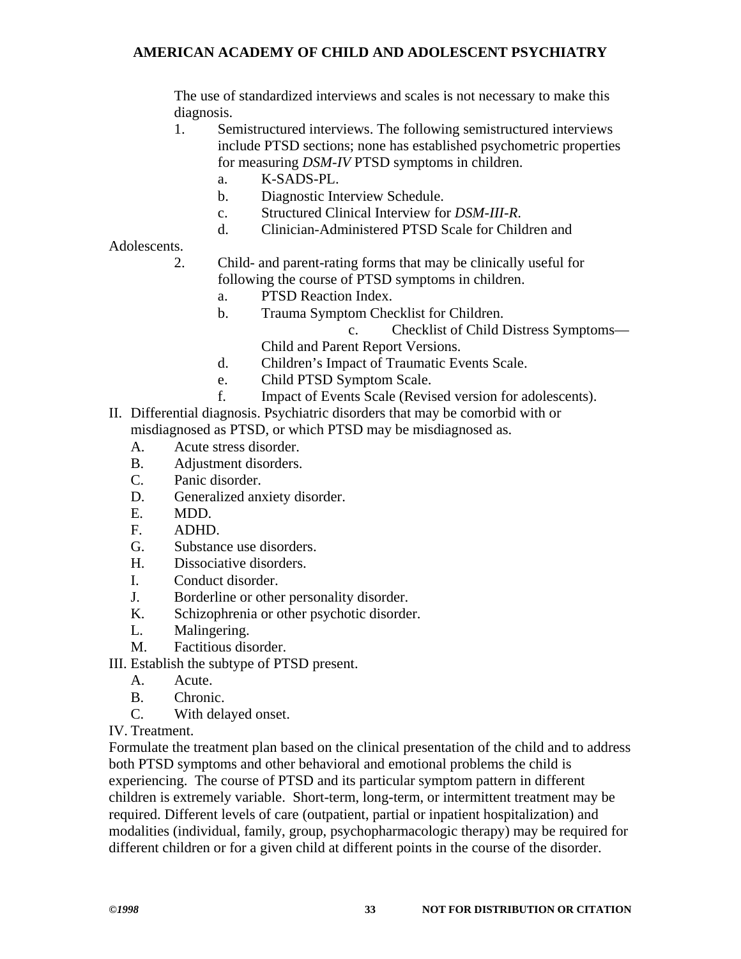The use of standardized interviews and scales is not necessary to make this diagnosis.

- 1. Semistructured interviews. The following semistructured interviews include PTSD sections; none has established psychometric properties for measuring *DSM-IV* PTSD symptoms in children.
	- a. K-SADS-PL.
	- b. Diagnostic Interview Schedule.
	- c. Structured Clinical Interview for *DSM-III-R*.
	- d. Clinician-Administered PTSD Scale for Children and

Adolescents.

- 2. Child- and parent-rating forms that may be clinically useful for following the course of PTSD symptoms in children.
	- a. PTSD Reaction Index.
	- b. Trauma Symptom Checklist for Children.
		- c. Checklist of Child Distress Symptoms—
		- Child and Parent Report Versions.
	- d. Children's Impact of Traumatic Events Scale.
	- e. Child PTSD Symptom Scale.
	- f. Impact of Events Scale (Revised version for adolescents).
- II. Differential diagnosis. Psychiatric disorders that may be comorbid with or misdiagnosed as PTSD, or which PTSD may be misdiagnosed as.
	- A. Acute stress disorder.
	- B. Adjustment disorders.
	- C. Panic disorder.
	- D. Generalized anxiety disorder.
	- E. MDD.
	- F. ADHD.
	- G. Substance use disorders.
	- H. Dissociative disorders.
	- I. Conduct disorder.
	- J. Borderline or other personality disorder.
	- K. Schizophrenia or other psychotic disorder.
	- L. Malingering.
	- M. Factitious disorder.
- III. Establish the subtype of PTSD present.
	- A. Acute.
	- B. Chronic.
	- C. With delayed onset.
- IV. Treatment.

Formulate the treatment plan based on the clinical presentation of the child and to address both PTSD symptoms and other behavioral and emotional problems the child is experiencing. The course of PTSD and its particular symptom pattern in different children is extremely variable. Short-term, long-term, or intermittent treatment may be required. Different levels of care (outpatient, partial or inpatient hospitalization) and modalities (individual, family, group, psychopharmacologic therapy) may be required for different children or for a given child at different points in the course of the disorder.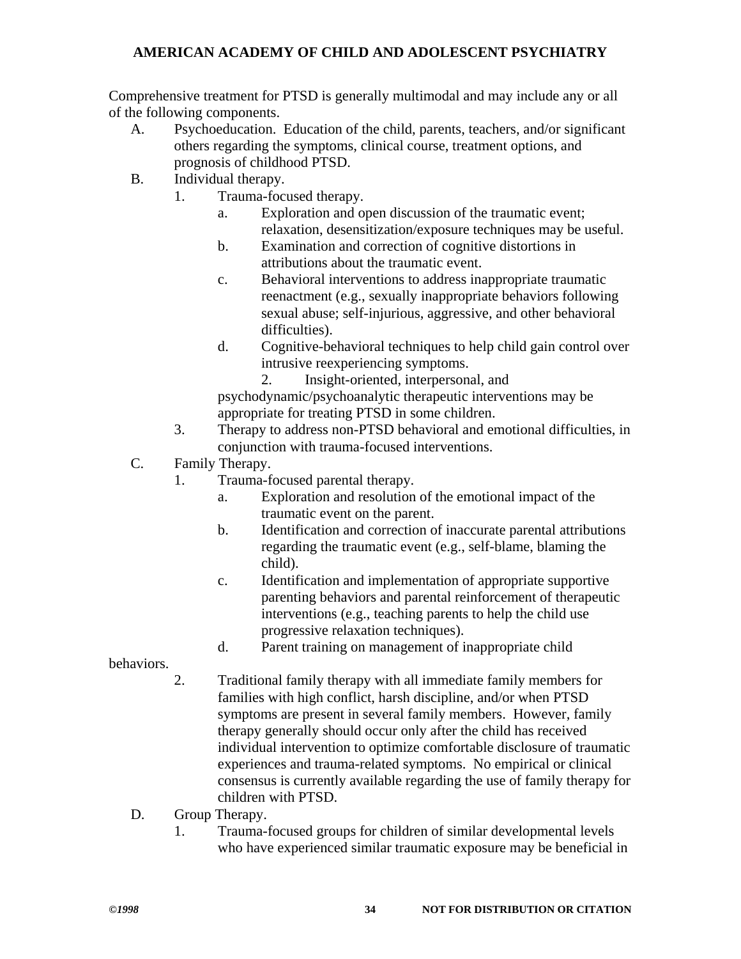Comprehensive treatment for PTSD is generally multimodal and may include any or all of the following components.

- A. Psychoeducation. Education of the child, parents, teachers, and/or significant others regarding the symptoms, clinical course, treatment options, and prognosis of childhood PTSD.
- B. Individual therapy.
	- 1. Trauma-focused therapy.
		- a. Exploration and open discussion of the traumatic event; relaxation, desensitization/exposure techniques may be useful.
		- b. Examination and correction of cognitive distortions in attributions about the traumatic event.
		- c. Behavioral interventions to address inappropriate traumatic reenactment (e.g., sexually inappropriate behaviors following sexual abuse; self-injurious, aggressive, and other behavioral difficulties).
		- d. Cognitive-behavioral techniques to help child gain control over intrusive reexperiencing symptoms.
			- 2. Insight-oriented, interpersonal, and

psychodynamic/psychoanalytic therapeutic interventions may be appropriate for treating PTSD in some children.

- 3. Therapy to address non-PTSD behavioral and emotional difficulties, in conjunction with trauma-focused interventions.
- C. Family Therapy.
	- 1. Trauma-focused parental therapy.
		- a. Exploration and resolution of the emotional impact of the traumatic event on the parent.
		- b. Identification and correction of inaccurate parental attributions regarding the traumatic event (e.g., self-blame, blaming the child).
		- c. Identification and implementation of appropriate supportive parenting behaviors and parental reinforcement of therapeutic interventions (e.g., teaching parents to help the child use progressive relaxation techniques).
		- d. Parent training on management of inappropriate child

behaviors.

- 2. Traditional family therapy with all immediate family members for families with high conflict, harsh discipline, and/or when PTSD symptoms are present in several family members. However, family therapy generally should occur only after the child has received individual intervention to optimize comfortable disclosure of traumatic experiences and trauma-related symptoms. No empirical or clinical consensus is currently available regarding the use of family therapy for children with PTSD.
- D. Group Therapy.
	- 1. Trauma-focused groups for children of similar developmental levels who have experienced similar traumatic exposure may be beneficial in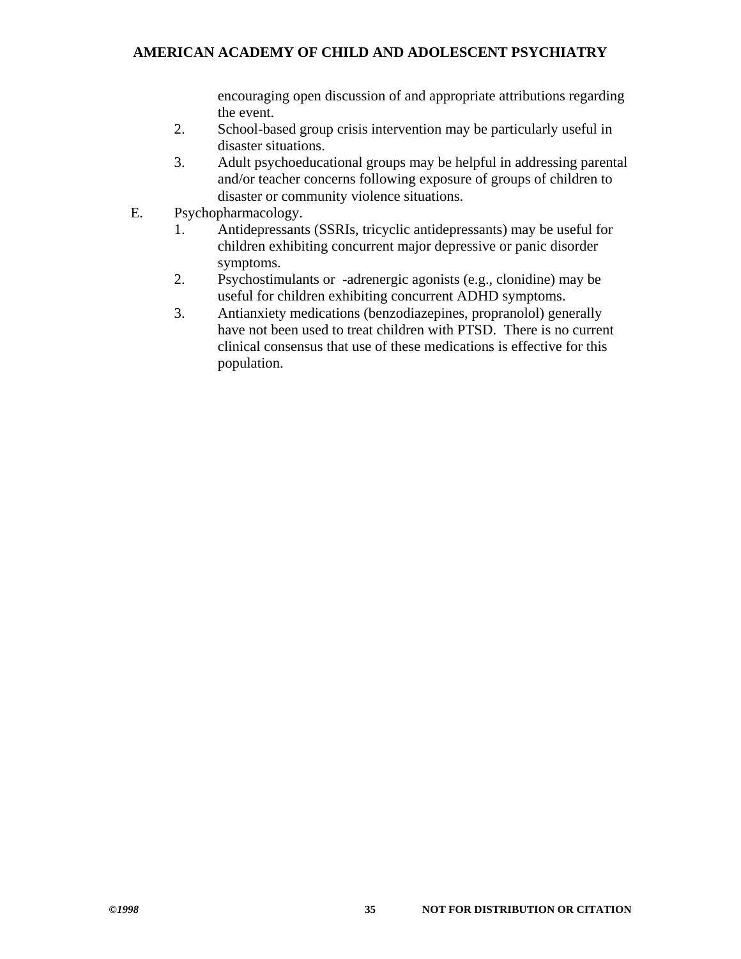encouraging open discussion of and appropriate attributions regarding the event.

- 2. School-based group crisis intervention may be particularly useful in disaster situations.
- 3. Adult psychoeducational groups may be helpful in addressing parental and/or teacher concerns following exposure of groups of children to disaster or community violence situations.
- E. Psychopharmacology.
	- 1. Antidepressants (SSRIs, tricyclic antidepressants) may be useful for children exhibiting concurrent major depressive or panic disorder symptoms.
	- 2. Psychostimulants or -adrenergic agonists (e.g., clonidine) may be useful for children exhibiting concurrent ADHD symptoms.
	- 3. Antianxiety medications (benzodiazepines, propranolol) generally have not been used to treat children with PTSD. There is no current clinical consensus that use of these medications is effective for this population.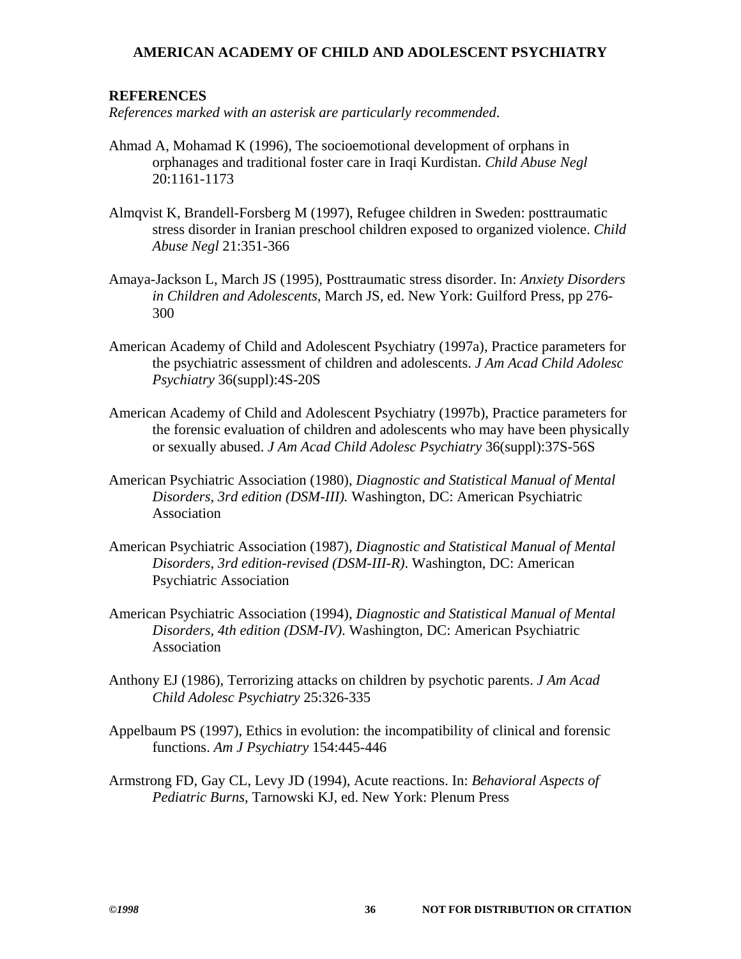#### **REFERENCES**

*References marked with an asterisk are particularly recommended*.

- Ahmad A, Mohamad K (1996), The socioemotional development of orphans in orphanages and traditional foster care in Iraqi Kurdistan. *Child Abuse Negl*  20:1161-1173
- Almqvist K, Brandell-Forsberg M (1997), Refugee children in Sweden: posttraumatic stress disorder in Iranian preschool children exposed to organized violence. *Child Abuse Negl* 21:351-366
- Amaya-Jackson L, March JS (1995), Posttraumatic stress disorder. In: *Anxiety Disorders in Children and Adolescents,* March JS, ed. New York: Guilford Press, pp 276- 300
- American Academy of Child and Adolescent Psychiatry (1997a), Practice parameters for the psychiatric assessment of children and adolescents. *J Am Acad Child Adolesc Psychiatry* 36(suppl):4S-20S
- American Academy of Child and Adolescent Psychiatry (1997b), Practice parameters for the forensic evaluation of children and adolescents who may have been physically or sexually abused. *J Am Acad Child Adolesc Psychiatry* 36(suppl):37S-56S
- American Psychiatric Association (1980), *Diagnostic and Statistical Manual of Mental Disorders, 3rd edition (DSM-III).* Washington, DC: American Psychiatric Association
- American Psychiatric Association (1987), *Diagnostic and Statistical Manual of Mental Disorders, 3rd edition-revised (DSM-III-R)*. Washington, DC: American Psychiatric Association
- American Psychiatric Association (1994), *Diagnostic and Statistical Manual of Mental Disorders, 4th edition (DSM-IV)*. Washington, DC: American Psychiatric Association
- Anthony EJ (1986), Terrorizing attacks on children by psychotic parents. *J Am Acad Child Adolesc Psychiatry* 25:326-335
- Appelbaum PS (1997), Ethics in evolution: the incompatibility of clinical and forensic functions. *Am J Psychiatry* 154:445-446
- Armstrong FD, Gay CL, Levy JD (1994), Acute reactions. In: *Behavioral Aspects of Pediatric Burns,* Tarnowski KJ, ed. New York: Plenum Press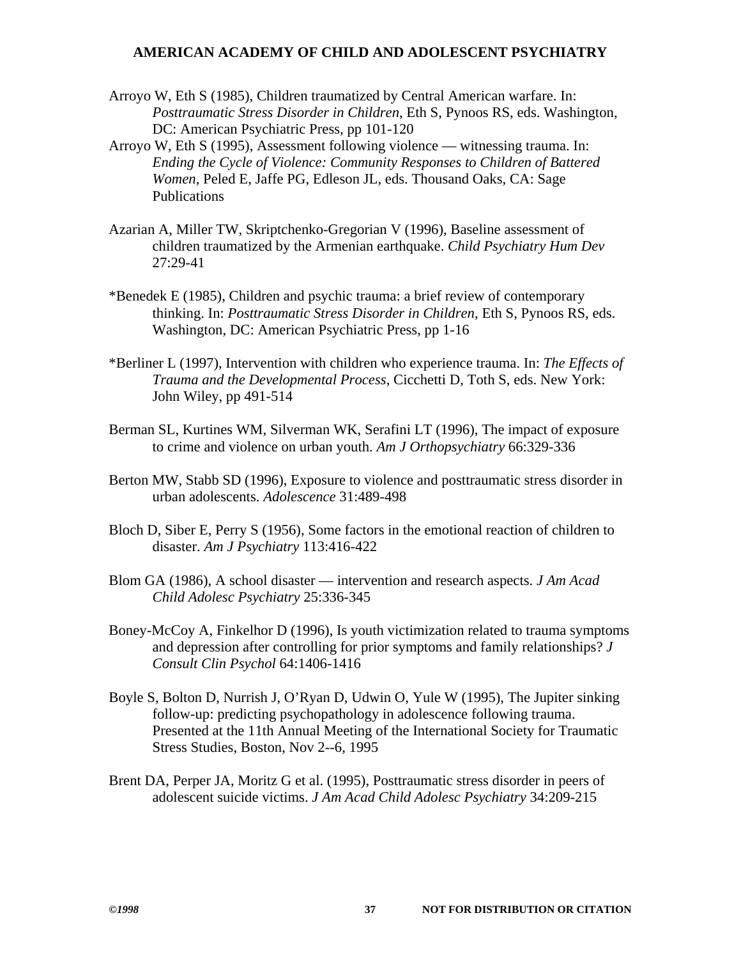- Arroyo W, Eth S (1985), Children traumatized by Central American warfare. In: *Posttraumatic Stress Disorder in Children*, Eth S, Pynoos RS, eds. Washington, DC: American Psychiatric Press, pp 101-120
- Arroyo W, Eth S (1995), Assessment following violence witnessing trauma. In: *Ending the Cycle of Violence: Community Responses to Children of Battered Women*, Peled E, Jaffe PG, Edleson JL, eds. Thousand Oaks, CA: Sage Publications
- Azarian A, Miller TW, Skriptchenko-Gregorian V (1996), Baseline assessment of children traumatized by the Armenian earthquake. *Child Psychiatry Hum Dev* 27:29-41
- \*Benedek E (1985), Children and psychic trauma: a brief review of contemporary thinking. In: *Posttraumatic Stress Disorder in Children*, Eth S, Pynoos RS, eds. Washington, DC: American Psychiatric Press, pp 1-16
- \*Berliner L (1997), Intervention with children who experience trauma. In: *The Effects of Trauma and the Developmental Process*, Cicchetti D, Toth S, eds. New York: John Wiley, pp 491-514
- Berman SL, Kurtines WM, Silverman WK, Serafini LT (1996), The impact of exposure to crime and violence on urban youth. *Am J Orthopsychiatry* 66:329-336
- Berton MW, Stabb SD (1996), Exposure to violence and posttraumatic stress disorder in urban adolescents. *Adolescence* 31:489-498
- Bloch D, Siber E, Perry S (1956), Some factors in the emotional reaction of children to disaster. *Am J Psychiatry* 113:416-422
- Blom GA (1986), A school disaster intervention and research aspects. *J Am Acad Child Adolesc Psychiatry* 25:336-345
- Boney-McCoy A, Finkelhor D (1996), Is youth victimization related to trauma symptoms and depression after controlling for prior symptoms and family relationships? *J Consult Clin Psychol* 64:1406-1416
- Boyle S, Bolton D, Nurrish J, O'Ryan D, Udwin O, Yule W (1995), The Jupiter sinking follow-up: predicting psychopathology in adolescence following trauma. Presented at the 11th Annual Meeting of the International Society for Traumatic Stress Studies, Boston, Nov 2--6, 1995
- Brent DA, Perper JA, Moritz G et al. (1995), Posttraumatic stress disorder in peers of adolescent suicide victims. *J Am Acad Child Adolesc Psychiatry* 34:209-215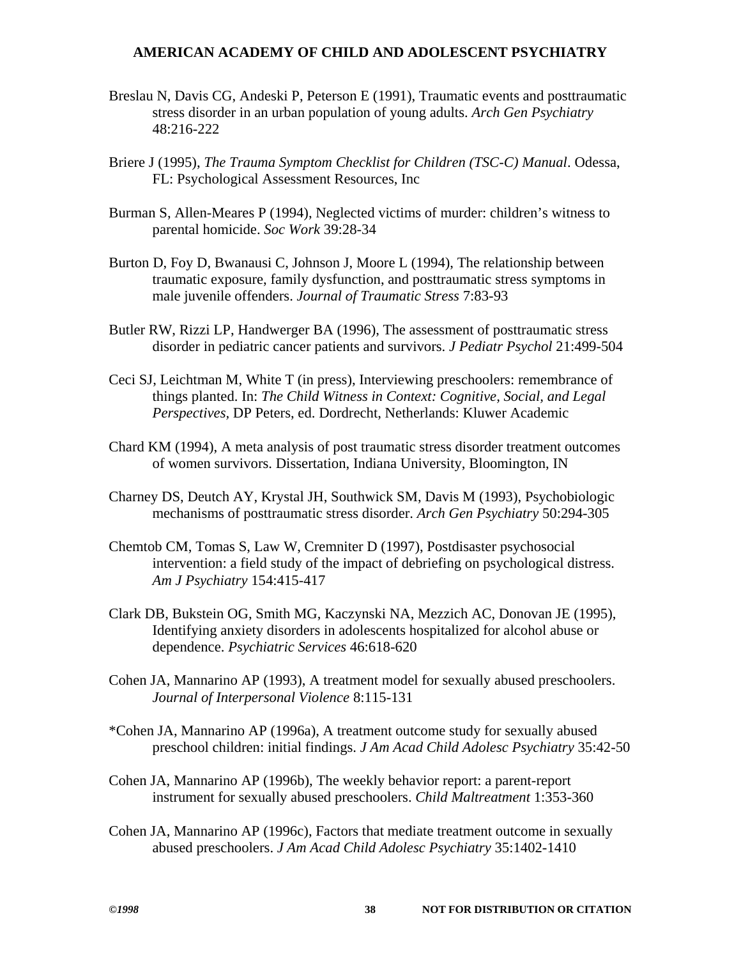- Breslau N, Davis CG, Andeski P, Peterson E (1991), Traumatic events and posttraumatic stress disorder in an urban population of young adults. *Arch Gen Psychiatry* 48:216-222
- Briere J (1995), *The Trauma Symptom Checklist for Children (TSC-C) Manual*. Odessa, FL: Psychological Assessment Resources, Inc
- Burman S, Allen-Meares P (1994), Neglected victims of murder: children's witness to parental homicide. *Soc Work* 39:28-34
- Burton D, Foy D, Bwanausi C, Johnson J, Moore L (1994), The relationship between traumatic exposure, family dysfunction, and posttraumatic stress symptoms in male juvenile offenders. *Journal of Traumatic Stress* 7:83-93
- Butler RW, Rizzi LP, Handwerger BA (1996), The assessment of posttraumatic stress disorder in pediatric cancer patients and survivors. *J Pediatr Psychol* 21:499-504
- Ceci SJ, Leichtman M, White T (in press), Interviewing preschoolers: remembrance of things planted. In: *The Child Witness in Context: Cognitive, Social, and Legal Perspectives,* DP Peters, ed. Dordrecht, Netherlands: Kluwer Academic
- Chard KM (1994), A meta analysis of post traumatic stress disorder treatment outcomes of women survivors. Dissertation, Indiana University, Bloomington, IN
- Charney DS, Deutch AY, Krystal JH, Southwick SM, Davis M (1993), Psychobiologic mechanisms of posttraumatic stress disorder. *Arch Gen Psychiatry* 50:294-305
- Chemtob CM, Tomas S, Law W, Cremniter D (1997), Postdisaster psychosocial intervention: a field study of the impact of debriefing on psychological distress. *Am J Psychiatry* 154:415-417
- Clark DB, Bukstein OG, Smith MG, Kaczynski NA, Mezzich AC, Donovan JE (1995), Identifying anxiety disorders in adolescents hospitalized for alcohol abuse or dependence. *Psychiatric Services* 46:618-620
- Cohen JA, Mannarino AP (1993), A treatment model for sexually abused preschoolers. *Journal of Interpersonal Violence* 8:115-131
- \*Cohen JA, Mannarino AP (1996a), A treatment outcome study for sexually abused preschool children: initial findings. *J Am Acad Child Adolesc Psychiatry* 35:42-50
- Cohen JA, Mannarino AP (1996b), The weekly behavior report: a parent-report instrument for sexually abused preschoolers. *Child Maltreatment* 1:353-360
- Cohen JA, Mannarino AP (1996c), Factors that mediate treatment outcome in sexually abused preschoolers. *J Am Acad Child Adolesc Psychiatry* 35:1402-1410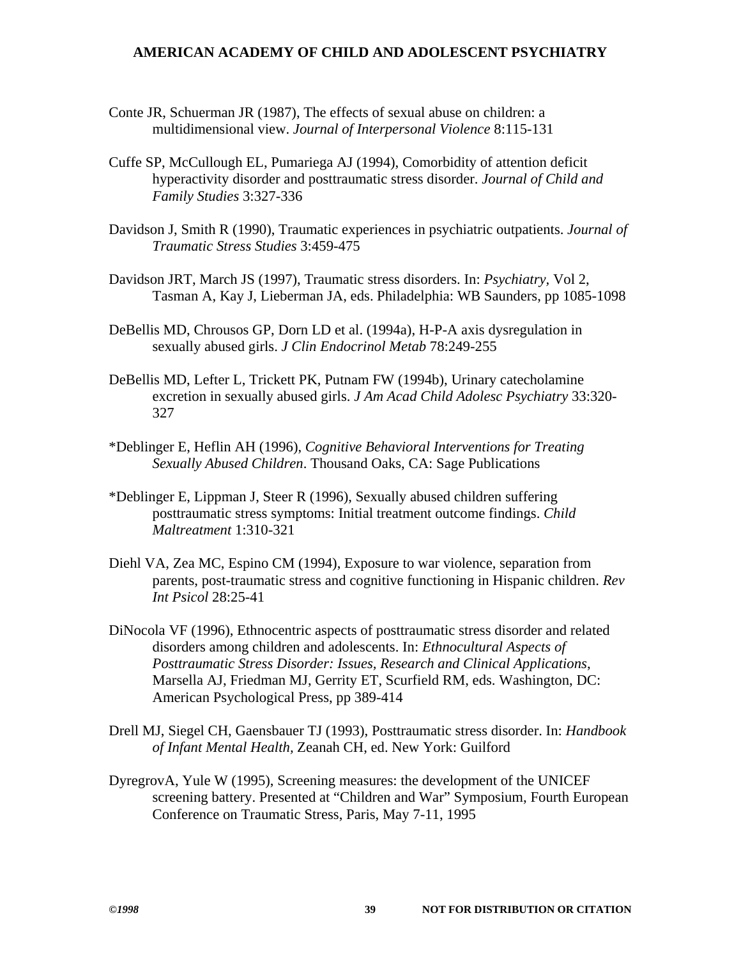- Conte JR, Schuerman JR (1987), The effects of sexual abuse on children: a multidimensional view. *Journal of Interpersonal Violence* 8:115-131
- Cuffe SP, McCullough EL, Pumariega AJ (1994), Comorbidity of attention deficit hyperactivity disorder and posttraumatic stress disorder. *Journal of Child and Family Studies* 3:327-336
- Davidson J, Smith R (1990), Traumatic experiences in psychiatric outpatients. *Journal of Traumatic Stress Studies* 3:459-475
- Davidson JRT, March JS (1997), Traumatic stress disorders. In: *Psychiatry,* Vol 2, Tasman A, Kay J, Lieberman JA, eds. Philadelphia: WB Saunders, pp 1085-1098
- DeBellis MD, Chrousos GP, Dorn LD et al. (1994a), H-P-A axis dysregulation in sexually abused girls. *J Clin Endocrinol Metab* 78:249-255
- DeBellis MD, Lefter L, Trickett PK, Putnam FW (1994b), Urinary catecholamine excretion in sexually abused girls. *J Am Acad Child Adolesc Psychiatry* 33:320- 327
- \*Deblinger E, Heflin AH (1996), *Cognitive Behavioral Interventions for Treating Sexually Abused Children*. Thousand Oaks, CA: Sage Publications
- \*Deblinger E, Lippman J, Steer R (1996), Sexually abused children suffering posttraumatic stress symptoms: Initial treatment outcome findings. *Child Maltreatment* 1:310-321
- Diehl VA, Zea MC, Espino CM (1994), Exposure to war violence, separation from parents, post-traumatic stress and cognitive functioning in Hispanic children. *Rev Int Psicol* 28:25-41
- DiNocola VF (1996), Ethnocentric aspects of posttraumatic stress disorder and related disorders among children and adolescents. In: *Ethnocultural Aspects of Posttraumatic Stress Disorder: Issues, Research and Clinical Applications*, Marsella AJ, Friedman MJ, Gerrity ET, Scurfield RM, eds. Washington, DC: American Psychological Press, pp 389-414
- Drell MJ, Siegel CH, Gaensbauer TJ (1993), Posttraumatic stress disorder. In: *Handbook of Infant Mental Health,* Zeanah CH, ed. New York: Guilford
- DyregrovA, Yule W (1995), Screening measures: the development of the UNICEF screening battery. Presented at "Children and War" Symposium, Fourth European Conference on Traumatic Stress, Paris, May 7-11, 1995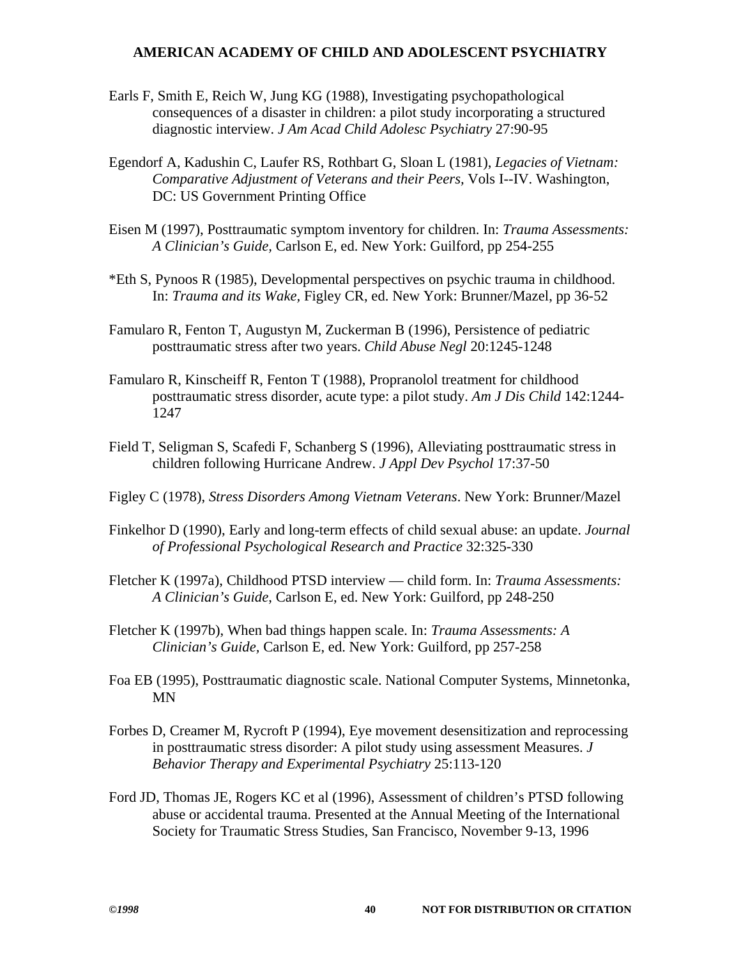- Earls F, Smith E, Reich W, Jung KG (1988), Investigating psychopathological consequences of a disaster in children: a pilot study incorporating a structured diagnostic interview. *J Am Acad Child Adolesc Psychiatry* 27:90-95
- Egendorf A, Kadushin C, Laufer RS, Rothbart G, Sloan L (1981), *Legacies of Vietnam: Comparative Adjustment of Veterans and their Peers,* Vols I--IV. Washington, DC: US Government Printing Office
- Eisen M (1997), Posttraumatic symptom inventory for children. In: *Trauma Assessments: A Clinician's Guide,* Carlson E, ed. New York: Guilford, pp 254-255
- \*Eth S, Pynoos R (1985), Developmental perspectives on psychic trauma in childhood. In: *Trauma and its Wake,* Figley CR, ed. New York: Brunner/Mazel, pp 36-52
- Famularo R, Fenton T, Augustyn M, Zuckerman B (1996), Persistence of pediatric posttraumatic stress after two years. *Child Abuse Negl* 20:1245-1248
- Famularo R, Kinscheiff R, Fenton T (1988), Propranolol treatment for childhood posttraumatic stress disorder, acute type: a pilot study. *Am J Dis Child* 142:1244- 1247
- Field T, Seligman S, Scafedi F, Schanberg S (1996), Alleviating posttraumatic stress in children following Hurricane Andrew. *J Appl Dev Psychol* 17:37-50
- Figley C (1978), *Stress Disorders Among Vietnam Veterans*. New York: Brunner/Mazel
- Finkelhor D (1990), Early and long-term effects of child sexual abuse: an update. *Journal of Professional Psychological Research and Practice* 32:325-330
- Fletcher K (1997a), Childhood PTSD interview child form. In: *Trauma Assessments: A Clinician's Guide*, Carlson E, ed. New York: Guilford, pp 248-250
- Fletcher K (1997b), When bad things happen scale. In: *Trauma Assessments: A Clinician's Guide,* Carlson E, ed. New York: Guilford, pp 257-258
- Foa EB (1995), Posttraumatic diagnostic scale. National Computer Systems, Minnetonka, MN
- Forbes D, Creamer M, Rycroft P (1994), Eye movement desensitization and reprocessing in posttraumatic stress disorder: A pilot study using assessment Measures. *J Behavior Therapy and Experimental Psychiatry* 25:113-120
- Ford JD, Thomas JE, Rogers KC et al (1996), Assessment of children's PTSD following abuse or accidental trauma. Presented at the Annual Meeting of the International Society for Traumatic Stress Studies, San Francisco, November 9-13, 1996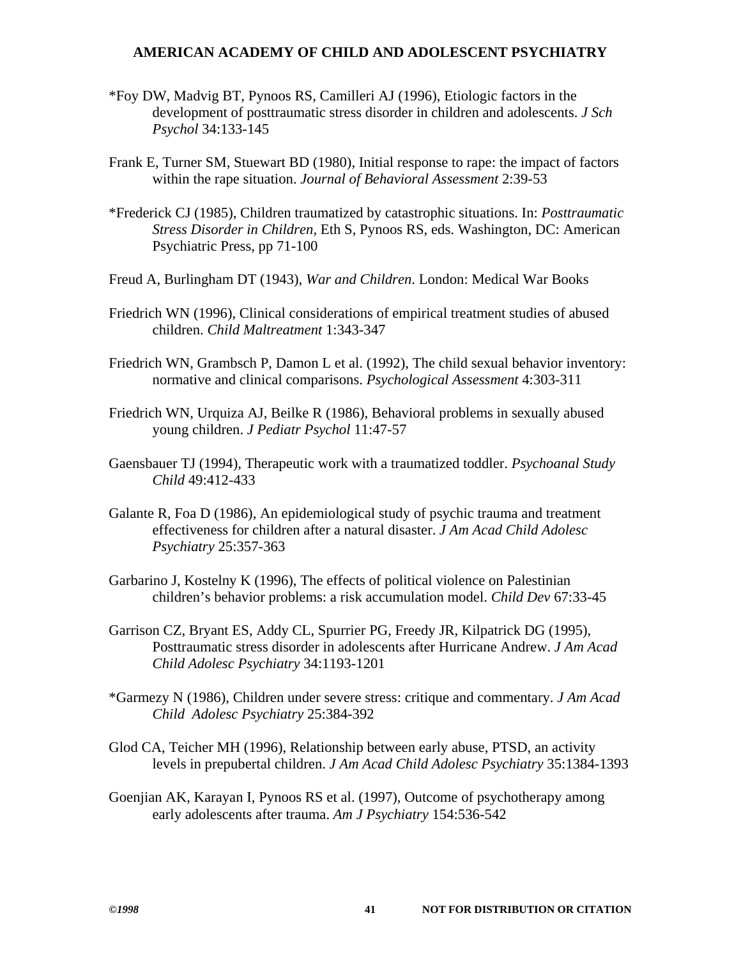- \*Foy DW, Madvig BT, Pynoos RS, Camilleri AJ (1996), Etiologic factors in the development of posttraumatic stress disorder in children and adolescents. *J Sch Psychol* 34:133-145
- Frank E, Turner SM, Stuewart BD (1980), Initial response to rape: the impact of factors within the rape situation. *Journal of Behavioral Assessment* 2:39-53
- \*Frederick CJ (1985), Children traumatized by catastrophic situations. In: *Posttraumatic Stress Disorder in Children,* Eth S, Pynoos RS, eds. Washington, DC: American Psychiatric Press, pp 71-100
- Freud A, Burlingham DT (1943), *War and Children*. London: Medical War Books
- Friedrich WN (1996), Clinical considerations of empirical treatment studies of abused children. *Child Maltreatment* 1:343-347
- Friedrich WN, Grambsch P, Damon L et al. (1992), The child sexual behavior inventory: normative and clinical comparisons. *Psychological Assessment* 4:303-311
- Friedrich WN, Urquiza AJ, Beilke R (1986), Behavioral problems in sexually abused young children. *J Pediatr Psychol* 11:47-57
- Gaensbauer TJ (1994), Therapeutic work with a traumatized toddler. *Psychoanal Study Child* 49:412-433
- Galante R, Foa D (1986), An epidemiological study of psychic trauma and treatment effectiveness for children after a natural disaster. *J Am Acad Child Adolesc Psychiatry* 25:357-363
- Garbarino J, Kostelny K (1996), The effects of political violence on Palestinian children's behavior problems: a risk accumulation model. *Child Dev* 67:33-45
- Garrison CZ, Bryant ES, Addy CL, Spurrier PG, Freedy JR, Kilpatrick DG (1995), Posttraumatic stress disorder in adolescents after Hurricane Andrew. *J Am Acad Child Adolesc Psychiatry* 34:1193-1201
- \*Garmezy N (1986), Children under severe stress: critique and commentary. *J Am Acad Child Adolesc Psychiatry* 25:384-392
- Glod CA, Teicher MH (1996), Relationship between early abuse, PTSD, an activity levels in prepubertal children. *J Am Acad Child Adolesc Psychiatry* 35:1384-1393
- Goenjian AK, Karayan I, Pynoos RS et al. (1997), Outcome of psychotherapy among early adolescents after trauma. *Am J Psychiatry* 154:536-542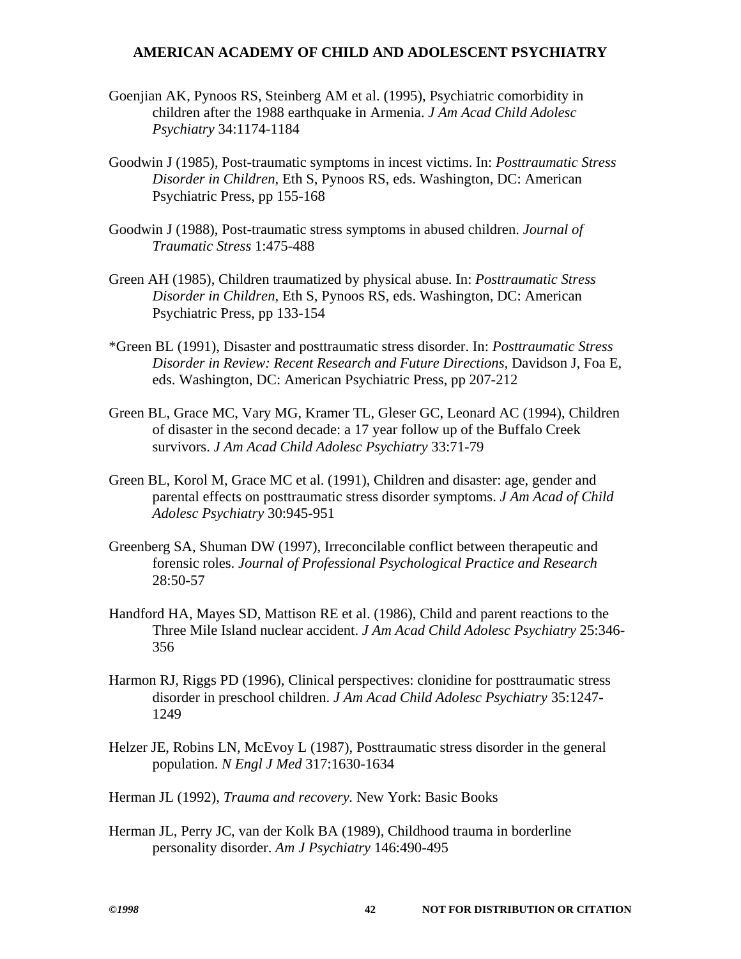- Goenjian AK, Pynoos RS, Steinberg AM et al. (1995), Psychiatric comorbidity in children after the 1988 earthquake in Armenia. *J Am Acad Child Adolesc Psychiatry* 34:1174-1184
- Goodwin J (1985), Post-traumatic symptoms in incest victims. In: *Posttraumatic Stress Disorder in Children,* Eth S, Pynoos RS, eds. Washington, DC: American Psychiatric Press, pp 155-168
- Goodwin J (1988), Post-traumatic stress symptoms in abused children. *Journal of Traumatic Stress* 1:475-488
- Green AH (1985), Children traumatized by physical abuse. In: *Posttraumatic Stress Disorder in Children,* Eth S, Pynoos RS, eds. Washington, DC: American Psychiatric Press, pp 133-154
- \*Green BL (1991), Disaster and posttraumatic stress disorder. In: *Posttraumatic Stress Disorder in Review: Recent Research and Future Directions,* Davidson J, Foa E, eds. Washington, DC: American Psychiatric Press, pp 207-212
- Green BL, Grace MC, Vary MG, Kramer TL, Gleser GC, Leonard AC (1994), Children of disaster in the second decade: a 17 year follow up of the Buffalo Creek survivors. *J Am Acad Child Adolesc Psychiatry* 33:71-79
- Green BL, Korol M, Grace MC et al. (1991), Children and disaster: age, gender and parental effects on posttraumatic stress disorder symptoms. *J Am Acad of Child Adolesc Psychiatry* 30:945-951
- Greenberg SA, Shuman DW (1997), Irreconcilable conflict between therapeutic and forensic roles. *Journal of Professional Psychological Practice and Research*  28:50-57
- Handford HA, Mayes SD, Mattison RE et al. (1986), Child and parent reactions to the Three Mile Island nuclear accident. *J Am Acad Child Adolesc Psychiatry* 25:346- 356
- Harmon RJ, Riggs PD (1996), Clinical perspectives: clonidine for posttraumatic stress disorder in preschool children. *J Am Acad Child Adolesc Psychiatry* 35:1247- 1249
- Helzer JE, Robins LN, McEvoy L (1987), Posttraumatic stress disorder in the general population. *N Engl J Med* 317:1630-1634
- Herman JL (1992), *Trauma and recovery.* New York: Basic Books
- Herman JL, Perry JC, van der Kolk BA (1989), Childhood trauma in borderline personality disorder. *Am J Psychiatry* 146:490-495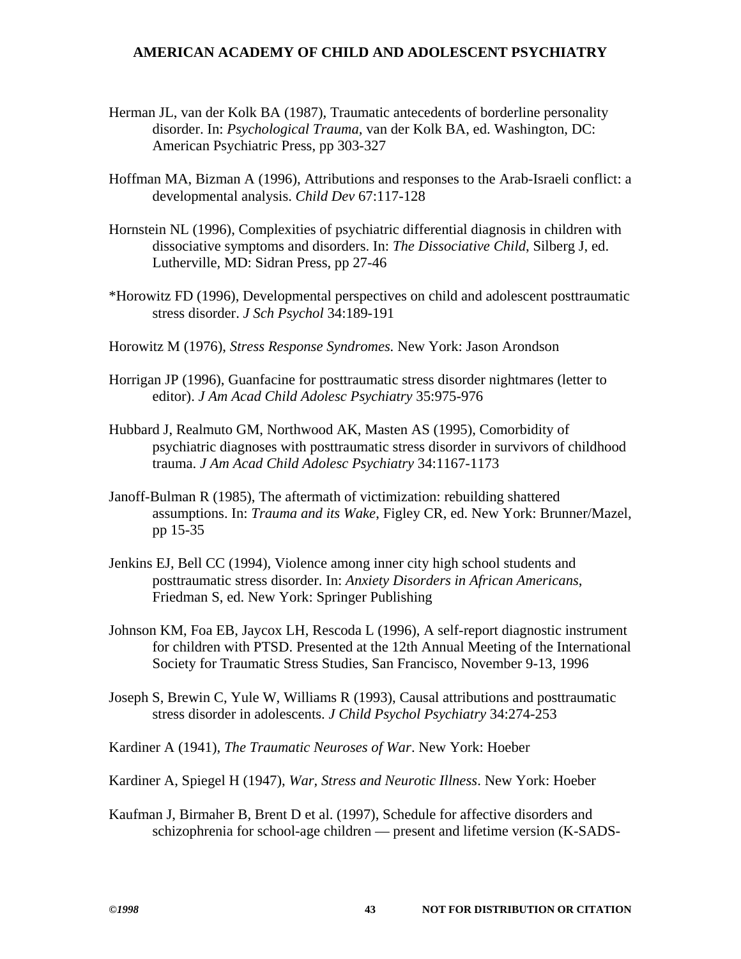- Herman JL, van der Kolk BA (1987), Traumatic antecedents of borderline personality disorder. In: *Psychological Trauma,* van der Kolk BA, ed. Washington, DC: American Psychiatric Press, pp 303-327
- Hoffman MA, Bizman A (1996), Attributions and responses to the Arab-Israeli conflict: a developmental analysis. *Child Dev* 67:117-128
- Hornstein NL (1996), Complexities of psychiatric differential diagnosis in children with dissociative symptoms and disorders. In: *The Dissociative Child*, Silberg J, ed. Lutherville, MD: Sidran Press, pp 27-46
- \*Horowitz FD (1996), Developmental perspectives on child and adolescent posttraumatic stress disorder. *J Sch Psychol* 34:189-191
- Horowitz M (1976), *Stress Response Syndromes.* New York: Jason Arondson
- Horrigan JP (1996), Guanfacine for posttraumatic stress disorder nightmares (letter to editor). *J Am Acad Child Adolesc Psychiatry* 35:975-976
- Hubbard J, Realmuto GM, Northwood AK, Masten AS (1995), Comorbidity of psychiatric diagnoses with posttraumatic stress disorder in survivors of childhood trauma. *J Am Acad Child Adolesc Psychiatry* 34:1167-1173
- Janoff-Bulman R (1985), The aftermath of victimization: rebuilding shattered assumptions. In: *Trauma and its Wake*, Figley CR, ed. New York: Brunner/Mazel, pp 15-35
- Jenkins EJ, Bell CC (1994), Violence among inner city high school students and posttraumatic stress disorder. In: *Anxiety Disorders in African Americans*, Friedman S, ed. New York: Springer Publishing
- Johnson KM, Foa EB, Jaycox LH, Rescoda L (1996), A self-report diagnostic instrument for children with PTSD. Presented at the 12th Annual Meeting of the International Society for Traumatic Stress Studies, San Francisco, November 9-13, 1996
- Joseph S, Brewin C, Yule W, Williams R (1993), Causal attributions and posttraumatic stress disorder in adolescents. *J Child Psychol Psychiatry* 34:274-253
- Kardiner A (1941), *The Traumatic Neuroses of War*. New York: Hoeber
- Kardiner A, Spiegel H (1947), *War, Stress and Neurotic Illness*. New York: Hoeber
- Kaufman J, Birmaher B, Brent D et al. (1997), Schedule for affective disorders and schizophrenia for school-age children — present and lifetime version (K-SADS-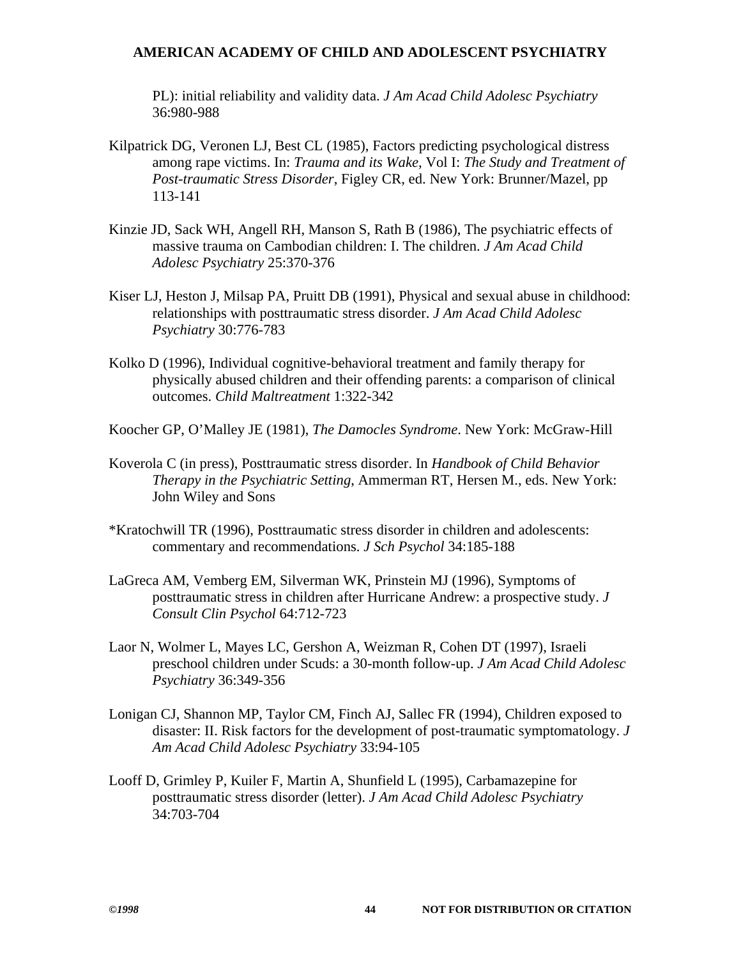PL): initial reliability and validity data. *J Am Acad Child Adolesc Psychiatry*  36:980-988

- Kilpatrick DG, Veronen LJ, Best CL (1985), Factors predicting psychological distress among rape victims. In: *Trauma and its Wake,* Vol I: *The Study and Treatment of Post-traumatic Stress Disorder*, Figley CR, ed. New York: Brunner/Mazel, pp 113-141
- Kinzie JD, Sack WH, Angell RH, Manson S, Rath B (1986), The psychiatric effects of massive trauma on Cambodian children: I. The children. *J Am Acad Child Adolesc Psychiatry* 25:370-376
- Kiser LJ, Heston J, Milsap PA, Pruitt DB (1991), Physical and sexual abuse in childhood: relationships with posttraumatic stress disorder. *J Am Acad Child Adolesc Psychiatry* 30:776-783
- Kolko D (1996), Individual cognitive-behavioral treatment and family therapy for physically abused children and their offending parents: a comparison of clinical outcomes. *Child Maltreatment* 1:322-342
- Koocher GP, O'Malley JE (1981), *The Damocles Syndrome*. New York: McGraw-Hill
- Koverola C (in press), Posttraumatic stress disorder. In *Handbook of Child Behavior Therapy in the Psychiatric Setting*, Ammerman RT, Hersen M., eds. New York: John Wiley and Sons
- \*Kratochwill TR (1996), Posttraumatic stress disorder in children and adolescents: commentary and recommendations. *J Sch Psychol* 34:185-188
- LaGreca AM, Vemberg EM, Silverman WK, Prinstein MJ (1996), Symptoms of posttraumatic stress in children after Hurricane Andrew: a prospective study. *J Consult Clin Psychol* 64:712-723
- Laor N, Wolmer L, Mayes LC, Gershon A, Weizman R, Cohen DT (1997), Israeli preschool children under Scuds: a 30-month follow-up. *J Am Acad Child Adolesc Psychiatry* 36:349-356
- Lonigan CJ, Shannon MP, Taylor CM, Finch AJ, Sallec FR (1994), Children exposed to disaster: II. Risk factors for the development of post-traumatic symptomatology. *J Am Acad Child Adolesc Psychiatry* 33:94-105
- Looff D, Grimley P, Kuiler F, Martin A, Shunfield L (1995), Carbamazepine for posttraumatic stress disorder (letter). *J Am Acad Child Adolesc Psychiatry* 34:703-704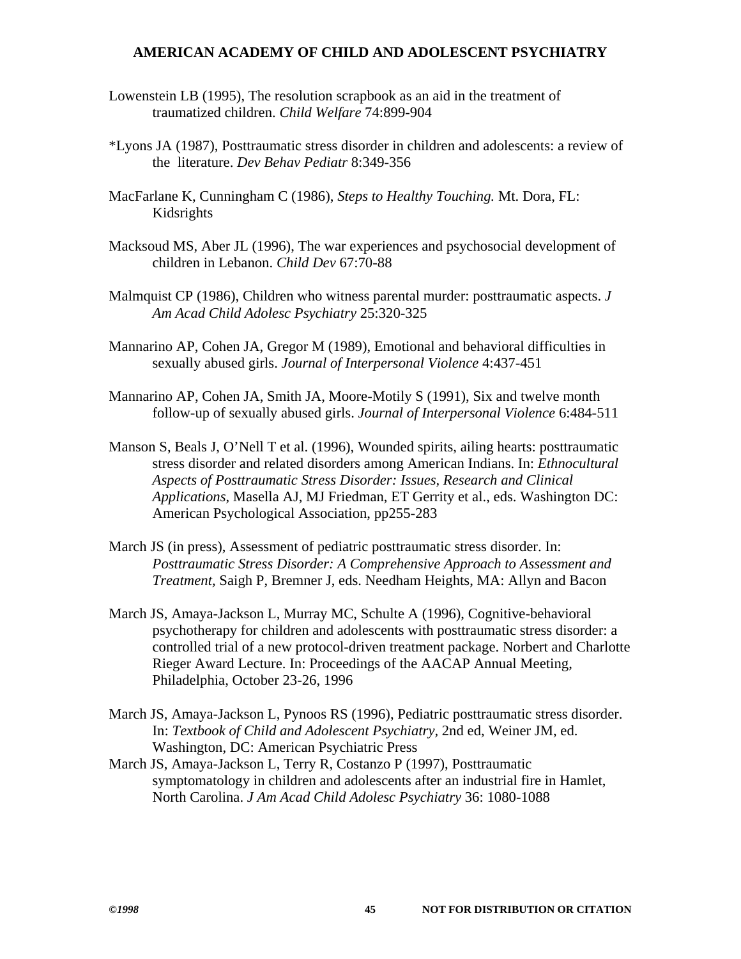- Lowenstein LB (1995), The resolution scrapbook as an aid in the treatment of traumatized children. *Child Welfare* 74:899-904
- \*Lyons JA (1987), Posttraumatic stress disorder in children and adolescents: a review of the literature. *Dev Behav Pediatr* 8:349-356
- MacFarlane K, Cunningham C (1986), *Steps to Healthy Touching.* Mt. Dora, FL: Kidsrights
- Macksoud MS, Aber JL (1996), The war experiences and psychosocial development of children in Lebanon. *Child Dev* 67:70-88
- Malmquist CP (1986), Children who witness parental murder: posttraumatic aspects. *J Am Acad Child Adolesc Psychiatry* 25:320-325
- Mannarino AP, Cohen JA, Gregor M (1989), Emotional and behavioral difficulties in sexually abused girls. *Journal of Interpersonal Violence* 4:437-451
- Mannarino AP, Cohen JA, Smith JA, Moore-Motily S (1991), Six and twelve month follow-up of sexually abused girls. *Journal of Interpersonal Violence* 6:484-511
- Manson S, Beals J, O'Nell T et al. (1996), Wounded spirits, ailing hearts: posttraumatic stress disorder and related disorders among American Indians. In: *Ethnocultural Aspects of Posttraumatic Stress Disorder: Issues, Research and Clinical Applications*, Masella AJ, MJ Friedman, ET Gerrity et al., eds. Washington DC: American Psychological Association, pp255-283
- March JS (in press), Assessment of pediatric posttraumatic stress disorder. In: *Posttraumatic Stress Disorder: A Comprehensive Approach to Assessment and Treatment,* Saigh P, Bremner J, eds. Needham Heights, MA: Allyn and Bacon
- March JS, Amaya-Jackson L, Murray MC, Schulte A (1996), Cognitive-behavioral psychotherapy for children and adolescents with posttraumatic stress disorder: a controlled trial of a new protocol-driven treatment package. Norbert and Charlotte Rieger Award Lecture. In: Proceedings of the AACAP Annual Meeting, Philadelphia, October 23-26, 1996
- March JS, Amaya-Jackson L, Pynoos RS (1996), Pediatric posttraumatic stress disorder. In: *Textbook of Child and Adolescent Psychiatry,* 2nd ed, Weiner JM, ed. Washington, DC: American Psychiatric Press
- March JS, Amaya-Jackson L, Terry R, Costanzo P (1997), Posttraumatic symptomatology in children and adolescents after an industrial fire in Hamlet, North Carolina. *J Am Acad Child Adolesc Psychiatry* 36: 1080-1088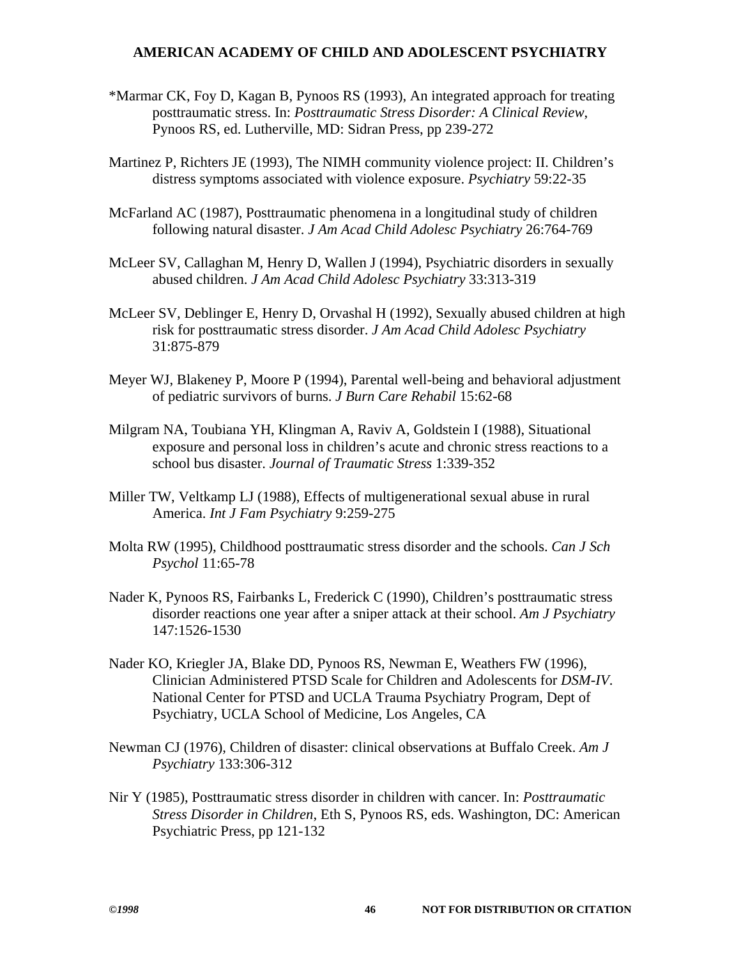- \*Marmar CK, Foy D, Kagan B, Pynoos RS (1993), An integrated approach for treating posttraumatic stress. In: *Posttraumatic Stress Disorder: A Clinical Review*, Pynoos RS, ed. Lutherville, MD: Sidran Press, pp 239-272
- Martinez P, Richters JE (1993), The NIMH community violence project: II. Children's distress symptoms associated with violence exposure. *Psychiatry* 59:22-35
- McFarland AC (1987), Posttraumatic phenomena in a longitudinal study of children following natural disaster. *J Am Acad Child Adolesc Psychiatry* 26:764-769
- McLeer SV, Callaghan M, Henry D, Wallen J (1994), Psychiatric disorders in sexually abused children. *J Am Acad Child Adolesc Psychiatry* 33:313-319
- McLeer SV, Deblinger E, Henry D, Orvashal H (1992), Sexually abused children at high risk for posttraumatic stress disorder. *J Am Acad Child Adolesc Psychiatry* 31:875-879
- Meyer WJ, Blakeney P, Moore P (1994), Parental well-being and behavioral adjustment of pediatric survivors of burns. *J Burn Care Rehabil* 15:62-68
- Milgram NA, Toubiana YH, Klingman A, Raviv A, Goldstein I (1988), Situational exposure and personal loss in children's acute and chronic stress reactions to a school bus disaster. *Journal of Traumatic Stress* 1:339-352
- Miller TW, Veltkamp LJ (1988), Effects of multigenerational sexual abuse in rural America. *Int J Fam Psychiatry* 9:259-275
- Molta RW (1995), Childhood posttraumatic stress disorder and the schools. *Can J Sch Psychol* 11:65-78
- Nader K, Pynoos RS, Fairbanks L, Frederick C (1990), Children's posttraumatic stress disorder reactions one year after a sniper attack at their school. *Am J Psychiatry* 147:1526-1530
- Nader KO, Kriegler JA, Blake DD, Pynoos RS, Newman E, Weathers FW (1996), Clinician Administered PTSD Scale for Children and Adolescents for *DSM-IV*. National Center for PTSD and UCLA Trauma Psychiatry Program, Dept of Psychiatry, UCLA School of Medicine, Los Angeles, CA
- Newman CJ (1976), Children of disaster: clinical observations at Buffalo Creek. *Am J Psychiatry* 133:306-312
- Nir Y (1985), Posttraumatic stress disorder in children with cancer. In: *Posttraumatic Stress Disorder in Children*, Eth S, Pynoos RS, eds. Washington, DC: American Psychiatric Press, pp 121-132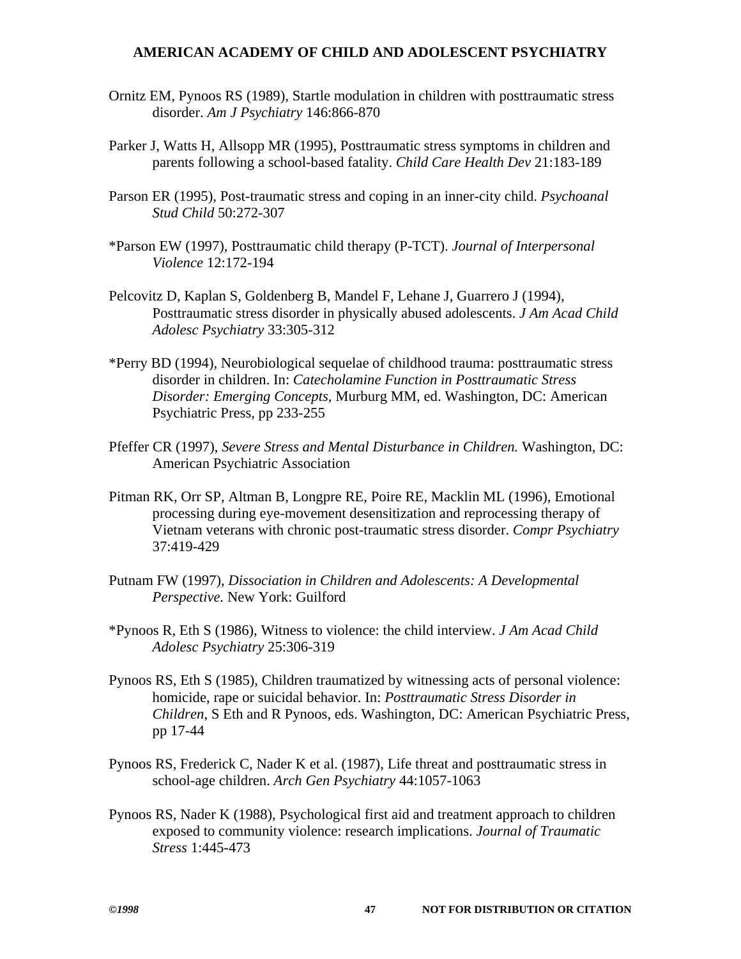- Ornitz EM, Pynoos RS (1989), Startle modulation in children with posttraumatic stress disorder. *Am J Psychiatry* 146:866-870
- Parker J, Watts H, Allsopp MR (1995), Posttraumatic stress symptoms in children and parents following a school-based fatality. *Child Care Health Dev* 21:183-189
- Parson ER (1995), Post-traumatic stress and coping in an inner-city child. *Psychoanal Stud Child* 50:272-307
- \*Parson EW (1997), Posttraumatic child therapy (P-TCT). *Journal of Interpersonal Violence* 12:172-194
- Pelcovitz D, Kaplan S, Goldenberg B, Mandel F, Lehane J, Guarrero J (1994), Posttraumatic stress disorder in physically abused adolescents. *J Am Acad Child Adolesc Psychiatry* 33:305-312
- \*Perry BD (1994), Neurobiological sequelae of childhood trauma: posttraumatic stress disorder in children. In: *Catecholamine Function in Posttraumatic Stress Disorder: Emerging Concepts*, Murburg MM, ed. Washington, DC: American Psychiatric Press, pp 233-255
- Pfeffer CR (1997), *Severe Stress and Mental Disturbance in Children.* Washington, DC: American Psychiatric Association
- Pitman RK, Orr SP, Altman B, Longpre RE, Poire RE, Macklin ML (1996), Emotional processing during eye-movement desensitization and reprocessing therapy of Vietnam veterans with chronic post-traumatic stress disorder. *Compr Psychiatry*  37:419-429
- Putnam FW (1997), *Dissociation in Children and Adolescents: A Developmental Perspective.* New York: Guilford
- \*Pynoos R, Eth S (1986), Witness to violence: the child interview. *J Am Acad Child Adolesc Psychiatry* 25:306-319
- Pynoos RS, Eth S (1985), Children traumatized by witnessing acts of personal violence: homicide, rape or suicidal behavior. In: *Posttraumatic Stress Disorder in Children*, S Eth and R Pynoos, eds. Washington, DC: American Psychiatric Press, pp 17-44
- Pynoos RS, Frederick C, Nader K et al. (1987), Life threat and posttraumatic stress in school-age children. *Arch Gen Psychiatry* 44:1057-1063
- Pynoos RS, Nader K (1988), Psychological first aid and treatment approach to children exposed to community violence: research implications. *Journal of Traumatic Stress* 1:445-473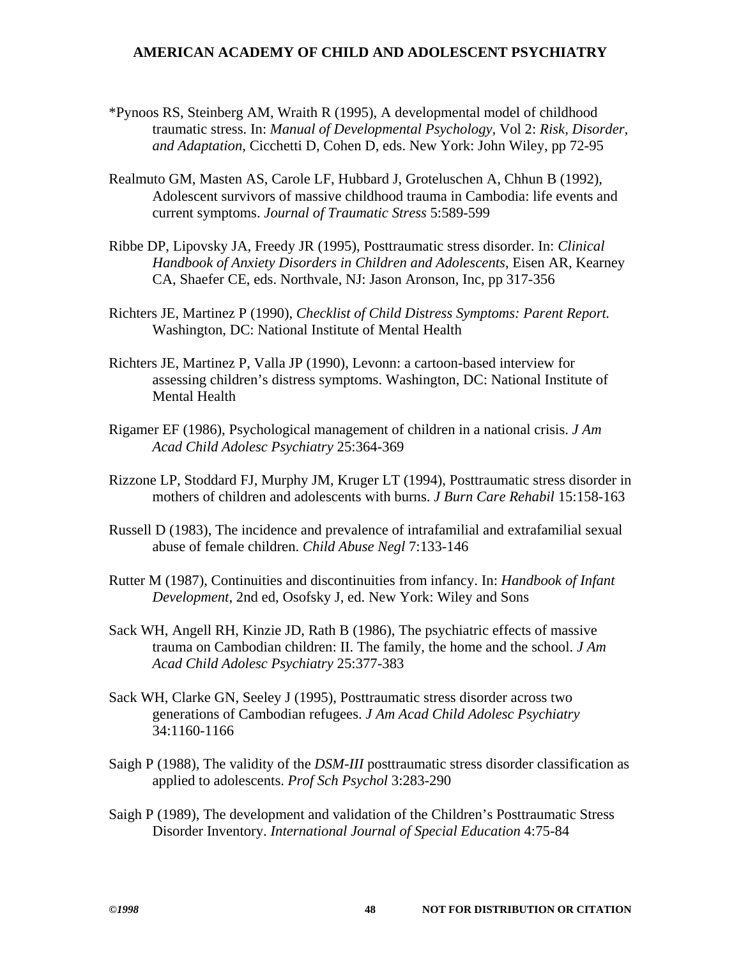- \*Pynoos RS, Steinberg AM, Wraith R (1995), A developmental model of childhood traumatic stress. In: *Manual of Developmental Psychology,* Vol 2: *Risk, Disorder, and Adaptation*, Cicchetti D, Cohen D, eds. New York: John Wiley, pp 72-95
- Realmuto GM, Masten AS, Carole LF, Hubbard J, Groteluschen A, Chhun B (1992), Adolescent survivors of massive childhood trauma in Cambodia: life events and current symptoms. *Journal of Traumatic Stress* 5:589-599
- Ribbe DP, Lipovsky JA, Freedy JR (1995), Posttraumatic stress disorder. In: *Clinical Handbook of Anxiety Disorders in Children and Adolescents*, Eisen AR, Kearney CA, Shaefer CE, eds. Northvale, NJ: Jason Aronson, Inc, pp 317-356
- Richters JE, Martinez P (1990), *Checklist of Child Distress Symptoms: Parent Report.*  Washington, DC: National Institute of Mental Health
- Richters JE, Martinez P, Valla JP (1990), Levonn: a cartoon-based interview for assessing children's distress symptoms. Washington, DC: National Institute of Mental Health
- Rigamer EF (1986), Psychological management of children in a national crisis. *J Am Acad Child Adolesc Psychiatry* 25:364-369
- Rizzone LP, Stoddard FJ, Murphy JM, Kruger LT (1994), Posttraumatic stress disorder in mothers of children and adolescents with burns. *J Burn Care Rehabil* 15:158-163
- Russell D (1983), The incidence and prevalence of intrafamilial and extrafamilial sexual abuse of female children. *Child Abuse Negl* 7:133-146
- Rutter M (1987), Continuities and discontinuities from infancy. In: *Handbook of Infant Development*, 2nd ed, Osofsky J, ed. New York: Wiley and Sons
- Sack WH, Angell RH, Kinzie JD, Rath B (1986), The psychiatric effects of massive trauma on Cambodian children: II. The family, the home and the school. *J Am Acad Child Adolesc Psychiatry* 25:377-383
- Sack WH, Clarke GN, Seeley J (1995), Posttraumatic stress disorder across two generations of Cambodian refugees. *J Am Acad Child Adolesc Psychiatry* 34:1160-1166
- Saigh P (1988), The validity of the *DSM-III* posttraumatic stress disorder classification as applied to adolescents. *Prof Sch Psychol* 3:283-290
- Saigh P (1989), The development and validation of the Children's Posttraumatic Stress Disorder Inventory. *International Journal of Special Education* 4:75-84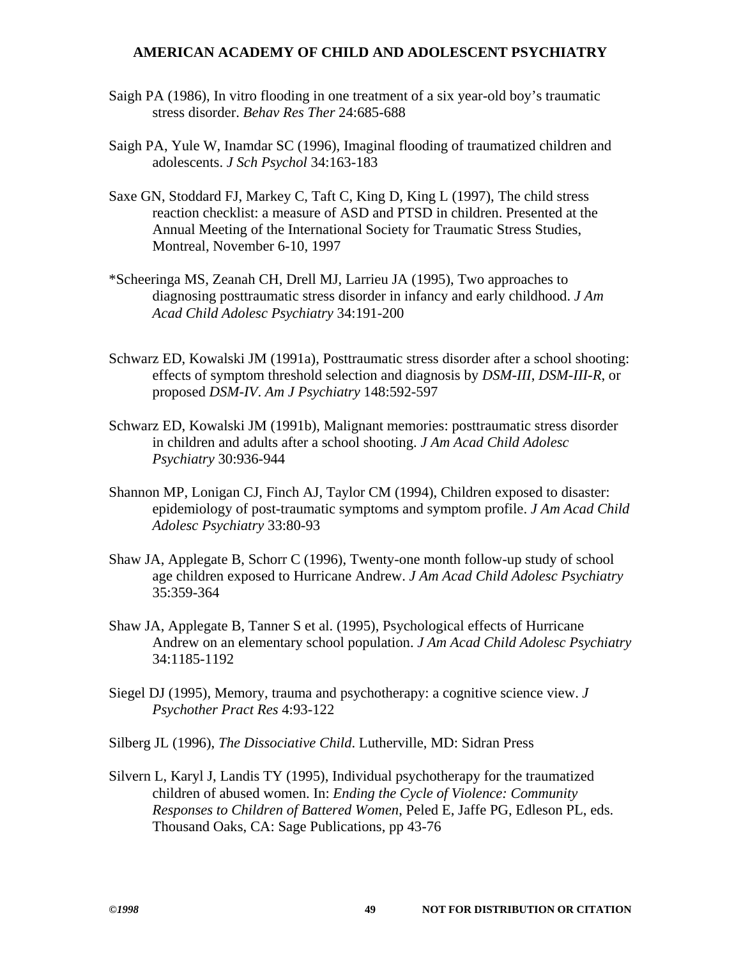- Saigh PA (1986), In vitro flooding in one treatment of a six year-old boy's traumatic stress disorder. *Behav Res Ther* 24:685-688
- Saigh PA, Yule W, Inamdar SC (1996), Imaginal flooding of traumatized children and adolescents. *J Sch Psychol* 34:163-183
- Saxe GN, Stoddard FJ, Markey C, Taft C, King D, King L (1997), The child stress reaction checklist: a measure of ASD and PTSD in children. Presented at the Annual Meeting of the International Society for Traumatic Stress Studies, Montreal, November 6-10, 1997
- \*Scheeringa MS, Zeanah CH, Drell MJ, Larrieu JA (1995), Two approaches to diagnosing posttraumatic stress disorder in infancy and early childhood. *J Am Acad Child Adolesc Psychiatry* 34:191-200
- Schwarz ED, Kowalski JM (1991a), Posttraumatic stress disorder after a school shooting: effects of symptom threshold selection and diagnosis by *DSM-III*, *DSM-III-R*, or proposed *DSM-IV*. *Am J Psychiatry* 148:592-597
- Schwarz ED, Kowalski JM (1991b), Malignant memories: posttraumatic stress disorder in children and adults after a school shooting. *J Am Acad Child Adolesc Psychiatry* 30:936-944
- Shannon MP, Lonigan CJ, Finch AJ, Taylor CM (1994), Children exposed to disaster: epidemiology of post-traumatic symptoms and symptom profile. *J Am Acad Child Adolesc Psychiatry* 33:80-93
- Shaw JA, Applegate B, Schorr C (1996), Twenty-one month follow-up study of school age children exposed to Hurricane Andrew. *J Am Acad Child Adolesc Psychiatry*  35:359-364
- Shaw JA, Applegate B, Tanner S et al. (1995), Psychological effects of Hurricane Andrew on an elementary school population. *J Am Acad Child Adolesc Psychiatry* 34:1185-1192
- Siegel DJ (1995), Memory, trauma and psychotherapy: a cognitive science view. *J Psychother Pract Res* 4:93-122
- Silberg JL (1996), *The Dissociative Child*. Lutherville, MD: Sidran Press
- Silvern L, Karyl J, Landis TY (1995), Individual psychotherapy for the traumatized children of abused women. In: *Ending the Cycle of Violence: Community Responses to Children of Battered Women*, Peled E, Jaffe PG, Edleson PL, eds. Thousand Oaks, CA: Sage Publications, pp 43-76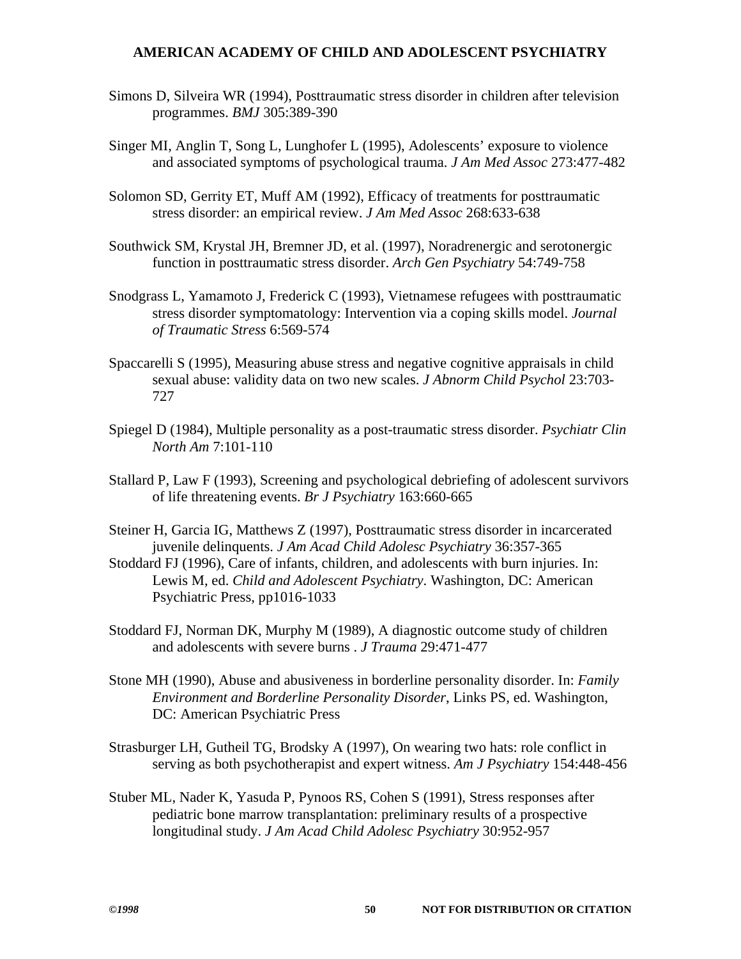- Simons D, Silveira WR (1994), Posttraumatic stress disorder in children after television programmes. *BMJ* 305:389-390
- Singer MI, Anglin T, Song L, Lunghofer L (1995), Adolescents' exposure to violence and associated symptoms of psychological trauma. *J Am Med Assoc* 273:477-482
- Solomon SD, Gerrity ET, Muff AM (1992), Efficacy of treatments for posttraumatic stress disorder: an empirical review. *J Am Med Assoc* 268:633-638
- Southwick SM, Krystal JH, Bremner JD, et al. (1997), Noradrenergic and serotonergic function in posttraumatic stress disorder. *Arch Gen Psychiatry* 54:749-758
- Snodgrass L, Yamamoto J, Frederick C (1993), Vietnamese refugees with posttraumatic stress disorder symptomatology: Intervention via a coping skills model. *Journal of Traumatic Stress* 6:569-574
- Spaccarelli S (1995), Measuring abuse stress and negative cognitive appraisals in child sexual abuse: validity data on two new scales. *J Abnorm Child Psychol* 23:703- 727
- Spiegel D (1984), Multiple personality as a post-traumatic stress disorder. *Psychiatr Clin North Am* 7:101-110
- Stallard P, Law F (1993), Screening and psychological debriefing of adolescent survivors of life threatening events. *Br J Psychiatry* 163:660-665
- Steiner H, Garcia IG, Matthews Z (1997), Posttraumatic stress disorder in incarcerated juvenile delinquents. *J Am Acad Child Adolesc Psychiatry* 36:357-365
- Stoddard FJ (1996), Care of infants, children, and adolescents with burn injuries. In: Lewis M, ed. *Child and Adolescent Psychiatry*. Washington, DC: American Psychiatric Press, pp1016-1033
- Stoddard FJ, Norman DK, Murphy M (1989), A diagnostic outcome study of children and adolescents with severe burns . *J Trauma* 29:471-477
- Stone MH (1990), Abuse and abusiveness in borderline personality disorder. In: *Family Environment and Borderline Personality Disorder*, Links PS, ed. Washington, DC: American Psychiatric Press
- Strasburger LH, Gutheil TG, Brodsky A (1997), On wearing two hats: role conflict in serving as both psychotherapist and expert witness. *Am J Psychiatry* 154:448-456
- Stuber ML, Nader K, Yasuda P, Pynoos RS, Cohen S (1991), Stress responses after pediatric bone marrow transplantation: preliminary results of a prospective longitudinal study. *J Am Acad Child Adolesc Psychiatry* 30:952-957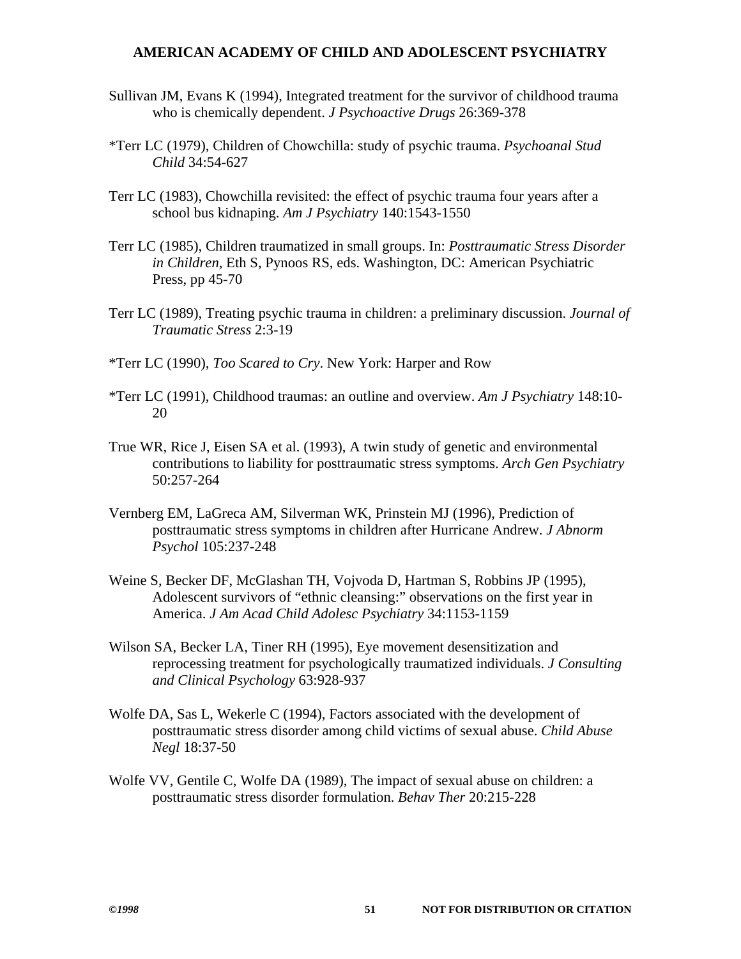- Sullivan JM, Evans K (1994), Integrated treatment for the survivor of childhood trauma who is chemically dependent. *J Psychoactive Drugs* 26:369-378
- \*Terr LC (1979), Children of Chowchilla: study of psychic trauma. *Psychoanal Stud Child* 34:54-627
- Terr LC (1983), Chowchilla revisited: the effect of psychic trauma four years after a school bus kidnaping. *Am J Psychiatry* 140:1543-1550
- Terr LC (1985), Children traumatized in small groups. In: *Posttraumatic Stress Disorder in Children,* Eth S, Pynoos RS, eds. Washington, DC: American Psychiatric Press, pp 45-70
- Terr LC (1989), Treating psychic trauma in children: a preliminary discussion. *Journal of Traumatic Stress* 2:3-19
- \*Terr LC (1990), *Too Scared to Cry*. New York: Harper and Row
- \*Terr LC (1991), Childhood traumas: an outline and overview. *Am J Psychiatry* 148:10- 20
- True WR, Rice J, Eisen SA et al. (1993), A twin study of genetic and environmental contributions to liability for posttraumatic stress symptoms. *Arch Gen Psychiatry* 50:257-264
- Vernberg EM, LaGreca AM, Silverman WK, Prinstein MJ (1996), Prediction of posttraumatic stress symptoms in children after Hurricane Andrew. *J Abnorm Psychol* 105:237-248
- Weine S, Becker DF, McGlashan TH, Vojvoda D, Hartman S, Robbins JP (1995), Adolescent survivors of "ethnic cleansing:" observations on the first year in America. *J Am Acad Child Adolesc Psychiatry* 34:1153-1159
- Wilson SA, Becker LA, Tiner RH (1995), Eye movement desensitization and reprocessing treatment for psychologically traumatized individuals. *J Consulting and Clinical Psychology* 63:928-937
- Wolfe DA, Sas L, Wekerle C (1994), Factors associated with the development of posttraumatic stress disorder among child victims of sexual abuse. *Child Abuse Negl* 18:37-50
- Wolfe VV, Gentile C, Wolfe DA (1989), The impact of sexual abuse on children: a posttraumatic stress disorder formulation. *Behav Ther* 20:215-228